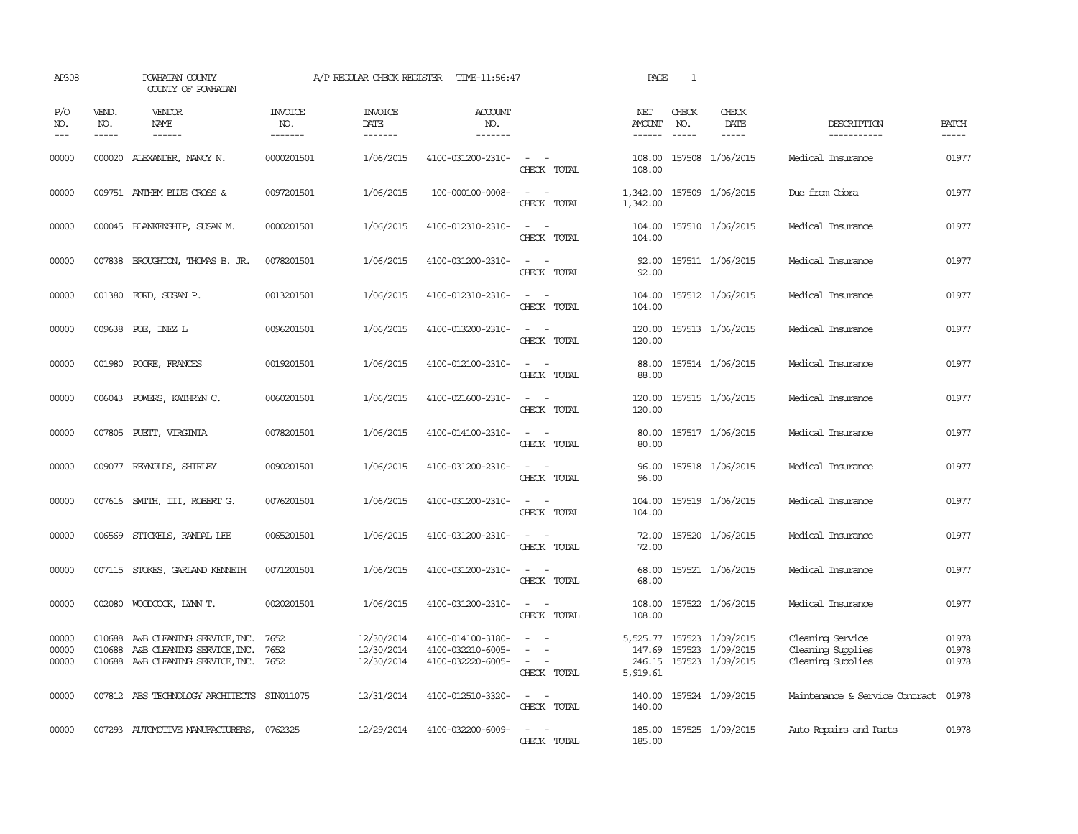| AP308                   |                               | POWHATAN COUNTY<br>COUNTY OF POWHATAN                                                                            |                                  | A/P REGULAR CHECK REGISTER             | TIME-11:56:47                                               |                                                            | PAGE                 | 1                             |                                                                          |                                                            |                             |
|-------------------------|-------------------------------|------------------------------------------------------------------------------------------------------------------|----------------------------------|----------------------------------------|-------------------------------------------------------------|------------------------------------------------------------|----------------------|-------------------------------|--------------------------------------------------------------------------|------------------------------------------------------------|-----------------------------|
| P/O<br>NO.<br>$---$     | VEND.<br>NO.<br>$\frac{1}{2}$ | <b>VENDOR</b><br>NAME<br>$- - - - - -$                                                                           | <b>INVOICE</b><br>NO.<br>------- | <b>INVOICE</b><br>DATE<br>-------      | ACCOUNT<br>NO.<br>-------                                   |                                                            | NET<br>AMOUNT        | CHECK<br>NO.<br>$\frac{1}{2}$ | CHECK<br>DATE<br>$- - - - -$                                             | DESCRIPTION<br>-----------                                 | <b>BATCH</b><br>$- - - - -$ |
| 00000                   |                               | 000020 ALEXANDER, NANCY N.                                                                                       | 0000201501                       | 1/06/2015                              | 4100-031200-2310-                                           | $\sim$ $ -$<br>CHECK TOTAL                                 | 108.00               |                               | 108.00 157508 1/06/2015                                                  | Medical Insurance                                          | 01977                       |
| 00000                   |                               | 009751 ANTHEM BLUE CROSS &                                                                                       | 0097201501                       | 1/06/2015                              | 100-000100-0008-                                            | $\sim$ 100 $\sim$ 100 $\sim$<br>CHECK TOTAL                | 1,342.00<br>1,342.00 |                               | 157509 1/06/2015                                                         | Due from Cobra                                             | 01977                       |
| 00000                   |                               | 000045 BLANKENSHIP, SUSAN M.                                                                                     | 0000201501                       | 1/06/2015                              | 4100-012310-2310-                                           | $\sim$ 10 $\sim$ 10 $\sim$<br>CHECK TOTAL                  | 104.00<br>104.00     |                               | 157510 1/06/2015                                                         | Medical Insurance                                          | 01977                       |
| 00000                   |                               | 007838 BROUGHTON, THOMAS B. JR.                                                                                  | 0078201501                       | 1/06/2015                              | 4100-031200-2310-                                           | $\sim$<br>CHECK TOTAL                                      | 92.00<br>92.00       |                               | 157511 1/06/2015                                                         | Medical Insurance                                          | 01977                       |
| 00000                   |                               | 001380 FORD, SUSAN P.                                                                                            | 0013201501                       | 1/06/2015                              | 4100-012310-2310-                                           | $\sim$<br>$\sim$<br>CHECK TOTAL                            | 104.00<br>104.00     |                               | 157512 1/06/2015                                                         | Medical Insurance                                          | 01977                       |
| 00000                   |                               | 009638 POE, INEZ L                                                                                               | 0096201501                       | 1/06/2015                              | 4100-013200-2310-                                           | $\omega_{\rm{max}}$ and $\omega_{\rm{max}}$<br>CHECK TOTAL | 120.00<br>120.00     |                               | 157513 1/06/2015                                                         | Medical Insurance                                          | 01977                       |
| 00000                   |                               | 001980 POORE, FRANCES                                                                                            | 0019201501                       | 1/06/2015                              | 4100-012100-2310-                                           | CHECK TOTAL                                                | 88.00<br>88.00       |                               | 157514 1/06/2015                                                         | Medical Insurance                                          | 01977                       |
| 00000                   |                               | 006043 POWERS, KATHRYN C.                                                                                        | 0060201501                       | 1/06/2015                              | 4100-021600-2310-                                           | $\sim$ $\sim$<br>CHECK TOTAL                               | 120.00<br>120.00     |                               | 157515 1/06/2015                                                         | Medical Insurance                                          | 01977                       |
| 00000                   |                               | 007805 PUETT, VIRGINIA                                                                                           | 0078201501                       | 1/06/2015                              | 4100-014100-2310-                                           | $ -$<br>CHECK TOTAL                                        | 80.00<br>80.00       |                               | 157517 1/06/2015                                                         | Medical Insurance                                          | 01977                       |
| 00000                   |                               | 009077 REYNOLDS, SHIRLEY                                                                                         | 0090201501                       | 1/06/2015                              | 4100-031200-2310-                                           | CHECK TOTAL                                                | 96.00<br>96.00       |                               | 157518 1/06/2015                                                         | Medical Insurance                                          | 01977                       |
| 00000                   |                               | 007616 SMITH, III, ROBERT G.                                                                                     | 0076201501                       | 1/06/2015                              | 4100-031200-2310-                                           | $\sim$<br>CHECK TOTAL                                      | 104.00<br>104.00     |                               | 157519 1/06/2015                                                         | Medical Insurance                                          | 01977                       |
| 00000                   |                               | 006569 STICKELS, RANDAL LEE                                                                                      | 0065201501                       | 1/06/2015                              | 4100-031200-2310-                                           | $\sim$ $\sim$<br>CHECK TOTAL                               | 72.00<br>72.00       |                               | 157520 1/06/2015                                                         | Medical Insurance                                          | 01977                       |
| 00000                   |                               | 007115 STOKES, GARLAND KENNETH                                                                                   | 0071201501                       | 1/06/2015                              | 4100-031200-2310-                                           | $\sim$ 10 $\sim$ 10 $\sim$<br>CHECK TOTAL                  | 68.00<br>68.00       |                               | 157521 1/06/2015                                                         | Medical Insurance                                          | 01977                       |
| 00000                   |                               | 002080 WOODCOCK, LYNN T.                                                                                         | 0020201501                       | 1/06/2015                              | 4100-031200-2310-                                           | $\sim$ $ \sim$<br>CHECK TOTAL                              | 108.00<br>108.00     |                               | 157522 1/06/2015                                                         | Medical Insurance                                          | 01977                       |
| 00000<br>00000<br>00000 |                               | 010688 A&B CLEANING SERVICE, INC.<br>010688 A&B CLEANING SERVICE, INC.<br>010688 A&B CLEANING SERVICE, INC. 7652 | 7652<br>7652                     | 12/30/2014<br>12/30/2014<br>12/30/2014 | 4100-014100-3180-<br>4100-032210-6005-<br>4100-032220-6005- | $\sim$<br>$\sim$<br>$\sim$<br>CHECK TOTAL                  | 147.69<br>5,919.61   |                               | 5,525.77 157523 1/09/2015<br>157523 1/09/2015<br>246.15 157523 1/09/2015 | Cleaning Service<br>Cleaning Supplies<br>Cleaning Supplies | 01978<br>01978<br>01978     |
| 00000                   |                               | 007812 ABS TECHNOLOGY ARCHITECTS                                                                                 | SIN011075                        | 12/31/2014                             | 4100-012510-3320-                                           | $\sim$ 100 $\sim$ 100 $\sim$<br>CHECK TOTAL                | 140.00<br>140.00     |                               | 157524 1/09/2015                                                         | Maintenance & Service Contract                             | 01978                       |
| 00000                   |                               | 007293 AUTOMOTTVE MANUFACTURERS, 0762325                                                                         |                                  | 12/29/2014                             | 4100-032200-6009-                                           | $\sim$<br>$\sim$<br>CHECK TOTAL                            | 185.00               |                               | 185.00 157525 1/09/2015                                                  | Auto Repairs and Parts                                     | 01978                       |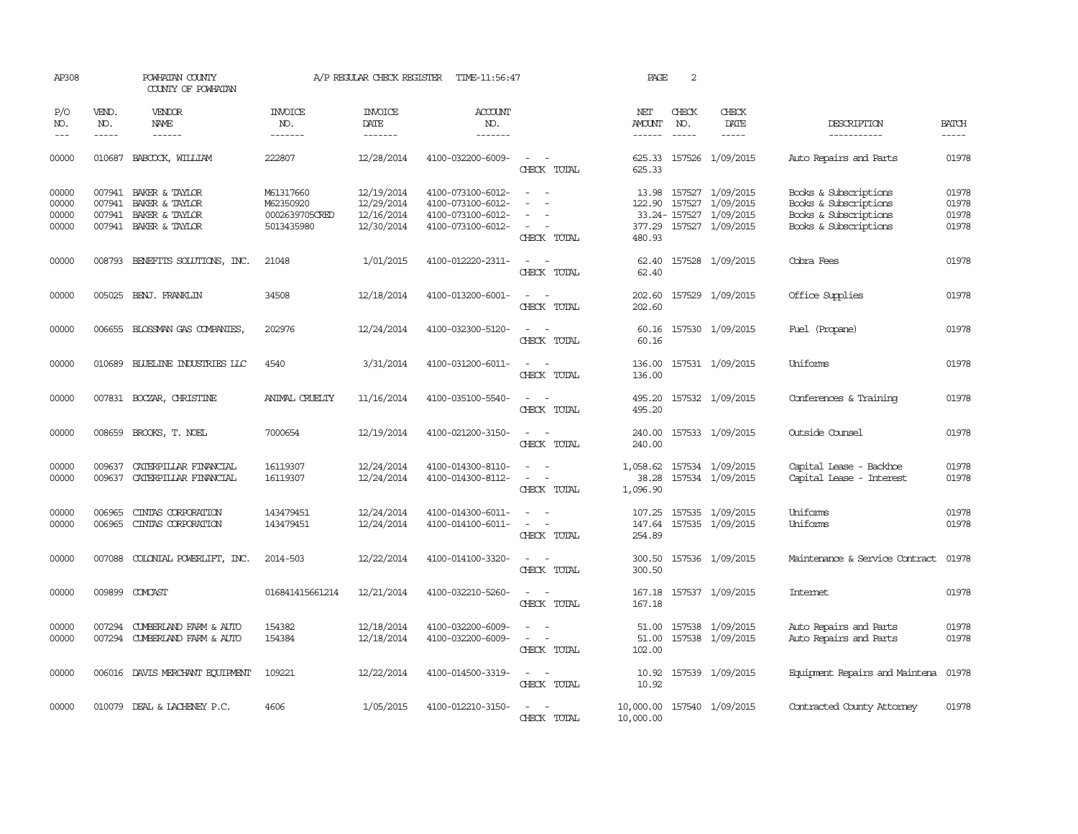| AP308                            |                             | POWHATAN COUNTY<br>COUNTY OF POWHATAN                                              |                                                        | A/P REGULAR CHECK REGISTER                           | TIME-11:56:47                                                                    |                                                                                                                             | PAGE                                    | 2                             |                                                                                           |                                                                                                  |                                  |
|----------------------------------|-----------------------------|------------------------------------------------------------------------------------|--------------------------------------------------------|------------------------------------------------------|----------------------------------------------------------------------------------|-----------------------------------------------------------------------------------------------------------------------------|-----------------------------------------|-------------------------------|-------------------------------------------------------------------------------------------|--------------------------------------------------------------------------------------------------|----------------------------------|
| P/O<br>NO.<br>$\frac{1}{2}$      | VEND.<br>NO.<br>$- - - - -$ | <b>VENDOR</b><br>NAME<br>$- - - - - -$                                             | <b>INVOICE</b><br>NO.<br>-------                       | <b>INVOICE</b><br>DATE<br>-------                    | <b>ACCOUNT</b><br>NO.<br>-------                                                 |                                                                                                                             | NET<br>AMOUNT                           | CHECK<br>NO.<br>$\frac{1}{2}$ | CHECK<br>DATE<br>$- - - - -$                                                              | DESCRIPTION<br>-----------                                                                       | <b>BATCH</b><br>$- - - - -$      |
| 00000                            | 010687                      | BABCOCK, WILLIAM                                                                   | 222807                                                 | 12/28/2014                                           | 4100-032200-6009-                                                                | $\frac{1}{2} \left( \frac{1}{2} \right) \left( \frac{1}{2} \right) = \frac{1}{2} \left( \frac{1}{2} \right)$<br>CHECK TOTAL | 625.33<br>625.33                        |                               | 157526 1/09/2015                                                                          | Auto Repairs and Parts                                                                           | 01978                            |
| 00000<br>00000<br>00000<br>00000 | 007941<br>007941            | 007941 BAKER & TAYLOR<br>BAKER & TAYLOR<br>BAKER & TAYLOR<br>007941 BAKER & TAYLOR | M61317660<br>M62350920<br>0002639705CRED<br>5013435980 | 12/19/2014<br>12/29/2014<br>12/16/2014<br>12/30/2014 | 4100-073100-6012-<br>4100-073100-6012-<br>4100-073100-6012-<br>4100-073100-6012- | $\overline{\phantom{a}}$<br>$\sim$<br>$\sim$<br>CHECK TOTAL                                                                 | 13.98<br>122.90<br>480.93               |                               | 157527 1/09/2015<br>157527 1/09/2015<br>33.24-157527 1/09/2015<br>377.29 157527 1/09/2015 | Books & Subscriptions<br>Books & Subscriptions<br>Books & Subscriptions<br>Books & Subscriptions | 01978<br>01978<br>01978<br>01978 |
| 00000                            |                             | 008793 BENEFITS SOLUTIONS, INC.                                                    | 21048                                                  | 1/01/2015                                            | 4100-012220-2311-                                                                | CHECK TOTAL                                                                                                                 | 62.40                                   |                               | 62.40 157528 1/09/2015                                                                    | Cobra Fees                                                                                       | 01978                            |
| 00000                            |                             | 005025 BENJ. FRANKLIN                                                              | 34508                                                  | 12/18/2014                                           | 4100-013200-6001-                                                                | $\sim$<br>CHECK TOTAL                                                                                                       | 202.60<br>202.60                        |                               | 157529 1/09/2015                                                                          | Office Supplies                                                                                  | 01978                            |
| 00000                            |                             | 006655 BLOSSMAN GAS COMPANIES                                                      | 202976                                                 | 12/24/2014                                           | 4100-032300-5120-                                                                | $\sim$ 100 $\sim$<br>CHECK TOTAL                                                                                            | 60.16<br>60.16                          |                               | 157530 1/09/2015                                                                          | Fuel (Propane)                                                                                   | 01978                            |
| 00000                            |                             | 010689 BLUELINE INDUSTRIES LLC                                                     | 4540                                                   | 3/31/2014                                            | 4100-031200-6011-                                                                | $\omega_{\rm{max}}$ and $\omega_{\rm{max}}$<br>CHECK TOTAL                                                                  | 136.00<br>136.00                        |                               | 157531 1/09/2015                                                                          | Uniforms                                                                                         | 01978                            |
| 00000                            |                             | 007831 BOCZAR, CHRISTINE                                                           | ANIMAL CRUELTY                                         | 11/16/2014                                           | 4100-035100-5540-                                                                | $\sim$ $\sim$<br>CHECK TOTAL                                                                                                | 495.20<br>495.20                        |                               | 157532 1/09/2015                                                                          | Conferences & Training                                                                           | 01978                            |
| 00000                            |                             | 008659 BROOKS, T. NOEL                                                             | 7000654                                                | 12/19/2014                                           | 4100-021200-3150-                                                                | $\sim$ $\sim$<br>CHECK TOTAL                                                                                                | 240.00<br>240.00                        |                               | 157533 1/09/2015                                                                          | Outside Counsel                                                                                  | 01978                            |
| 00000<br>00000                   | 009637<br>009637            | CATERPILLAR FINANCIAL<br>CATERPILLAR FINANCIAL                                     | 16119307<br>16119307                                   | 12/24/2014<br>12/24/2014                             | 4100-014300-8110-<br>4100-014300-8112-                                           | CHECK TOTAL                                                                                                                 | 1,058.62<br>38.28<br>1,096.90           |                               | 157534 1/09/2015<br>157534 1/09/2015                                                      | Capital Lease - Backhoe<br>Capital Lease - Interest                                              | 01978<br>01978                   |
| 00000<br>00000                   | 006965<br>006965            | CINIAS CORPORATION<br>CINIAS CORPORATION                                           | 143479451<br>143479451                                 | 12/24/2014<br>12/24/2014                             | 4100-014300-6011-<br>4100-014100-6011-                                           | $\sim$<br>$\overline{\phantom{a}}$<br>CHECK TOTAL                                                                           | 107.25<br>147.64<br>254.89              |                               | 157535 1/09/2015<br>157535 1/09/2015                                                      | Uniforms<br>Uniforms                                                                             | 01978<br>01978                   |
| 00000                            |                             | 007088 COLONIAL POWERLIFT, INC.                                                    | 2014-503                                               | 12/22/2014                                           | 4100-014100-3320-                                                                | CHECK TOTAL                                                                                                                 | 300.50<br>300.50                        |                               | 157536 1/09/2015                                                                          | Maintenance & Service Contract                                                                   | 01978                            |
| 00000                            |                             | 009899 COMCAST                                                                     | 016841415661214                                        | 12/21/2014                                           | 4100-032210-5260-                                                                | $\frac{1}{2} \left( \frac{1}{2} \right) \left( \frac{1}{2} \right) = \frac{1}{2} \left( \frac{1}{2} \right)$<br>CHECK TOTAL | 167.18<br>167.18                        |                               | 157537 1/09/2015                                                                          | Internet                                                                                         | 01978                            |
| 00000<br>00000                   |                             | 007294 CUMBERLAND FARM & AUTO<br>007294 CUMBERLAND FARM & AUTO                     | 154382<br>154384                                       | 12/18/2014<br>12/18/2014                             | 4100-032200-6009-<br>4100-032200-6009-                                           | $\equiv$<br>$\overline{\phantom{a}}$<br>CHECK TOTAL                                                                         | 51.00<br>51.00<br>102.00                |                               | 157538 1/09/2015<br>157538 1/09/2015                                                      | Auto Repairs and Parts<br>Auto Repairs and Parts                                                 | 01978<br>01978                   |
| 00000                            |                             | 006016 DAVIS MERCHANT EQUIPMENT                                                    | 109221                                                 | 12/22/2014                                           | 4100-014500-3319-                                                                | $\frac{1}{2} \left( \frac{1}{2} \right) \left( \frac{1}{2} \right) = \frac{1}{2} \left( \frac{1}{2} \right)$<br>CHECK TOTAL | 10.92<br>10.92                          |                               | 157539 1/09/2015                                                                          | Equipment Repairs and Maintena                                                                   | 01978                            |
| 00000                            |                             | 010079 DEAL & LACHENEY P.C.                                                        | 4606                                                   | 1/05/2015                                            | 4100-012210-3150-                                                                | CHECK TOTAL                                                                                                                 | 10,000.00 157540 1/09/2015<br>10,000.00 |                               |                                                                                           | Contracted County Attomey                                                                        | 01978                            |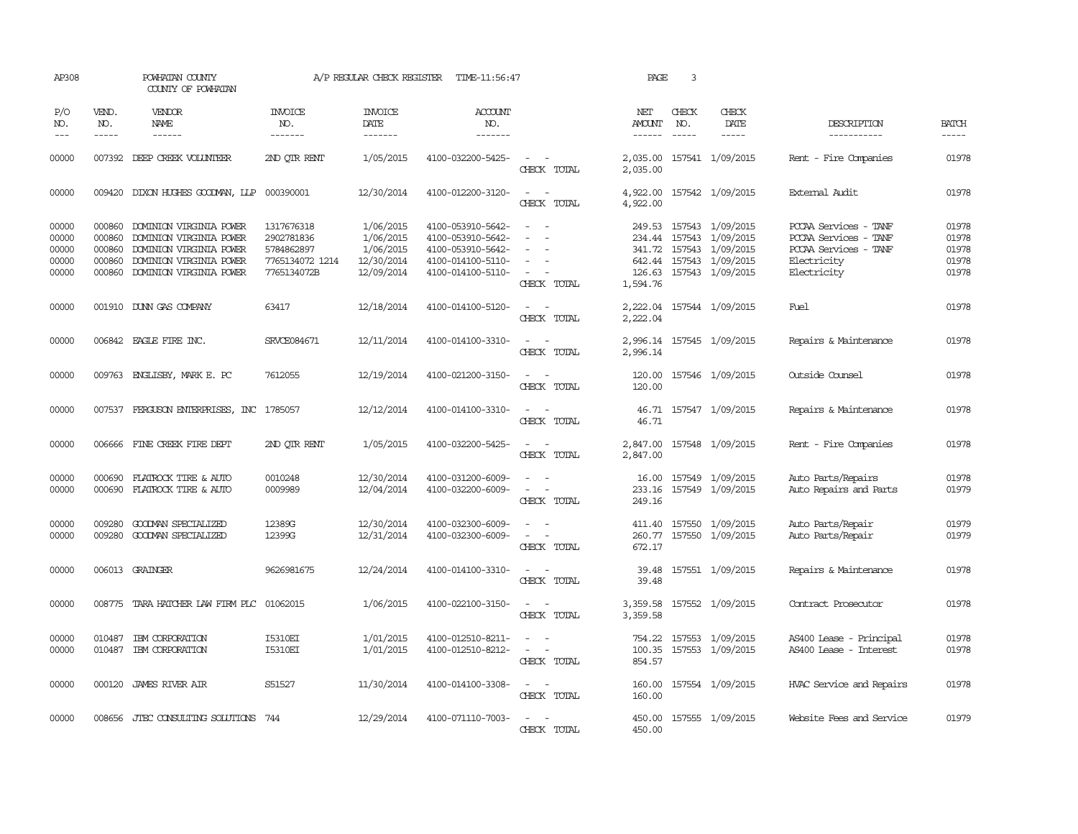| AP308                                     |                                                | POWHATAN COUNTY<br>COUNTY OF POWHATAN                                                                                               |                                                                          | A/P REGULAR CHECK REGISTER                                      | TIME-11:56:47                                                                                         |                                                                                                                             | PAGE                         | 3                             |                                                                                                                       |                                                                                                       |                                           |
|-------------------------------------------|------------------------------------------------|-------------------------------------------------------------------------------------------------------------------------------------|--------------------------------------------------------------------------|-----------------------------------------------------------------|-------------------------------------------------------------------------------------------------------|-----------------------------------------------------------------------------------------------------------------------------|------------------------------|-------------------------------|-----------------------------------------------------------------------------------------------------------------------|-------------------------------------------------------------------------------------------------------|-------------------------------------------|
| P/O<br>NO.<br>$---$                       | VEND.<br>NO.<br>$\frac{1}{2}$                  | VENDOR<br><b>NAME</b><br>------                                                                                                     | <b>INVOICE</b><br>NO.<br>-------                                         | <b>INVOICE</b><br>DATE<br>-------                               | ACCOUNT<br>NO.<br>-------                                                                             |                                                                                                                             | NET<br>AMOUNT<br>------      | CHECK<br>NO.<br>$\frac{1}{2}$ | CHECK<br>DATE<br>$\cdots \cdots \cdots$                                                                               | DESCRIPTION<br>-----------                                                                            | <b>BATCH</b><br>-----                     |
| 00000                                     |                                                | 007392 DEEP CREEK VOLUNTEER                                                                                                         | 2ND OTR RENT                                                             | 1/05/2015                                                       | 4100-032200-5425-                                                                                     | $\overline{\phantom{a}}$<br>CHECK TOTAL                                                                                     | 2,035.00<br>2,035.00         |                               | 157541 1/09/2015                                                                                                      | Rent - Fire Companies                                                                                 | 01978                                     |
| 00000                                     | 009420                                         | DIXON HUGHES GOODWAN, LLP                                                                                                           | 000390001                                                                | 12/30/2014                                                      | 4100-012200-3120-                                                                                     | $\equiv$<br>CHECK TOTAL                                                                                                     | 4,922.00<br>4,922.00         |                               | 157542 1/09/2015                                                                                                      | External Audit                                                                                        | 01978                                     |
| 00000<br>00000<br>00000<br>00000<br>00000 | 000860<br>000860<br>000860<br>000860<br>000860 | DOMINION VIRGINIA POWER<br>DOMINION VIRGINIA POWER<br>DOMINION VIRGINIA POWER<br>DOMINION VIRGINIA POWER<br>DOMINION VIRGINIA POWER | 1317676318<br>2902781836<br>5784862897<br>7765134072 1214<br>7765134072B | 1/06/2015<br>1/06/2015<br>1/06/2015<br>12/30/2014<br>12/09/2014 | 4100-053910-5642-<br>4100-053910-5642-<br>4100-053910-5642-<br>4100-014100-5110-<br>4100-014100-5110- | - 11<br>$\sim$<br>$\overline{\phantom{a}}$<br>$\overline{\phantom{a}}$<br>CHECK TOTAL                                       | 234.44<br>126.63<br>1,594.76 |                               | 249.53 157543 1/09/2015<br>157543 1/09/2015<br>341.72 157543 1/09/2015<br>642.44 157543 1/09/2015<br>157543 1/09/2015 | PCCAA Services - TANF<br>PCCAA Services - TANF<br>PCCAA Services - TANF<br>Electricity<br>Electricity | 01978<br>01978<br>01978<br>01978<br>01978 |
| 00000                                     |                                                | 001910 DUNN GAS COMPANY                                                                                                             | 63417                                                                    | 12/18/2014                                                      | 4100-014100-5120-                                                                                     | $\frac{1}{2} \left( \frac{1}{2} \right) \left( \frac{1}{2} \right) = \frac{1}{2} \left( \frac{1}{2} \right)$<br>CHECK TOTAL | 2,222.04<br>2,222.04         |                               | 157544 1/09/2015                                                                                                      | Fuel                                                                                                  | 01978                                     |
| 00000                                     |                                                | 006842 EAGLE FIRE INC.                                                                                                              | SRVCE084671                                                              | 12/11/2014                                                      | 4100-014100-3310-                                                                                     | $\sim$<br>CHECK TOTAL                                                                                                       | 2,996.14                     |                               | 2,996.14 157545 1/09/2015                                                                                             | Repairs & Maintenance                                                                                 | 01978                                     |
| 00000                                     |                                                | 009763 ENGLISBY, MARK E. PC                                                                                                         | 7612055                                                                  | 12/19/2014                                                      | 4100-021200-3150-                                                                                     | $\sim$ 10 $\sim$ 10 $\sim$<br>CHECK TOTAL                                                                                   | 120.00<br>120.00             |                               | 157546 1/09/2015                                                                                                      | Outside Counsel                                                                                       | 01978                                     |
| 00000                                     |                                                | 007537 FERGUSON ENTERPRISES, INC 1785057                                                                                            |                                                                          | 12/12/2014                                                      | 4100-014100-3310-                                                                                     | $\frac{1}{2} \left( \frac{1}{2} \right) \left( \frac{1}{2} \right) = \frac{1}{2} \left( \frac{1}{2} \right)$<br>CHECK TOTAL | 46.71<br>46.71               |                               | 157547 1/09/2015                                                                                                      | Repairs & Maintenance                                                                                 | 01978                                     |
| 00000                                     | 006666                                         | FINE CREEK FIRE DEPT                                                                                                                | 2ND OTR RENT                                                             | 1/05/2015                                                       | 4100-032200-5425-                                                                                     | $\sim$<br>CHECK TOTAL                                                                                                       | 2,847.00<br>2,847.00         |                               | 157548 1/09/2015                                                                                                      | Rent - Fire Companies                                                                                 | 01978                                     |
| 00000<br>00000                            | 000690                                         | FLATROCK TIRE & AUTO<br>000690 FLATROCK TIRE & AUTO                                                                                 | 0010248<br>0009989                                                       | 12/30/2014<br>12/04/2014                                        | 4100-031200-6009-<br>4100-032200-6009-                                                                | $\sim$ $\sim$<br>CHECK TOTAL                                                                                                | 249.16                       |                               | 16.00 157549 1/09/2015<br>233.16 157549 1/09/2015                                                                     | Auto Parts/Repairs<br>Auto Repairs and Parts                                                          | 01978<br>01979                            |
| 00000<br>00000                            | 009280<br>009280                               | GOODMAN SPECIALIZED<br>GOODMAN SPECIALIZED                                                                                          | 12389G<br>12399G                                                         | 12/30/2014<br>12/31/2014                                        | 4100-032300-6009-<br>4100-032300-6009-                                                                | $\equiv$<br>CHECK TOTAL                                                                                                     | 411.40<br>260.77<br>672.17   |                               | 157550 1/09/2015<br>157550 1/09/2015                                                                                  | Auto Parts/Repair<br>Auto Parts/Repair                                                                | 01979<br>01979                            |
| 00000                                     |                                                | 006013 GRAINGER                                                                                                                     | 9626981675                                                               | 12/24/2014                                                      | 4100-014100-3310-                                                                                     | $\sim$ 10 $\sim$<br>CHECK TOTAL                                                                                             | 39.48<br>39.48               |                               | 157551 1/09/2015                                                                                                      | Repairs & Maintenance                                                                                 | 01978                                     |
| 00000                                     |                                                | 008775 TARA HATCHER LAW FIRM PLC 01062015                                                                                           |                                                                          | 1/06/2015                                                       | 4100-022100-3150-                                                                                     | CHECK TOTAL                                                                                                                 | 3,359.58<br>3,359.58         |                               | 157552 1/09/2015                                                                                                      | Contract Prosecutor                                                                                   | 01978                                     |
| 00000<br>00000                            | 010487<br>010487                               | IBM CORPORATION<br>IBM CORPORATION                                                                                                  | <b>I5310EI</b><br><b>I5310EI</b>                                         | 1/01/2015<br>1/01/2015                                          | 4100-012510-8211-<br>4100-012510-8212-                                                                | $\overline{\phantom{a}}$<br>$\omega_{\rm{max}}$ and $\omega_{\rm{max}}$<br>CHECK TOTAL                                      | 754.22<br>100.35<br>854.57   |                               | 157553 1/09/2015<br>157553 1/09/2015                                                                                  | AS400 Lease - Principal<br>AS400 Lease - Interest                                                     | 01978<br>01978                            |
| 00000                                     |                                                | 000120 JAMES RIVER AIR                                                                                                              | S51527                                                                   | 11/30/2014                                                      | 4100-014100-3308-                                                                                     | $\sim$ $ \sim$<br>CHECK TOTAL                                                                                               | 160.00<br>160.00             |                               | 157554 1/09/2015                                                                                                      | HVAC Service and Repairs                                                                              | 01978                                     |
| 00000                                     |                                                | 008656 JTEC CONSULTING SOLUTIONS 744                                                                                                |                                                                          | 12/29/2014                                                      | 4100-071110-7003-                                                                                     | $\sim$<br>CHECK TOTAL                                                                                                       | 450.00                       |                               | 450.00 157555 1/09/2015                                                                                               | Website Fees and Service                                                                              | 01979                                     |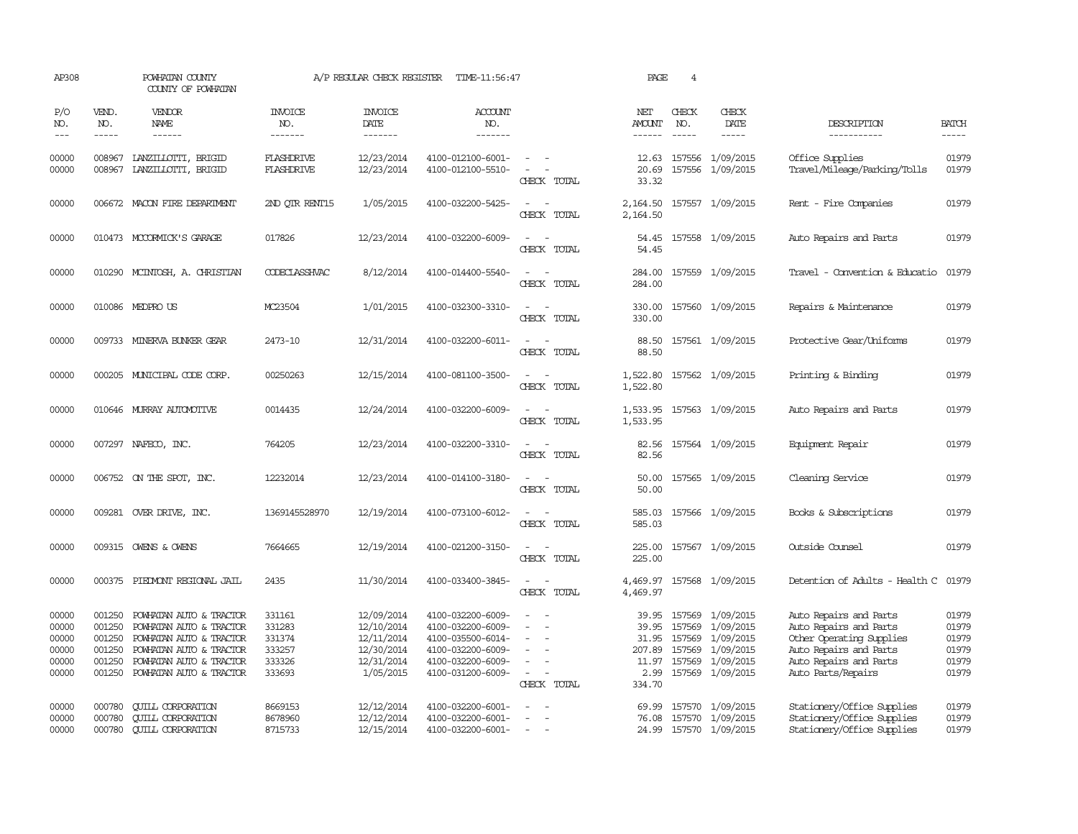| AP308                                              |                                                          | POWHATAN COUNTY<br>COUNTY OF POWHATAN                                                                                                                          |                                                          | A/P REGULAR CHECK REGISTER                                                      | TIME-11:56:47                                                                                                              |                                                                               | PAGE                                                | $\overline{4}$                |                                                                                                       |                                                                                                                                                        |                                                    |
|----------------------------------------------------|----------------------------------------------------------|----------------------------------------------------------------------------------------------------------------------------------------------------------------|----------------------------------------------------------|---------------------------------------------------------------------------------|----------------------------------------------------------------------------------------------------------------------------|-------------------------------------------------------------------------------|-----------------------------------------------------|-------------------------------|-------------------------------------------------------------------------------------------------------|--------------------------------------------------------------------------------------------------------------------------------------------------------|----------------------------------------------------|
| P/O<br>NO.<br>$---$                                | VEND.<br>NO.<br>$- - - - -$                              | <b>VENDOR</b><br>NAME<br>------                                                                                                                                | <b>INVOICE</b><br>NO.<br>-------                         | <b>INVOICE</b><br>DATE<br>-------                                               | <b>ACCOUNT</b><br>NO.<br>-------                                                                                           |                                                                               | NET<br>AMOUNT<br>------                             | CHECK<br>NO.<br>$\frac{1}{2}$ | CHECK<br>DATE                                                                                         | DESCRIPTION<br>-----------                                                                                                                             | <b>BATCH</b><br>-----                              |
| 00000<br>00000                                     | 008967<br>008967                                         | LANZILLOTTI, BRIGID<br>LANZILLOTTI, BRIGID                                                                                                                     | <b>FLASHDRIVE</b><br><b>FLASHDRIVE</b>                   | 12/23/2014<br>12/23/2014                                                        | 4100-012100-6001-<br>4100-012100-5510-                                                                                     | $\sim$ $-$<br>$\sim$<br>CHECK TOTAL                                           | 12.63<br>20.69<br>33.32                             |                               | 157556 1/09/2015<br>157556 1/09/2015                                                                  | Office Supplies<br>Travel/Mileage/Parking/Tolls                                                                                                        | 01979<br>01979                                     |
| 00000                                              | 006672                                                   | MACON FIRE DEPARTMENT                                                                                                                                          | 2ND OTR RENT15                                           | 1/05/2015                                                                       | 4100-032200-5425-                                                                                                          | $\overline{\phantom{a}}$<br>CHECK TOTAL                                       | 2,164.50<br>2,164.50                                |                               | 157557 1/09/2015                                                                                      | Rent - Fire Companies                                                                                                                                  | 01979                                              |
| 00000                                              |                                                          | 010473 MCCORMICK'S GARAGE                                                                                                                                      | 017826                                                   | 12/23/2014                                                                      | 4100-032200-6009-                                                                                                          | $\equiv$<br>CHECK TOTAL                                                       | 54.45<br>54.45                                      |                               | 157558 1/09/2015                                                                                      | Auto Repairs and Parts                                                                                                                                 | 01979                                              |
| 00000                                              |                                                          | 010290 MCINTOSH, A. CHRISTIAN                                                                                                                                  | CODECLASSHVAC                                            | 8/12/2014                                                                       | 4100-014400-5540-                                                                                                          | $\overline{\phantom{a}}$<br>$\overline{\phantom{a}}$<br>CHECK TOTAL           | 284.00<br>284.00                                    |                               | 157559 1/09/2015                                                                                      | Travel - Convention & Educatio                                                                                                                         | 01979                                              |
| 00000                                              |                                                          | 010086 MEDPROUS                                                                                                                                                | MC23504                                                  | 1/01/2015                                                                       | 4100-032300-3310-                                                                                                          | $\sim$<br>CHECK TOTAL                                                         | 330.00<br>330.00                                    |                               | 157560 1/09/2015                                                                                      | Repairs & Maintenance                                                                                                                                  | 01979                                              |
| 00000                                              |                                                          | 009733 MINERVA BUNKER GEAR                                                                                                                                     | 2473-10                                                  | 12/31/2014                                                                      | 4100-032200-6011-                                                                                                          | $\sim$<br>CHECK TOTAL                                                         | 88.50<br>88.50                                      |                               | 157561 1/09/2015                                                                                      | Protective Gear/Uniforms                                                                                                                               | 01979                                              |
| 00000                                              |                                                          | 000205 MUNICIPAL CODE CORP.                                                                                                                                    | 00250263                                                 | 12/15/2014                                                                      | 4100-081100-3500-                                                                                                          | $\sim$ 100 $\sim$ 100 $\sim$<br>CHECK TOTAL                                   | 1,522.80<br>1,522.80                                |                               | 157562 1/09/2015                                                                                      | Printing & Binding                                                                                                                                     | 01979                                              |
| 00000                                              |                                                          | 010646 MURRAY AUTOMOTTVE                                                                                                                                       | 0014435                                                  | 12/24/2014                                                                      | 4100-032200-6009-                                                                                                          | $\overline{\phantom{a}}$<br>CHECK TOTAL                                       | 1,533.95<br>1,533.95                                |                               | 157563 1/09/2015                                                                                      | Auto Repairs and Parts                                                                                                                                 | 01979                                              |
| 00000                                              |                                                          | 007297 NAFECO, INC.                                                                                                                                            | 764205                                                   | 12/23/2014                                                                      | 4100-032200-3310-                                                                                                          | CHECK TOTAL                                                                   | 82.56<br>82.56                                      |                               | 157564 1/09/2015                                                                                      | Equipment Repair                                                                                                                                       | 01979                                              |
| 00000                                              |                                                          | 006752 ON THE SPOT, INC.                                                                                                                                       | 12232014                                                 | 12/23/2014                                                                      | 4100-014100-3180-                                                                                                          | $\overline{\phantom{a}}$<br>CHECK TOTAL                                       | 50.00<br>50.00                                      |                               | 157565 1/09/2015                                                                                      | Cleaning Service                                                                                                                                       | 01979                                              |
| 00000                                              |                                                          | 009281 OVER DRIVE, INC.                                                                                                                                        | 1369145528970                                            | 12/19/2014                                                                      | 4100-073100-6012-                                                                                                          | $\equiv$<br>CHECK TOTAL                                                       | 585.03<br>585.03                                    |                               | 157566 1/09/2015                                                                                      | Books & Subscriptions                                                                                                                                  | 01979                                              |
| 00000                                              |                                                          | 009315 OWENS & OWENS                                                                                                                                           | 7664665                                                  | 12/19/2014                                                                      | 4100-021200-3150-                                                                                                          | $\sim$<br>CHECK TOTAL                                                         | 225.00<br>225.00                                    |                               | 157567 1/09/2015                                                                                      | Outside Counsel                                                                                                                                        | 01979                                              |
| 00000                                              |                                                          | 000375 PIEDMONT REGIONAL JAIL                                                                                                                                  | 2435                                                     | 11/30/2014                                                                      | 4100-033400-3845-                                                                                                          | $\sim$<br>CHECK TOTAL                                                         | 4,469.97<br>4,469.97                                |                               | 157568 1/09/2015                                                                                      | Detention of Adults - Health C                                                                                                                         | 01979                                              |
| 00000<br>00000<br>00000<br>00000<br>00000<br>00000 | 001250<br>001250<br>001250<br>001250<br>001250<br>001250 | POWHATAN AUTO & TRACTOR<br>POWHATAN AUTO & TRACTOR<br>POWHATAN AUTO & TRACTOR<br>POWHATAN AUTO & TRACTOR<br>POWHATAN AUTO & TRACTOR<br>POWHATAN AUTO & TRACTOR | 331161<br>331283<br>331374<br>333257<br>333326<br>333693 | 12/09/2014<br>12/10/2014<br>12/11/2014<br>12/30/2014<br>12/31/2014<br>1/05/2015 | 4100-032200-6009-<br>4100-032200-6009-<br>4100-035500-6014-<br>4100-032200-6009-<br>4100-032200-6009-<br>4100-031200-6009- | $\overline{\phantom{a}}$<br>$\overline{\phantom{a}}$<br>$\sim$<br>CHECK TOTAL | 39.95<br>39.95<br>31.95<br>207.89<br>2.99<br>334.70 | 157569<br>157569<br>157569    | 157569 1/09/2015<br>1/09/2015<br>1/09/2015<br>1/09/2015<br>11.97 157569 1/09/2015<br>157569 1/09/2015 | Auto Repairs and Parts<br>Auto Repairs and Parts<br>Other Operating Supplies<br>Auto Repairs and Parts<br>Auto Repairs and Parts<br>Auto Parts/Repairs | 01979<br>01979<br>01979<br>01979<br>01979<br>01979 |
| 00000<br>00000<br>00000                            | 000780<br>000780<br>000780                               | <b>QUILL CORPORATION</b><br><b>CUILL CORPORATION</b><br><b>CUILL CORPORATION</b>                                                                               | 8669153<br>8678960<br>8715733                            | 12/12/2014<br>12/12/2014<br>12/15/2014                                          | 4100-032200-6001-<br>4100-032200-6001-<br>4100-032200-6001-                                                                | $\equiv$<br>$\sim$                                                            | 69.99<br>76.08<br>24.99                             |                               | 157570 1/09/2015<br>157570 1/09/2015<br>157570 1/09/2015                                              | Stationery/Office Supplies<br>Stationery/Office Supplies<br>Stationery/Office Supplies                                                                 | 01979<br>01979<br>01979                            |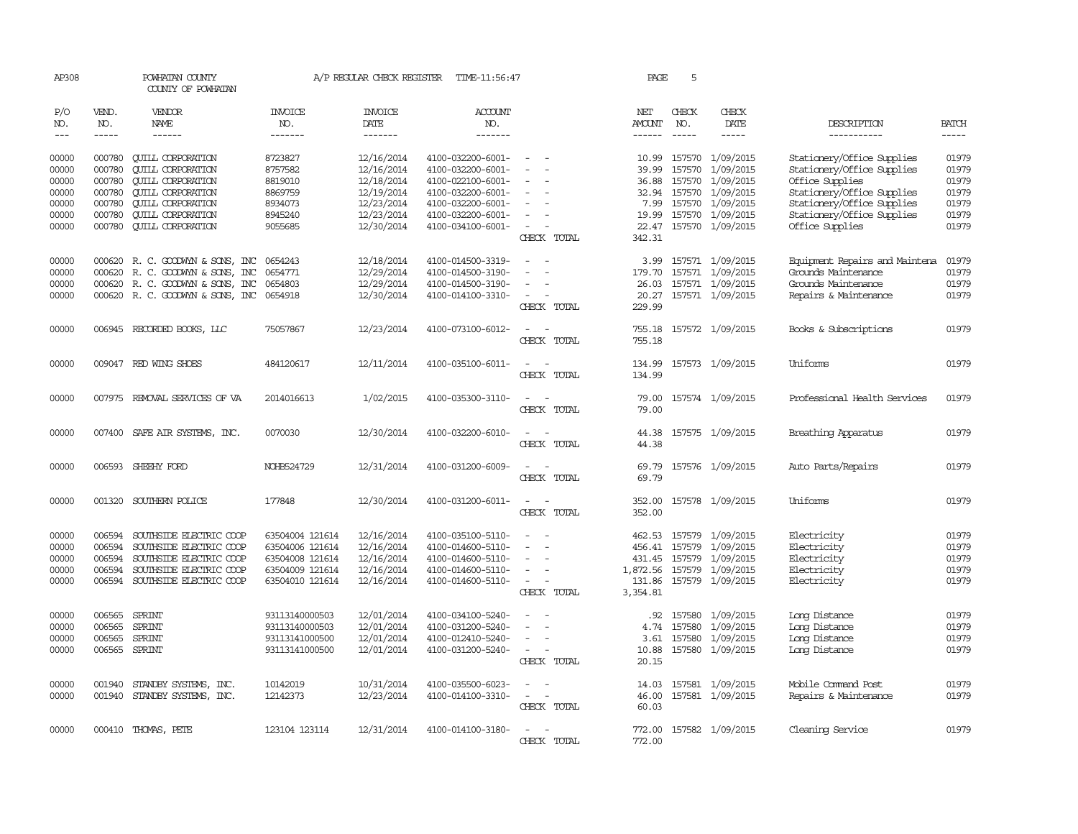| AP308          |                  | POWHATAN COUNTY<br>COUNTY OF POWHATAN                  |                    |                          | A/P REGULAR CHECK REGISTER TIME-11:56:47 |                                         | PAGE           | 5             |                                      |                                                          |                |
|----------------|------------------|--------------------------------------------------------|--------------------|--------------------------|------------------------------------------|-----------------------------------------|----------------|---------------|--------------------------------------|----------------------------------------------------------|----------------|
| P/O<br>NO.     | VEND.<br>NO.     | VENDOR<br>NAME                                         | INVOICE<br>NO.     | <b>INVOICE</b><br>DATE   | <b>ACCOUNT</b><br>NO.                    |                                         | NET<br>AMOUNT  | CHECK<br>NO.  | CHECK<br>DATE                        | DESCRIPTION                                              | <b>BATCH</b>   |
| $\frac{1}{2}$  | $- - - - -$      | $- - - - - -$                                          | -------            | -------                  | -------                                  |                                         | $- - - - - -$  | $\frac{1}{2}$ | -----                                | -----------                                              | $- - - - -$    |
| 00000<br>00000 | 000780<br>000780 | <b>CUILL CORPORATION</b><br><b>QUILL CORPORATION</b>   | 8723827<br>8757582 | 12/16/2014<br>12/16/2014 | 4100-032200-6001-<br>4100-032200-6001-   | $\overline{\phantom{a}}$                | 10.99<br>39.99 | 157570        | 157570 1/09/2015<br>1/09/2015        | Stationery/Office Supplies<br>Stationery/Office Supplies | 01979<br>01979 |
| 00000          | 000780           | <b>CUILL CORPORATION</b>                               | 8819010            | 12/18/2014               | 4100-022100-6001-                        |                                         | 36.88          | 157570        | 1/09/2015                            | Office Supplies                                          | 01979          |
| 00000          | 000780           | <b>CUILL CORPORATION</b>                               | 8869759            | 12/19/2014               | 4100-032200-6001-                        |                                         | 32.94          |               | 157570 1/09/2015                     | Stationery/Office Supplies                               | 01979          |
| 00000          | 000780           | <b>QUILL CORPORATION</b>                               | 8934073            | 12/23/2014               | 4100-032200-6001-                        |                                         | 7.99           |               | 157570 1/09/2015                     | Stationery/Office Supplies                               | 01979          |
| 00000          | 000780           | <b>QUILL CORPORATION</b>                               | 8945240            | 12/23/2014               | 4100-032200-6001-                        |                                         | 19.99          |               | 157570 1/09/2015                     | Stationery/Office Supplies                               | 01979          |
| 00000          | 000780           | <b>QUILL CORPORATION</b>                               | 9055685            | 12/30/2014               | 4100-034100-6001-                        | $\overline{\phantom{a}}$<br>CHECK TOTAL | 342.31         |               | 22.47 157570 1/09/2015               | Office Supplies                                          | 01979          |
| 00000          |                  |                                                        | 0654243            |                          |                                          |                                         |                |               |                                      |                                                          | 01979          |
| 00000          | 000620<br>000620 | R. C. GOODWYN & SONS, INC<br>R. C. GOODWYN & SONS, INC | 0654771            | 12/18/2014<br>12/29/2014 | 4100-014500-3319-<br>4100-014500-3190-   |                                         | 3.99<br>179.70 |               | 157571 1/09/2015<br>157571 1/09/2015 | Equipment Repairs and Maintena<br>Grounds Maintenance    | 01979          |
| 00000          |                  | 000620 R. C. GOODWYN & SONS, INC                       | 0654803            | 12/29/2014               | 4100-014500-3190-                        | $\sim$                                  | 26.03          |               | 157571 1/09/2015                     | Grounds Maintenance                                      | 01979          |
| 00000          |                  | 000620 R. C. GOODWYN & SONS, INC 0654918               |                    | 12/30/2014               | 4100-014100-3310-                        |                                         | 20.27          |               | 157571 1/09/2015                     | Repairs & Maintenance                                    | 01979          |
|                |                  |                                                        |                    |                          |                                          | CHECK TOTAL                             | 229.99         |               |                                      |                                                          |                |
| 00000          |                  | 006945 RECORDED BOOKS, LLC                             | 75057867           | 12/23/2014               | 4100-073100-6012-                        | $\sim$                                  | 755.18         |               | 157572 1/09/2015                     | Books & Subscriptions                                    | 01979          |
|                |                  |                                                        |                    |                          |                                          | CHECK TOTAL                             | 755.18         |               |                                      |                                                          |                |
| 00000          |                  | 009047 RED WING SHOES                                  | 484120617          | 12/11/2014               | 4100-035100-6011-                        | $ -$                                    | 134.99         |               | 157573 1/09/2015                     | Uniforms                                                 | 01979          |
|                |                  |                                                        |                    |                          |                                          | CHECK TOTAL                             | 134.99         |               |                                      |                                                          |                |
| 00000          |                  | 007975 REMOVAL SERVICES OF VA                          | 2014016613         | 1/02/2015                | 4100-035300-3110-                        | $\overline{\phantom{a}}$                | 79.00          |               | 157574 1/09/2015                     | Professional Health Services                             | 01979          |
|                |                  |                                                        |                    |                          |                                          | CHECK TOTAL                             | 79.00          |               |                                      |                                                          |                |
| 00000          |                  | 007400 SAFE AIR SYSTEMS, INC.                          | 0070030            | 12/30/2014               | 4100-032200-6010-                        |                                         | 44.38          |               | 157575 1/09/2015                     | Breathing Apparatus                                      | 01979          |
|                |                  |                                                        |                    |                          |                                          | CHECK TOTAL                             | 44.38          |               |                                      |                                                          |                |
| 00000          | 006593           | SHEEHY FORD                                            | NOHB524729         | 12/31/2014               | 4100-031200-6009-                        |                                         | 69.79          |               | 157576 1/09/2015                     | Auto Parts/Repairs                                       | 01979          |
|                |                  |                                                        |                    |                          |                                          | CHECK TOTAL                             | 69.79          |               |                                      |                                                          |                |
| 00000          |                  | 001320 SOUTHERN POLICE                                 | 177848             | 12/30/2014               | 4100-031200-6011-                        | $\equiv$                                | 352.00         |               | 157578 1/09/2015                     | Uniforms                                                 | 01979          |
|                |                  |                                                        |                    |                          |                                          | CHECK TOTAL                             | 352.00         |               |                                      |                                                          |                |
| 00000          | 006594           | SOUTHSIDE ELECTRIC COOP                                | 63504004 121614    | 12/16/2014               | 4100-035100-5110-                        |                                         |                |               | 462.53 157579 1/09/2015              | Electricity                                              | 01979          |
| 00000          | 006594           | SOUTHSIDE ELECTRIC COOP                                | 63504006 121614    | 12/16/2014               | 4100-014600-5110-                        |                                         | 456.41         |               | 157579 1/09/2015                     | Electricity                                              | 01979          |
| 00000          | 006594           | SOUTHSIDE ELECTRIC COOP                                | 63504008 121614    | 12/16/2014               | 4100-014600-5110-                        |                                         |                |               | 431.45 157579 1/09/2015              | Electricity                                              | 01979          |
| 00000          | 006594           | SOUTHSIDE ELECTRIC COOP                                | 63504009 121614    | 12/16/2014               | 4100-014600-5110-                        |                                         | 1,872.56       |               | 157579 1/09/2015                     | Electricity                                              | 01979          |
| 00000          | 006594           | SOUTHSIDE ELECTRIC COOP                                | 63504010 121614    | 12/16/2014               | 4100-014600-5110-                        | $\sim$                                  | 131.86         |               | 157579 1/09/2015                     | Electricity                                              | 01979          |
|                |                  |                                                        |                    |                          |                                          | CHECK TOTAL                             | 3,354.81       |               |                                      |                                                          |                |
| 00000          | 006565           | SPRINT                                                 | 93113140000503     | 12/01/2014               | 4100-034100-5240-                        |                                         | .92            |               | 157580 1/09/2015                     | Long Distance                                            | 01979          |
| 00000          | 006565           | SPRINT                                                 | 93113140000503     | 12/01/2014               | 4100-031200-5240-                        |                                         | 4.74           | 157580        | 1/09/2015                            | Long Distance                                            | 01979          |
| 00000          | 006565           | SPRINT                                                 | 93113141000500     | 12/01/2014               | 4100-012410-5240-                        |                                         | 3.61           | 157580        | 1/09/2015                            | Long Distance                                            | 01979          |
| 00000          | 006565           | SPRINT                                                 | 93113141000500     | 12/01/2014               | 4100-031200-5240-                        | CHECK TOTAL                             | 10.88<br>20.15 |               | 157580 1/09/2015                     | Long Distance                                            | 01979          |
|                |                  |                                                        |                    |                          |                                          |                                         |                |               |                                      |                                                          |                |
| 00000          | 001940           | STANDBY SYSTEMS, INC.                                  | 10142019           | 10/31/2014               | 4100-035500-6023-                        |                                         | 14.03          |               | 157581 1/09/2015                     | Mobile Command Post                                      | 01979          |
| 00000          | 001940           | STANDBY SYSTEMS, INC.                                  | 12142373           | 12/23/2014               | 4100-014100-3310-                        | $\sim$<br>÷.                            | 46.00          |               | 157581 1/09/2015                     | Repairs & Maintenance                                    | 01979          |
|                |                  |                                                        |                    |                          |                                          | CHECK TOTAL                             | 60.03          |               |                                      |                                                          |                |
| 00000          |                  | 000410 THOMAS, PETE                                    | 123104 123114      | 12/31/2014               | 4100-014100-3180-                        |                                         | 772.00         |               | 157582 1/09/2015                     | Cleaning Service                                         | 01979          |
|                |                  |                                                        |                    |                          |                                          | CHECK TOTAL                             | 772.00         |               |                                      |                                                          |                |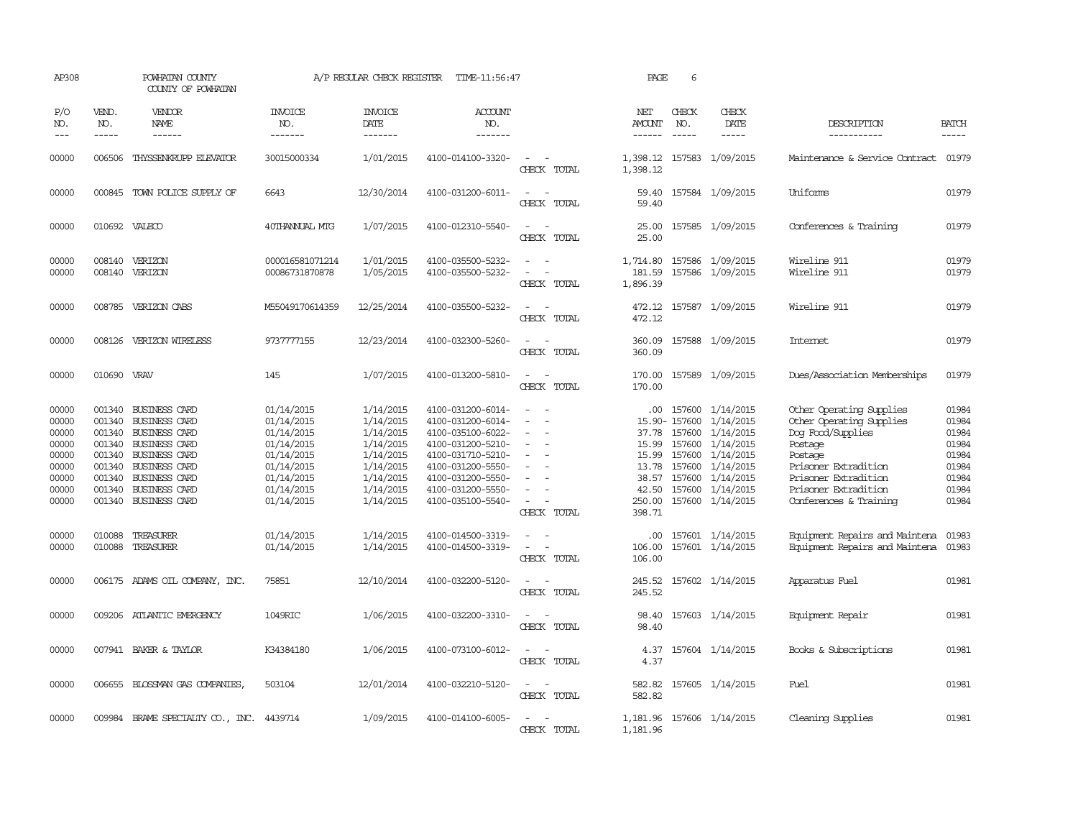| AP308                                                                         |                                      | POWHATAN COUNTY<br>COUNTY OF POWHATAN                                                                                                                                                                         |                                                                                                                            | A/P REGULAR CHECK REGISTER                                                                                        | TIME-11:56:47                                                                                                                                                                             |                                                                                                                             | PAGE                                                          | 6                      |                                                                                                                                                                              |                                                                                                                                                                                                   |                                                                               |
|-------------------------------------------------------------------------------|--------------------------------------|---------------------------------------------------------------------------------------------------------------------------------------------------------------------------------------------------------------|----------------------------------------------------------------------------------------------------------------------------|-------------------------------------------------------------------------------------------------------------------|-------------------------------------------------------------------------------------------------------------------------------------------------------------------------------------------|-----------------------------------------------------------------------------------------------------------------------------|---------------------------------------------------------------|------------------------|------------------------------------------------------------------------------------------------------------------------------------------------------------------------------|---------------------------------------------------------------------------------------------------------------------------------------------------------------------------------------------------|-------------------------------------------------------------------------------|
| P/O<br>NO.<br>$---$                                                           | VEND.<br>NO.<br>$- - - - -$          | VENDOR<br>NAME<br>------                                                                                                                                                                                      | <b>INVOICE</b><br>NO.<br>-------                                                                                           | <b>INVOICE</b><br>DATE<br>-------                                                                                 | <b>ACCOUNT</b><br>NO.<br>-------                                                                                                                                                          |                                                                                                                             | NET<br>AMOUNT<br>------                                       | CHECK<br>NO.           | CHECK<br>DATE<br>$- - - - -$                                                                                                                                                 | DESCRIPTION<br>-----------                                                                                                                                                                        | <b>BATCH</b><br>-----                                                         |
| 00000                                                                         | 006506                               | THYSSENKRUPP ELEVATOR                                                                                                                                                                                         | 30015000334                                                                                                                | 1/01/2015                                                                                                         | 4100-014100-3320-                                                                                                                                                                         | $\equiv$<br>CHECK TOTAL                                                                                                     | 1,398.12<br>1,398.12                                          |                        | 157583 1/09/2015                                                                                                                                                             | Maintenance & Service Contract                                                                                                                                                                    | 01979                                                                         |
| 00000                                                                         |                                      | 000845 TOWN POLICE SUPPLY OF                                                                                                                                                                                  | 6643                                                                                                                       | 12/30/2014                                                                                                        | 4100-031200-6011-                                                                                                                                                                         | $\sim$<br>CHECK TOTAL                                                                                                       | 59.40<br>59.40                                                |                        | 157584 1/09/2015                                                                                                                                                             | Uniforms                                                                                                                                                                                          | 01979                                                                         |
| 00000                                                                         |                                      | 010692 VALECO                                                                                                                                                                                                 | 40THANNUAL MTG                                                                                                             | 1/07/2015                                                                                                         | 4100-012310-5540-                                                                                                                                                                         | $\equiv$<br>CHECK TOTAL                                                                                                     | 25.00<br>25.00                                                |                        | 157585 1/09/2015                                                                                                                                                             | Conferences & Training                                                                                                                                                                            | 01979                                                                         |
| 00000<br>00000                                                                |                                      | 008140 VERIZON<br>008140 VERIZON                                                                                                                                                                              | 000016581071214<br>00086731870878                                                                                          | 1/01/2015<br>1/05/2015                                                                                            | 4100-035500-5232-<br>4100-035500-5232-                                                                                                                                                    | $\equiv$<br>$\sim$<br>CHECK TOTAL                                                                                           | 1,714.80<br>181.59<br>1,896.39                                |                        | 157586 1/09/2015<br>157586 1/09/2015                                                                                                                                         | Wireline 911<br>Wireline 911                                                                                                                                                                      | 01979<br>01979                                                                |
| 00000                                                                         |                                      | 008785 VERIZON CABS                                                                                                                                                                                           | M55049170614359                                                                                                            | 12/25/2014                                                                                                        | 4100-035500-5232-                                                                                                                                                                         | CHECK TOTAL                                                                                                                 | 472.12<br>472.12                                              |                        | 157587 1/09/2015                                                                                                                                                             | Wireline 911                                                                                                                                                                                      | 01979                                                                         |
| 00000                                                                         |                                      | 008126 VERIZON WIRELESS                                                                                                                                                                                       | 9737777155                                                                                                                 | 12/23/2014                                                                                                        | 4100-032300-5260-                                                                                                                                                                         | CHECK TOTAL                                                                                                                 | 360.09<br>360.09                                              |                        | 157588 1/09/2015                                                                                                                                                             | Internet                                                                                                                                                                                          | 01979                                                                         |
| 00000                                                                         | 010690 VRAV                          |                                                                                                                                                                                                               | 145                                                                                                                        | 1/07/2015                                                                                                         | 4100-013200-5810-                                                                                                                                                                         | $\overline{\phantom{a}}$<br>CHECK TOTAL                                                                                     | 170.00<br>170.00                                              |                        | 157589 1/09/2015                                                                                                                                                             | Dues/Association Memberships                                                                                                                                                                      | 01979                                                                         |
| 00000<br>00000<br>00000<br>00000<br>00000<br>00000<br>00000<br>00000<br>00000 | 001340<br>001340<br>001340<br>001340 | 001340 BUSINESS CARD<br><b>BUSINESS CARD</b><br>001340 BUSINESS CARD<br><b>BUSINESS CARD</b><br>BUSINESS CARD<br>001340 BUSINESS CARD<br><b>BUSINESS CARD</b><br>001340 BUSINESS CARD<br>001340 BUSINESS CARD | 01/14/2015<br>01/14/2015<br>01/14/2015<br>01/14/2015<br>01/14/2015<br>01/14/2015<br>01/14/2015<br>01/14/2015<br>01/14/2015 | 1/14/2015<br>1/14/2015<br>1/14/2015<br>1/14/2015<br>1/14/2015<br>1/14/2015<br>1/14/2015<br>1/14/2015<br>1/14/2015 | 4100-031200-6014-<br>4100-031200-6014-<br>4100-035100-6022-<br>4100-031200-5210-<br>4100-031710-5210-<br>4100-031200-5550-<br>4100-031200-5550-<br>4100-031200-5550-<br>4100-035100-5540- | $\sim$<br>$\sim$<br>$\equiv$<br>CHECK TOTAL                                                                                 | 37.78<br>15.99<br>15.99<br>13.78<br>38.57<br>250.00<br>398.71 | 15.90-157600<br>157600 | .00 157600 1/14/2015<br>1/14/2015<br>157600 1/14/2015<br>1/14/2015<br>157600 1/14/2015<br>157600 1/14/2015<br>157600 1/14/2015<br>42.50 157600 1/14/2015<br>157600 1/14/2015 | Other Operating Supplies<br>Other Operating Supplies<br>Dog Food/Supplies<br>Postage<br>Postage<br>Prisoner Extradition<br>Prisoner Extradition<br>Prisoner Extradition<br>Conferences & Training | 01984<br>01984<br>01984<br>01984<br>01984<br>01984<br>01984<br>01984<br>01984 |
| 00000<br>00000                                                                | 010088<br>010088                     | TREASURER<br>TREASURER                                                                                                                                                                                        | 01/14/2015<br>01/14/2015                                                                                                   | 1/14/2015<br>1/14/2015                                                                                            | 4100-014500-3319-<br>4100-014500-3319-                                                                                                                                                    | $\sim$<br>CHECK TOTAL                                                                                                       | $.00 \cdot$<br>106.00<br>106.00                               |                        | 157601 1/14/2015<br>157601 1/14/2015                                                                                                                                         | Equipment Repairs and Maintena<br>Equipment Repairs and Maintena                                                                                                                                  | 01983<br>01983                                                                |
| 00000                                                                         |                                      | 006175 ADAMS OIL COMPANY, INC.                                                                                                                                                                                | 75851                                                                                                                      | 12/10/2014                                                                                                        | 4100-032200-5120-                                                                                                                                                                         | $\equiv$<br>$\sim$<br>CHECK TOTAL                                                                                           | 245.52<br>245.52                                              |                        | 157602 1/14/2015                                                                                                                                                             | Apparatus Fuel                                                                                                                                                                                    | 01981                                                                         |
| 00000                                                                         |                                      | 009206 ATLANTIC EMERGENCY                                                                                                                                                                                     | 1049RIC                                                                                                                    | 1/06/2015                                                                                                         | 4100-032200-3310-                                                                                                                                                                         | $\frac{1}{2} \left( \frac{1}{2} \right) \left( \frac{1}{2} \right) = \frac{1}{2} \left( \frac{1}{2} \right)$<br>CHECK TOTAL | 98.40<br>98.40                                                |                        | 157603 1/14/2015                                                                                                                                                             | Equipment Repair                                                                                                                                                                                  | 01981                                                                         |
| 00000                                                                         |                                      | 007941 BAKER & TAYLOR                                                                                                                                                                                         | K34384180                                                                                                                  | 1/06/2015                                                                                                         | 4100-073100-6012-                                                                                                                                                                         | $\equiv$<br>$\sim$<br>CHECK TOTAL                                                                                           | 4.37<br>4.37                                                  |                        | 157604 1/14/2015                                                                                                                                                             | Books & Subscriptions                                                                                                                                                                             | 01981                                                                         |
| 00000                                                                         |                                      | 006655 BLOSSMAN GAS COMPANIES,                                                                                                                                                                                | 503104                                                                                                                     | 12/01/2014                                                                                                        | 4100-032210-5120-                                                                                                                                                                         | $\equiv$<br>CHECK TOTAL                                                                                                     | 582.82<br>582.82                                              |                        | 157605 1/14/2015                                                                                                                                                             | Fuel                                                                                                                                                                                              | 01981                                                                         |
| 00000                                                                         |                                      | 009984 BRAME SPECIALIY CO., INC. 4439714                                                                                                                                                                      |                                                                                                                            | 1/09/2015                                                                                                         | 4100-014100-6005-                                                                                                                                                                         | $\sim$<br>CHECK TOTAL                                                                                                       | 1,181.96<br>1,181.96                                          |                        | 157606 1/14/2015                                                                                                                                                             | Cleaning Supplies                                                                                                                                                                                 | 01981                                                                         |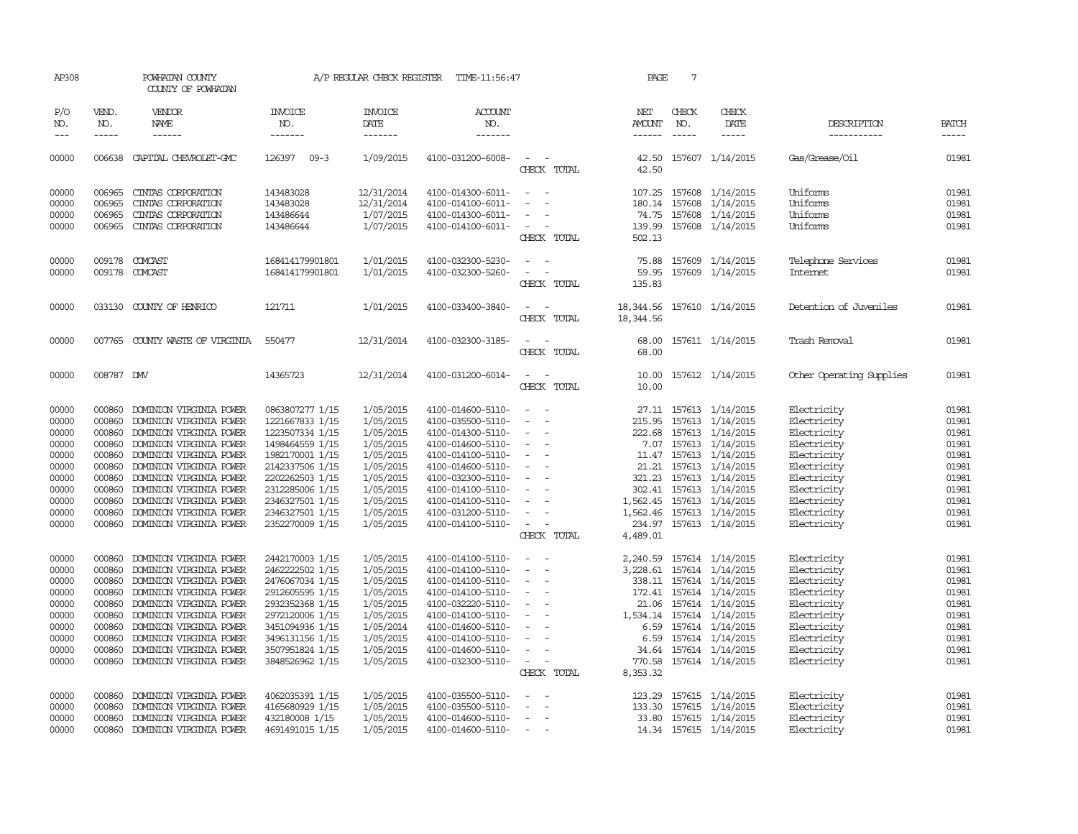| AP308          |                  | POWHATAN COUNTY<br>COUNTY OF POWHATAN              |                                    | A/P REGULAR CHECK REGISTER | TIME-11:56:47                          |                                                                                                                             | PAGE                     | 7             |                                                   |                                       |                |
|----------------|------------------|----------------------------------------------------|------------------------------------|----------------------------|----------------------------------------|-----------------------------------------------------------------------------------------------------------------------------|--------------------------|---------------|---------------------------------------------------|---------------------------------------|----------------|
| P/O<br>NO.     | VEND.<br>NO.     | VENDOR<br>NAME                                     | <b>INVOICE</b><br>NO.              | <b>INVOICE</b><br>DATE     | <b>ACCOUNT</b><br>NO.                  |                                                                                                                             | NET<br>AMOUNT            | CHECK<br>NO.  | CHECK<br>DATE                                     | DESCRIPTION                           | <b>BATCH</b>   |
| $---$          | $\frac{1}{2}$    | ------                                             | -------                            | -------                    | -------                                |                                                                                                                             | $- - - - - -$            | $\frac{1}{2}$ | -----                                             | -----------                           |                |
| 00000          |                  | 006638 CAPITAL CHEVROLET-CMC                       | 126397 09-3                        | 1/09/2015                  | 4100-031200-6008-                      | $\sim$<br>CHECK TOTAL                                                                                                       | 42.50                    |               | 42.50 157607 1/14/2015                            | Gas/Grease/Oil                        | 01981          |
| 00000<br>00000 | 006965<br>006965 | CINTAS CORPORATION<br>CINIAS CORPORATION           | 143483028<br>143483028             | 12/31/2014<br>12/31/2014   | 4100-014300-6011-<br>4100-014100-6011- | $\sim$<br>$\overline{\phantom{a}}$<br>$\overline{\phantom{a}}$<br>$\overline{\phantom{a}}$                                  | 180.14                   | 157608        | 107.25 157608 1/14/2015<br>1/14/2015              | Uniforms<br>Uniforms                  | 01981<br>01981 |
| 00000<br>00000 | 006965           | CINIAS CORPORATION<br>006965 CINIAS CORPORATION    | 143486644<br>143486644             | 1/07/2015<br>1/07/2015     | 4100-014300-6011-<br>4100-014100-6011- | $\overline{\phantom{a}}$<br>$\sim$ $-$<br>$\overline{\phantom{a}}$<br>CHECK TOTAL                                           | 502.13                   |               | 74.75 157608 1/14/2015<br>139.99 157608 1/14/2015 | Uniforms<br>Uniforms                  | 01981<br>01981 |
| 00000<br>00000 |                  | 009178 COMCAST<br>009178 COMCAST                   | 168414179901801<br>168414179901801 | 1/01/2015<br>1/01/2015     | 4100-032300-5230-<br>4100-032300-5260- | $\equiv$<br>$\overline{\phantom{a}}$<br>CHECK TOTAL                                                                         | 75.88<br>59.95<br>135.83 |               | 157609 1/14/2015<br>157609 1/14/2015              | Telephone Services<br><b>Internet</b> | 01981<br>01981 |
| 00000          |                  | 033130 COUNTY OF HENRICO                           | 121711                             | 1/01/2015                  | 4100-033400-3840-                      | $\frac{1}{2} \left( \frac{1}{2} \right) \left( \frac{1}{2} \right) = \frac{1}{2} \left( \frac{1}{2} \right)$<br>CHECK TOTAL | 18,344.56<br>18, 344.56  |               | 157610 1/14/2015                                  | Detention of Juveniles                | 01981          |
| 00000          |                  | 007765 COUNTY WASTE OF VIRGINIA                    | 550477                             | 12/31/2014                 | 4100-032300-3185-                      | $\frac{1}{2} \left( \frac{1}{2} \right) \left( \frac{1}{2} \right) = \frac{1}{2} \left( \frac{1}{2} \right)$<br>CHECK TOTAL | 68.00<br>68.00           |               | 157611 1/14/2015                                  | Trash Removal                         | 01981          |
| 00000          | 008787 DMV       |                                                    | 14365723                           | 12/31/2014                 | 4100-031200-6014-                      | $\sim$<br>$\sim$<br>CHECK TOTAL                                                                                             | 10.00                    |               | 10.00 157612 1/14/2015                            | Other Operating Supplies              | 01981          |
| 00000          | 000860           | DOMINION VIRGINIA POWER                            | 0863807277 1/15                    | 1/05/2015                  | 4100-014600-5110-                      |                                                                                                                             |                          |               | 27.11 157613 1/14/2015                            | Electricity                           | 01981          |
| 00000          | 000860           | DOMINION VIRGINIA POWER                            | 1221667833 1/15                    | 1/05/2015                  | 4100-035500-5110-                      | $\equiv$                                                                                                                    |                          |               | 215.95 157613 1/14/2015                           | Electricity                           | 01981          |
| 00000<br>00000 | 000860<br>000860 | DOMINION VIRGINIA POWER<br>DOMINION VIRGINIA POWER | 1223507334 1/15<br>1498464559 1/15 | 1/05/2015<br>1/05/2015     | 4100-014300-5110-<br>4100-014600-5110- | $\sim$<br>$\overline{\phantom{a}}$<br>$\sim$                                                                                | 7.07                     |               | 222.68 157613 1/14/2015<br>157613 1/14/2015       | Electricity<br>Electricity            | 01981<br>01981 |
| 00000          | 000860           | DOMINION VIRGINIA POWER                            | 1982170001 1/15                    | 1/05/2015                  | 4100-014100-5110-                      | $\overline{\phantom{a}}$                                                                                                    |                          |               | 11.47 157613 1/14/2015                            | Electricity                           | 01981          |
| 00000          |                  | 000860 DOMINION VIRGINIA POWER                     | 2142337506 1/15                    | 1/05/2015                  | 4100-014600-5110-                      | $\sim$<br>$\overline{\phantom{a}}$                                                                                          |                          |               | 21.21 157613 1/14/2015                            | Electricity                           | 01981          |
| 00000          | 000860           | DOMINION VIRGINIA POWER                            | 2202262503 1/15                    | 1/05/2015                  | 4100-032300-5110-                      | $\overline{\phantom{a}}$                                                                                                    |                          |               | 321.23 157613 1/14/2015                           | Electricity                           | 01981          |
| 00000          | 000860           | DOMINION VIRGINIA POWER                            | 2312285006 1/15                    | 1/05/2015                  | 4100-014100-5110-                      | $\sim$                                                                                                                      |                          |               | 302.41 157613 1/14/2015                           | Electricity                           | 01981          |
| 00000          | 000860           | DOMINION VIRGINIA POWER                            | 2346327501 1/15                    | 1/05/2015                  | 4100-014100-5110-                      | $\sim$                                                                                                                      |                          |               | 1,562.45 157613 1/14/2015                         | Electricity                           | 01981          |
| 00000          | 000860           | DOMINION VIRGINIA POWER                            | 2346327501 1/15                    | 1/05/2015                  | 4100-031200-5110-                      | $\overline{\phantom{a}}$                                                                                                    |                          |               | 1,562.46 157613 1/14/2015                         | Electricity                           | 01981          |
| 00000          |                  | 000860 DOMINION VIRGINIA POWER                     | 2352270009 1/15                    | 1/05/2015                  | 4100-014100-5110-                      | $\sim$                                                                                                                      |                          |               | 234.97 157613 1/14/2015                           | Electricity                           | 01981          |
|                |                  |                                                    |                                    |                            |                                        | CHECK TOTAL                                                                                                                 | 4,489.01                 |               |                                                   |                                       |                |
| 00000          | 000860           | DOMINION VIRGINIA POWER                            | 2442170003 1/15                    | 1/05/2015                  | 4100-014100-5110-                      | $\sim$                                                                                                                      |                          |               | 2, 240.59 157614 1/14/2015                        | Electricity                           | 01981          |
| 00000          | 000860           | DOMINION VIRGINIA POWER                            | 2462222502 1/15                    | 1/05/2015                  | 4100-014100-5110-                      | $\overline{\phantom{a}}$                                                                                                    |                          |               | 3, 228.61 157614 1/14/2015                        | Electricity                           | 01981          |
| 00000          | 000860           | DOMINION VIRGINIA POWER                            | 2476067034 1/15                    | 1/05/2015                  | 4100-014100-5110-                      | $\sim$<br>$\overline{\phantom{a}}$                                                                                          |                          |               | 338.11 157614 1/14/2015                           | Electricity                           | 01981          |
| 00000          | 000860           | DOMINION VIRGINIA POWER                            | 2912605595 1/15                    | 1/05/2015                  | 4100-014100-5110-                      | $\sim$                                                                                                                      |                          |               | 172.41 157614 1/14/2015                           | Electricity                           | 01981          |
| 00000          | 000860           | DOMINION VIRGINIA POWER                            | 2932352368 1/15                    | 1/05/2015                  | 4100-032220-5110-                      | $\sim$                                                                                                                      | 21.06                    |               | 157614 1/14/2015                                  | Electricity                           | 01981          |
| 00000          | 000860           | DOMINION VIRGINIA POWER                            | 2972120006 1/15                    | 1/05/2015                  | 4100-014100-5110-                      | $\sim$                                                                                                                      |                          |               | 1,534.14 157614 1/14/2015                         | Electricity                           | 01981          |
| 00000          | 000860           | DOMINION VIRGINIA POWER                            | 3451094936 1/15                    | 1/05/2014                  | 4100-014600-5110-                      | $\sim$<br>$\overline{\phantom{a}}$                                                                                          |                          |               | 6.59 157614 1/14/2015                             | Electricity                           | 01981          |
| 00000          | 000860           | DOMINION VIRGINIA POWER                            | 3496131156 1/15                    | 1/05/2015                  | 4100-014100-5110-                      | $\overline{\phantom{a}}$                                                                                                    | 6.59                     |               | 157614 1/14/2015                                  | Electricity                           | 01981          |
| 00000          | 000860           | DOMINION VIRGINIA POWER                            | 3507951824 1/15                    | 1/05/2015                  | 4100-014600-5110-                      | $\equiv$                                                                                                                    |                          |               | 34.64 157614 1/14/2015                            | Electricity                           | 01981          |
| 00000          | 000860           | DOMINION VIRGINIA POWER                            | 3848526962 1/15                    | 1/05/2015                  | 4100-032300-5110-                      | $\sim$<br>$\overline{\phantom{a}}$<br>CHECK TOTAL                                                                           | 770.58<br>8,353.32       |               | 157614 1/14/2015                                  | Electricity                           | 01981          |
| 00000          | 000860           | DOMINION VIRGINIA POWER                            | 4062035391 1/15                    | 1/05/2015                  | 4100-035500-5110-                      |                                                                                                                             | 123.29                   |               | 157615 1/14/2015                                  | Electricity                           | 01981          |
| 00000          | 000860           | DOMINION VIRGINIA POWER                            | 4165680929 1/15                    | 1/05/2015                  | 4100-035500-5110-                      | $\sim$<br>$\overline{\phantom{0}}$                                                                                          | 133.30                   |               | 157615 1/14/2015                                  | Electricity                           | 01981          |
| 00000          | 000860           | DOMINION VIRGINIA POWER                            | 432180008 1/15                     | 1/05/2015                  | 4100-014600-5110-                      | $\overline{\phantom{a}}$                                                                                                    | 33.80                    |               | 157615 1/14/2015                                  | Electricity                           | 01981          |
| 00000          | 000860           | DOMINION VIRGINIA POWER                            | 4691491015 1/15                    | 1/05/2015                  | 4100-014600-5110-                      | $\sim$                                                                                                                      |                          |               | 14.34 157615 1/14/2015                            | Electricity                           | 01981          |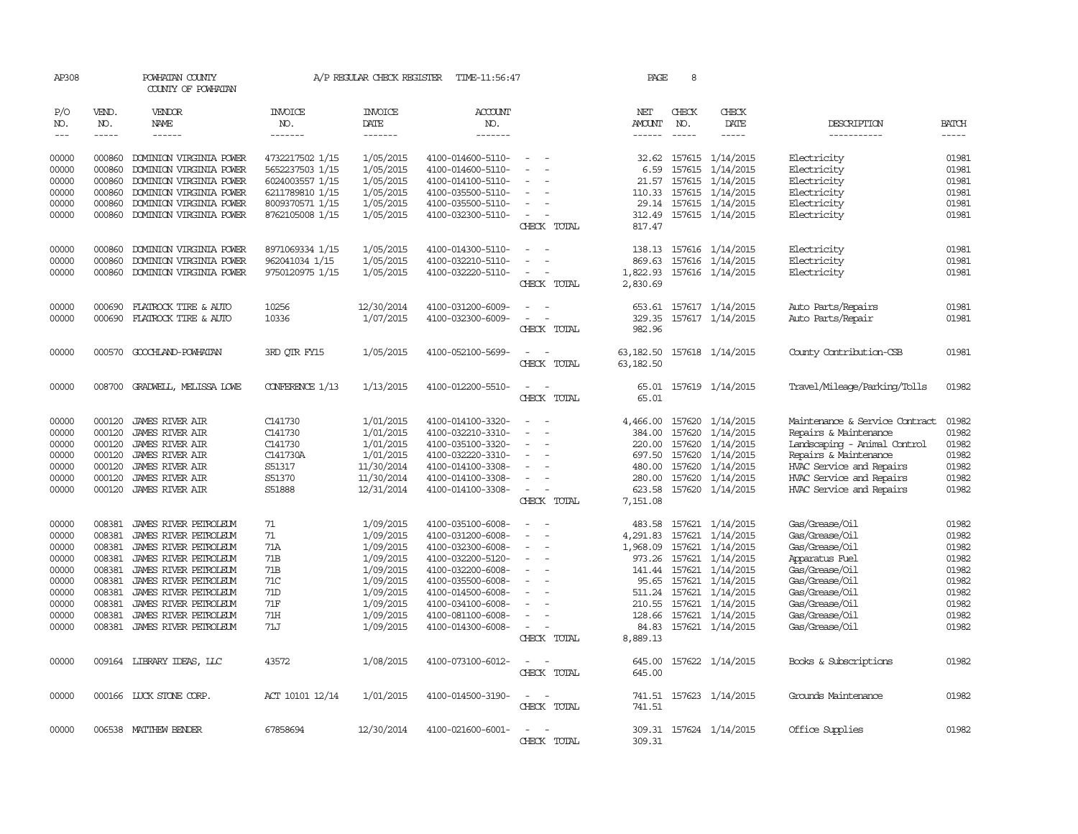| AP308      |              | POWHATAN COUNTY<br>COUNTY OF POWHATAN |                 |                        | A/P REGULAR CHECK REGISTER TIME-11:56:47 |                                                      | PAGE              | 8             |                         |                                |              |
|------------|--------------|---------------------------------------|-----------------|------------------------|------------------------------------------|------------------------------------------------------|-------------------|---------------|-------------------------|--------------------------------|--------------|
| P/O<br>NO. | VEND.<br>NO. | VENDOR<br>NAME                        | INVOICE<br>NO.  | <b>INVOICE</b><br>DATE | <b>ACCOUNT</b><br>NO.                    |                                                      | NET<br>AMOUNT     | CHECK<br>NO.  | CHECK<br>DATE           | DESCRIPTION                    | <b>BATCH</b> |
| $---$      | $- - - - -$  | ------                                | -------         | $- - - - - - -$        | -------                                  |                                                      | $- - - - - -$     | $- - - - -$   | $- - - - -$             | -----------                    | $- - - - -$  |
| 00000      | 000860       | DOMINION VIRGINIA POWER               | 4732217502 1/15 | 1/05/2015              | 4100-014600-5110-                        |                                                      | 32.62             |               | 157615 1/14/2015        | Electricity                    | 01981        |
| 00000      | 000860       | DOMINION VIRGINIA POWER               | 5652237503 1/15 | 1/05/2015              | 4100-014600-5110-                        | $\overline{\phantom{a}}$                             | 6.59              | 157615        | 1/14/2015               | Electricity                    | 01981        |
| 00000      | 000860       | DOMINION VIRGINIA POWER               | 6024003557 1/15 | 1/05/2015              | 4100-014100-5110-                        |                                                      | 21.57             | 157615        | 1/14/2015               | Electricity                    | 01981        |
| 00000      | 000860       | DOMINION VIRGINIA POWER               | 6211789810 1/15 | 1/05/2015              | 4100-035500-5110-                        |                                                      |                   | 110.33 157615 | 1/14/2015               | Electricity                    | 01981        |
| 00000      | 000860       | DOMINION VIRGINIA POWER               | 8009370571 1/15 | 1/05/2015              | 4100-035500-5110-                        | $\overline{\phantom{a}}$                             |                   |               | 29.14 157615 1/14/2015  | Electricity                    | 01981        |
| 00000      | 000860       | DOMINION VIRGINIA POWER               | 8762105008 1/15 | 1/05/2015              | 4100-032300-5110-                        | $\sim$                                               | 312.49            |               | 157615 1/14/2015        | Electricity                    | 01981        |
|            |              |                                       |                 |                        |                                          | CHECK TOTAL                                          | 817.47            |               |                         |                                |              |
| 00000      | 000860       | DOMINION VIRGINIA POWER               | 8971069334 1/15 | 1/05/2015              | 4100-014300-5110-                        | $\sim$<br>$\overline{\phantom{a}}$                   |                   |               | 138.13 157616 1/14/2015 | Electricity                    | 01981        |
| 00000      | 000860       | DOMINION VIRGINIA POWER               | 962041034 1/15  | 1/05/2015              | 4100-032210-5110-                        |                                                      | 869.63            |               | 157616 1/14/2015        | Electricity                    | 01981        |
| 00000      | 000860       | DOMINION VIRGINIA POWER               | 9750120975 1/15 | 1/05/2015              | 4100-032220-5110-                        |                                                      | 1,822.93          |               | 157616 1/14/2015        | Electricity                    | 01981        |
|            |              |                                       |                 |                        |                                          | CHECK TOTAL                                          | 2,830.69          |               |                         |                                |              |
| 00000      | 000690       | FLATROCK TIRE & AUTO                  | 10256           | 12/30/2014             | 4100-031200-6009-                        |                                                      | 653.61            |               | 157617 1/14/2015        | Auto Parts/Repairs             | 01981        |
| 00000      | 000690       | FLATROCK TIRE & AUTO                  | 10336           | 1/07/2015              | 4100-032300-6009-                        | $\sim$                                               | 329.35            |               | 157617 1/14/2015        | Auto Parts/Repair              | 01981        |
|            |              |                                       |                 |                        |                                          | CHECK TOTAL                                          | 982.96            |               |                         |                                |              |
| 00000      |              | 000570 GOOCHLAND-POWHATAN             | 3RD OTR FY15    | 1/05/2015              | 4100-052100-5699-                        | $\sim$<br>$\sim$                                     | 63,182.50         |               | 157618 1/14/2015        | County Contribution-CSB        | 01981        |
|            |              |                                       |                 |                        |                                          | CHECK TOTAL                                          | 63, 182.50        |               |                         |                                |              |
| 00000      |              | 008700 GRADWELL, MELISSA LOWE         | CONFERENCE 1/13 | 1/13/2015              | 4100-012200-5510-                        |                                                      | 65.01             |               | 157619 1/14/2015        | Travel/Mileage/Parking/Tolls   | 01982        |
|            |              |                                       |                 |                        |                                          | CHECK TOTAL                                          | 65.01             |               |                         |                                |              |
| 00000      | 000120       | JAMES RIVER AIR                       | C141730         | 1/01/2015              | 4100-014100-3320-                        |                                                      | 4,466.00          | 157620        | 1/14/2015               | Maintenance & Service Contract | 01982        |
| 00000      | 000120       | <b>JAMES RIVER AIR</b>                | C141730         | 1/01/2015              | 4100-032210-3310-                        |                                                      | 384.00            | 157620        | 1/14/2015               | Repairs & Maintenance          | 01982        |
| 00000      | 000120       | <b>JAMES RIVER AIR</b>                | C141730         | 1/01/2015              | 4100-035100-3320-                        |                                                      | 220.00            | 157620        | 1/14/2015               | Landscaping - Animal Control   | 01982        |
| 00000      | 000120       | JAMES RIVER AIR                       | C141730A        | 1/01/2015              | 4100-032220-3310-                        | $\overline{\phantom{a}}$                             | 697.50            | 157620        | 1/14/2015               | Repairs & Maintenance          | 01982        |
| 00000      | 000120       | <b>JAMES RIVER AIR</b>                | S51317          | 11/30/2014             | 4100-014100-3308-                        |                                                      | 480.00            | 157620        | 1/14/2015               | HVAC Service and Repairs       | 01982        |
| 00000      | 000120       | <b>JAMES RIVER AIR</b>                | S51370          | 11/30/2014             | 4100-014100-3308-                        | $\equiv$                                             | 280.00            | 157620        | 1/14/2015               | HVAC Service and Repairs       | 01982        |
| 00000      | 000120       | JAMES RIVER AIR                       | S51888          | 12/31/2014             | 4100-014100-3308-                        |                                                      | 623.58            |               | 157620 1/14/2015        | HVAC Service and Repairs       | 01982        |
|            |              |                                       |                 |                        |                                          | CHECK TOTAL                                          | 7,151.08          |               |                         |                                |              |
| 00000      | 008381       | JAMES RIVER PETROLEUM                 | 71              | 1/09/2015              | 4100-035100-6008-                        |                                                      | 483.58            |               | 157621 1/14/2015        | Gas/Grease/Oil                 | 01982        |
| 00000      | 008381       | JAMES RIVER PETROLEUM                 | 71              | 1/09/2015              | 4100-031200-6008-                        | $\equiv$<br>$\overline{\phantom{a}}$                 | 4,291.83          | 157621        | 1/14/2015               | Gas/Grease/Oil                 | 01982        |
| 00000      | 008381       | JAMES RIVER PETROLEUM                 | 71A             | 1/09/2015              | 4100-032300-6008-                        | $\equiv$                                             | 1,968.09          | 157621        | 1/14/2015               | Gas/Grease/Oil                 | 01982        |
| 00000      | 008381       | JAMES RIVER PETROLEUM                 | 71 <sub>B</sub> | 1/09/2015              | 4100-032200-5120-                        | $\overline{\phantom{a}}$                             |                   | 973.26 157621 | 1/14/2015               | Apparatus Fuel                 | 01982        |
| 00000      | 008381       | JAMES RIVER PETROLEUM                 | 71B             | 1/09/2015              | 4100-032200-6008-                        | $\overline{a}$                                       | 141.44            | 157621        | 1/14/2015               | Gas/Grease/Oil                 | 01982        |
| 00000      | 008381       | JAMES RIVER PETROLEUM                 | 71C             | 1/09/2015              | 4100-035500-6008-                        | $\overline{\phantom{a}}$                             | 95.65             | 157621        | 1/14/2015               | Gas/Grease/Oil                 | 01982        |
| 00000      | 008381       | JAMES RIVER PETROLEUM                 | 71D             | 1/09/2015              | 4100-014500-6008-                        | $\overline{\phantom{a}}$                             | 511.24            | 157621        | 1/14/2015               | Gas/Grease/Oil                 | 01982        |
| 00000      | 008381       | JAMES RIVER PETROLEUM                 | <b>71F</b>      | 1/09/2015              | 4100-034100-6008-                        |                                                      | 210.55            | 157621        | 1/14/2015               | Gas/Grease/Oil                 | 01982        |
| 00000      | 008381       | JAMES RIVER PETROLEUM                 | 71H             | 1/09/2015              | 4100-081100-6008-                        | $\overline{\phantom{a}}$                             | 128.66            |               | 157621 1/14/2015        | Gas/Grease/Oil                 | 01982        |
| 00000      | 008381       | JAMES RIVER PEIROLEUM                 | <b>71J</b>      | 1/09/2015              | 4100-014300-6008-                        | CHECK TOTAL                                          | 84.83<br>8,889.13 |               | 157621 1/14/2015        | Gas/Grease/Oil                 | 01982        |
| 00000      |              | 009164 LIBRARY IDEAS, LLC             | 43572           | 1/08/2015              | 4100-073100-6012-                        |                                                      | 645.00            |               | 157622 1/14/2015        | Books & Subscriptions          | 01982        |
|            |              |                                       |                 |                        |                                          | CHECK TOTAL                                          | 645.00            |               |                         |                                |              |
| 00000      |              | 000166 LUCK STONE CORP.               | ACT 10101 12/14 | 1/01/2015              | 4100-014500-3190-                        | $\overline{\phantom{a}}$<br>$\overline{\phantom{a}}$ | 741.51            |               | 157623 1/14/2015        | Grounds Maintenance            | 01982        |
|            |              |                                       |                 |                        |                                          | CHECK TOTAL                                          | 741.51            |               |                         |                                |              |
| 00000      |              | 006538 MATTHEW BENDER                 | 67858694        | 12/30/2014             | 4100-021600-6001-                        |                                                      |                   |               | 309.31 157624 1/14/2015 | Office Supplies                | 01982        |
|            |              |                                       |                 |                        |                                          | CHECK<br>TOTAL                                       | 309.31            |               |                         |                                |              |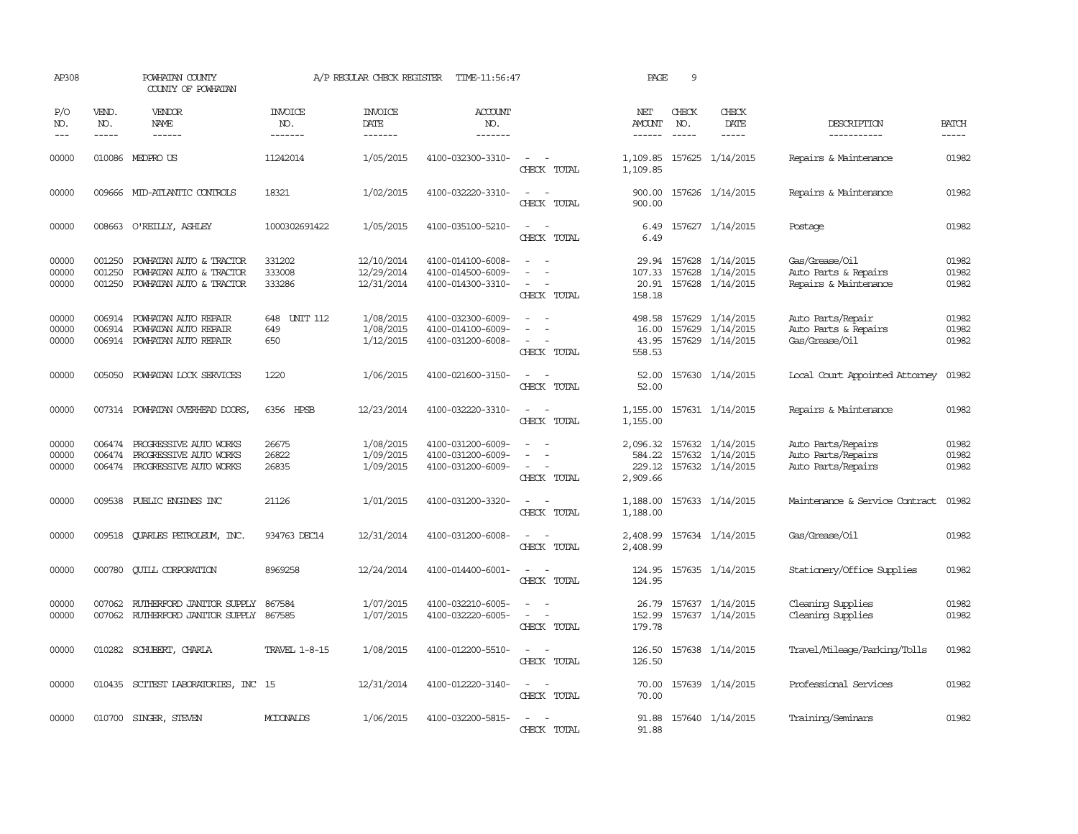| AP308                       |                             | POWHATAN COUNTY<br>COUNTY OF POWHATAN                                              |                                  | A/P REGULAR CHECK REGISTER             | TIME-11:56:47                                               |                                                                                                                                          | PAGE                               | 9                           |                                                                          |                                                                 |                         |
|-----------------------------|-----------------------------|------------------------------------------------------------------------------------|----------------------------------|----------------------------------------|-------------------------------------------------------------|------------------------------------------------------------------------------------------------------------------------------------------|------------------------------------|-----------------------------|--------------------------------------------------------------------------|-----------------------------------------------------------------|-------------------------|
| P/O<br>NO.<br>$\frac{1}{2}$ | VEND.<br>NO.<br>$- - - - -$ | VENDOR<br>NAME<br>$- - - - - -$                                                    | <b>INVOICE</b><br>NO.<br>------- | <b>INVOICE</b><br>DATE<br>-------      | <b>ACCOUNT</b><br>NO.<br>-------                            |                                                                                                                                          | NET<br>AMOUNT<br>------            | CHECK<br>NO.<br>$- - - - -$ | CHECK<br>DATE<br>$- - - - -$                                             | DESCRIPTION<br>-----------                                      | <b>BATCH</b><br>-----   |
| 00000                       |                             | 010086 MEDPRO US                                                                   | 11242014                         | 1/05/2015                              | 4100-032300-3310-                                           | $\sim$<br>CHECK TOTAL                                                                                                                    | 1,109.85<br>1,109.85               |                             | 157625 1/14/2015                                                         | Repairs & Maintenance                                           | 01982                   |
| 00000                       |                             | 009666 MID-ATLANTIC CONTROLS                                                       | 18321                            | 1/02/2015                              | 4100-032220-3310-                                           | $\sim$<br>$\overline{\phantom{a}}$<br>CHECK TOTAL                                                                                        | 900.00<br>900.00                   |                             | 157626 1/14/2015                                                         | Repairs & Maintenance                                           | 01982                   |
| 00000                       |                             | 008663 O'REILLY, ASHLEY                                                            | 1000302691422                    | 1/05/2015                              | 4100-035100-5210-                                           | $\sim$<br>CHECK TOTAL                                                                                                                    | 6.49<br>6.49                       |                             | 157627 1/14/2015                                                         | Postage                                                         | 01982                   |
| 00000<br>00000<br>00000     | 001250<br>001250<br>001250  | POWHATAN AUTO & TRACTOR<br>POWHATAN AUTO & TRACTOR<br>POWHATAN AUTO & TRACTOR      | 331202<br>333008<br>333286       | 12/10/2014<br>12/29/2014<br>12/31/2014 | 4100-014100-6008-<br>4100-014500-6009-<br>4100-014300-3310- | $\sim$<br>CHECK TOTAL                                                                                                                    | 29.94<br>107.33<br>20.91<br>158.18 |                             | 157628 1/14/2015<br>157628 1/14/2015<br>157628 1/14/2015                 | Gas/Grease/Oil<br>Auto Parts & Repairs<br>Repairs & Maintenance | 01982<br>01982<br>01982 |
| 00000<br>00000<br>00000     | 006914                      | 006914 POWHATAN AUTO REPAIR<br>POWHATAN AUTO REPAIR<br>006914 POWHATAN AUTO REPAIR | UNIT 112<br>648<br>649<br>650    | 1/08/2015<br>1/08/2015<br>1/12/2015    | 4100-032300-6009-<br>4100-014100-6009-<br>4100-031200-6008- | $\overline{\phantom{a}}$<br>CHECK TOTAL                                                                                                  | 498.58<br>16.00<br>43.95<br>558.53 |                             | 157629 1/14/2015<br>157629 1/14/2015<br>157629 1/14/2015                 | Auto Parts/Repair<br>Auto Parts & Repairs<br>Gas/Grease/Oil     | 01982<br>01982<br>01982 |
| 00000                       | 005050                      | POWHATAN LOCK SERVICES                                                             | 1220                             | 1/06/2015                              | 4100-021600-3150-                                           | $\frac{1}{2} \left( \frac{1}{2} \right) \left( \frac{1}{2} \right) = \frac{1}{2} \left( \frac{1}{2} \right)$<br>CHECK TOTAL              | 52.00<br>52.00                     |                             | 157630 1/14/2015                                                         | Local Court Appointed Attorney                                  | 01982                   |
| 00000                       |                             | 007314 POWHATAN OVERHEAD DOORS,                                                    | 6356 HPSB                        | 12/23/2014                             | 4100-032220-3310-                                           | $\frac{1}{2} \left( \frac{1}{2} \right) \left( \frac{1}{2} \right) \left( \frac{1}{2} \right) \left( \frac{1}{2} \right)$<br>CHECK TOTAL | 1,155.00<br>1,155.00               |                             | 157631 1/14/2015                                                         | Repairs & Maintenance                                           | 01982                   |
| 00000<br>00000<br>00000     | 006474<br>006474            | PROGRESSIVE AUTO WORKS<br>PROGRESSIVE AUTO WORKS<br>006474 PROGRESSIVE AUTO WORKS  | 26675<br>26822<br>26835          | 1/08/2015<br>1/09/2015<br>1/09/2015    | 4100-031200-6009-<br>4100-031200-6009-<br>4100-031200-6009- | $\sim$<br>CHECK TOTAL                                                                                                                    | 584.22<br>2,909.66                 |                             | 2,096.32 157632 1/14/2015<br>157632 1/14/2015<br>229.12 157632 1/14/2015 | Auto Parts/Repairs<br>Auto Parts/Repairs<br>Auto Parts/Repairs  | 01982<br>01982<br>01982 |
| 00000                       | 009538                      | PUBLIC ENGINES INC                                                                 | 21126                            | 1/01/2015                              | 4100-031200-3320-                                           | $\frac{1}{2} \left( \frac{1}{2} \right) \left( \frac{1}{2} \right) \left( \frac{1}{2} \right) \left( \frac{1}{2} \right)$<br>CHECK TOTAL | 1,188.00<br>1,188.00               |                             | 157633 1/14/2015                                                         | Maintenance & Service Contract                                  | 01982                   |
| 00000                       | 009518                      | <b>OUARLES PETROLEUM, INC.</b>                                                     | 934763 DEC14                     | 12/31/2014                             | 4100-031200-6008-                                           | $\sim$<br>$\sim$<br>CHECK TOTAL                                                                                                          | 2,408.99<br>2,408.99               |                             | 157634 1/14/2015                                                         | Gas/Grease/Oil                                                  | 01982                   |
| 00000                       | 000780                      | <b>CUILL CORPORATION</b>                                                           | 8969258                          | 12/24/2014                             | 4100-014400-6001-                                           | CHECK TOTAL                                                                                                                              | 124.95                             |                             | 124.95 157635 1/14/2015                                                  | Stationery/Office Supplies                                      | 01982                   |
| 00000<br>00000              | 007062                      | RUIHERFORD JANITOR SUPPLY<br>007062 RUIHERFORD JANITOR SUPPLY 867585               | 867584                           | 1/07/2015<br>1/07/2015                 | 4100-032210-6005-<br>4100-032220-6005-                      | $\equiv$<br>$\omega_{\rm{max}}$ and $\omega_{\rm{max}}$<br>CHECK TOTAL                                                                   | 26.79<br>179.78                    |                             | 157637 1/14/2015<br>152.99 157637 1/14/2015                              | Cleaning Supplies<br>Cleaning Supplies                          | 01982<br>01982          |
| 00000                       |                             | 010282 SCHUBERT, CHARLA                                                            | <b>TRAVEL 1-8-15</b>             | 1/08/2015                              | 4100-012200-5510-                                           | $\sim$ 10 $\sim$ 10 $\sim$<br>CHECK TOTAL                                                                                                | 126.50<br>126.50                   |                             | 157638 1/14/2015                                                         | Travel/Mileage/Parking/Tolls                                    | 01982                   |
| 00000                       |                             | 010435 SCITEST LABORATORIES, INC 15                                                |                                  | 12/31/2014                             | 4100-012220-3140-                                           | $\sim$<br>$\sim$<br>CHECK TOTAL                                                                                                          | 70.00<br>70.00                     |                             | 157639 1/14/2015                                                         | Professional Services                                           | 01982                   |
| 00000                       |                             | 010700 SINGER, STEVEN                                                              | MCDONALDS                        | 1/06/2015                              | 4100-032200-5815-                                           | $\overline{\phantom{a}}$<br>CHECK TOTAL                                                                                                  | 91.88<br>91.88                     |                             | 157640 1/14/2015                                                         | Training/Seminars                                               | 01982                   |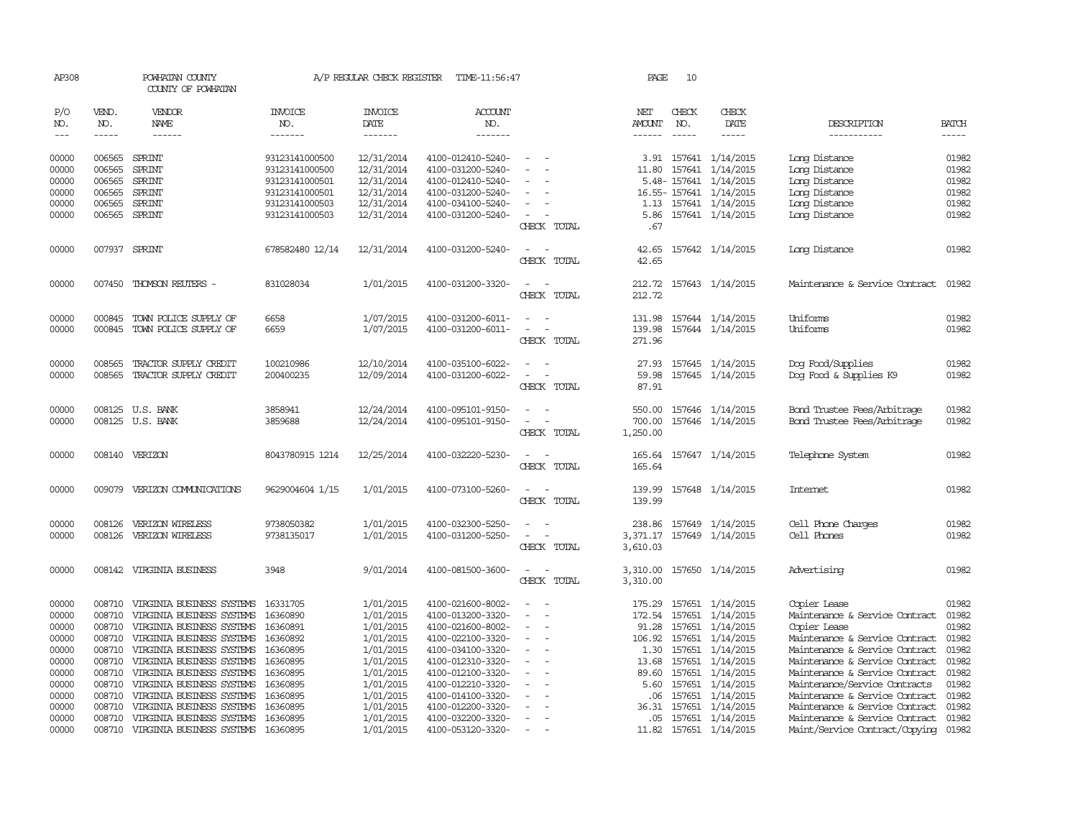| AP308          |               | POWHATAN COUNTY<br>COUNTY OF POWHATAN |                       | A/P REGULAR CHECK REGISTER | TIME-11:56:47         |                                                      | PAGE             | 10            |                         |                                |                |
|----------------|---------------|---------------------------------------|-----------------------|----------------------------|-----------------------|------------------------------------------------------|------------------|---------------|-------------------------|--------------------------------|----------------|
| P/O<br>NO.     | VEND.<br>NO.  | VENDOR<br>NAME                        | <b>INVOICE</b><br>NO. | <b>INVOICE</b><br>DATE     | <b>ACCOUNT</b><br>NO. |                                                      | NET<br>AMOUNT    | CHECK<br>NO.  | CHECK<br>DATE           | DESCRIPTION                    | <b>BATCH</b>   |
| $---$          | $\frac{1}{2}$ | $- - - - - -$                         | -------               | --------                   | -------               |                                                      | $- - - - - -$    | $\frac{1}{2}$ | $- - - - -$             | -----------                    | $- - - - -$    |
| 00000          | 006565        | SPRINT                                | 93123141000500        | 12/31/2014                 | 4100-012410-5240-     |                                                      |                  |               | 3.91 157641 1/14/2015   | Long Distance                  | 01982          |
| 00000          | 006565        | SPRINT                                | 93123141000500        | 12/31/2014                 | 4100-031200-5240-     |                                                      |                  | 11.80 157641  | 1/14/2015               | Long Distance                  | 01982          |
| 00000          | 006565        | SPRINT                                | 93123141000501        | 12/31/2014                 | 4100-012410-5240-     |                                                      |                  |               | 5.48-157641 1/14/2015   | Long Distance                  | 01982          |
| 00000          | 006565        | SPRINT                                | 93123141000501        | 12/31/2014                 | 4100-031200-5240-     | $\sim$                                               |                  |               | 16.55-157641 1/14/2015  | Long Distance                  | 01982          |
| 00000          | 006565        | SPRINT                                | 93123141000503        | 12/31/2014                 | 4100-034100-5240-     |                                                      |                  |               | 1.13 157641 1/14/2015   | Long Distance                  | 01982          |
| 00000          |               | 006565 SPRINT                         | 93123141000503        | 12/31/2014                 | 4100-031200-5240-     | $\sim$                                               |                  |               | 5.86 157641 1/14/2015   | Long Distance                  | 01982          |
|                |               |                                       |                       |                            |                       | CHECK TOTAL                                          | .67              |               |                         |                                |                |
| 00000          |               | 007937 SPRINT                         | 678582480 12/14       | 12/31/2014                 | 4100-031200-5240-     | $\overline{\phantom{a}}$                             | 42.65            |               | 157642 1/14/2015        | Long Distance                  | 01982          |
|                |               |                                       |                       |                            |                       | CHECK TOTAL                                          | 42.65            |               |                         |                                |                |
| 00000          | 007450        | THOMSON REUTERS -                     | 831028034             | 1/01/2015                  | 4100-031200-3320-     | CHECK TOTAL                                          | 212.72<br>212.72 |               | 157643 1/14/2015        | Maintenance & Service Contract | 01982          |
|                |               |                                       |                       |                            |                       |                                                      |                  |               |                         |                                |                |
| 00000          | 000845        | TOWN POLICE SUPPLY OF                 | 6658                  | 1/07/2015                  | 4100-031200-6011-     | $\overline{\phantom{a}}$<br>$\sim$                   | 131.98           |               | 157644 1/14/2015        | Uniforms                       | 01982          |
| 00000          | 000845        | TOWN POLICE SUPPLY OF                 | 6659                  | 1/07/2015                  | 4100-031200-6011-     | $\overline{\phantom{a}}$<br>$\overline{\phantom{a}}$ |                  |               | 139.98 157644 1/14/2015 | Uniforms                       | 01982          |
|                |               |                                       |                       |                            |                       | CHECK TOTAL                                          | 271.96           |               |                         |                                |                |
| 00000          | 008565        | TRACTOR SUPPLY CREDIT                 | 100210986             | 12/10/2014                 | 4100-035100-6022-     |                                                      | 27.93            |               | 157645 1/14/2015        | Dog Food/Supplies              | 01982          |
| 00000          | 008565        | TRACTOR SUPPLY CREDIT                 | 200400235             | 12/09/2014                 | 4100-031200-6022-     |                                                      | 59.98            |               | 157645 1/14/2015        | Dog Food & Supplies K9         | 01982          |
|                |               |                                       |                       |                            |                       | CHECK TOTAL                                          | 87.91            |               |                         |                                |                |
| 00000          |               | 008125 U.S. BANK                      | 3858941               | 12/24/2014                 | 4100-095101-9150-     |                                                      | 550.00           |               | 157646 1/14/2015        | Bond Trustee Fees/Arbitrage    | 01982          |
| 00000          |               | 008125 U.S. BANK                      | 3859688               | 12/24/2014                 | 4100-095101-9150-     | $\equiv$<br>$\overline{\phantom{a}}$                 | 700.00           |               | 157646 1/14/2015        | Bond Trustee Fees/Arbitrage    | 01982          |
|                |               |                                       |                       |                            |                       | CHECK TOTAL                                          | 1,250.00         |               |                         |                                |                |
| 00000          |               | 008140 VERIZON                        | 8043780915 1214       | 12/25/2014                 | 4100-032220-5230-     | $\sim$ $\sim$                                        | 165.64           |               | 157647 1/14/2015        | Telephone System               | 01982          |
|                |               |                                       |                       |                            |                       | CHECK TOTAL                                          | 165.64           |               |                         |                                |                |
| 00000          |               | 009079 VERIZON COMUNICATIONS          | 9629004604 1/15       | 1/01/2015                  | 4100-073100-5260-     | $\sim$<br>$\sim$                                     | 139.99           |               | 157648 1/14/2015        | <b>Internet</b>                | 01982          |
|                |               |                                       |                       |                            |                       | CHECK TOTAL                                          | 139.99           |               |                         |                                |                |
| 00000          | 008126        | VERIZON WIRELESS                      | 9738050382            | 1/01/2015                  | 4100-032300-5250-     |                                                      |                  |               | 238.86 157649 1/14/2015 | Cell Phone Charges             | 01982          |
| 00000          |               | 008126 VERIZON WIRELESS               | 9738135017            | 1/01/2015                  | 4100-031200-5250-     | $\equiv$                                             | 3,371.17         |               | 157649 1/14/2015        | Cell Phones                    | 01982          |
|                |               |                                       |                       |                            |                       | CHECK TOTAL                                          | 3,610.03         |               |                         |                                |                |
| 00000          |               | 008142 VIRGINIA BUSINESS              | 3948                  | 9/01/2014                  | 4100-081500-3600-     |                                                      | 3,310.00         |               | 157650 1/14/2015        | Advertising                    | 01982          |
|                |               |                                       |                       |                            |                       | CHECK TOTAL                                          | 3,310.00         |               |                         |                                |                |
| 00000          | 008710        | VIRGINIA BUSINESS SYSTEMS             | 16331705              | 1/01/2015                  | 4100-021600-8002-     |                                                      | 175.29           |               | 157651 1/14/2015        | Copier Lease                   | 01982          |
| 00000          | 008710        | VIRGINIA BUSINESS SYSTEMS             | 16360890              | 1/01/2015                  | 4100-013200-3320-     | $\overline{\phantom{a}}$                             | 172.54           | 157651        | 1/14/2015               | Maintenance & Service Contract | 01982          |
| 00000          | 008710        | VIRGINIA BUSINESS SYSTEMS             | 16360891              | 1/01/2015                  | 4100-021600-8002-     | $\overline{\phantom{a}}$                             | 91.28            | 157651        | 1/14/2015               | Copier Lease                   | 01982          |
| 00000          | 008710        | VIRGINIA BUSINESS SYSTEMS             | 16360892              | 1/01/2015                  | 4100-022100-3320-     | $\sim$                                               | 106.92           | 157651        | 1/14/2015               | Maintenance & Service Contract | 01982          |
| 00000          | 008710        | VIRGINIA BUSINESS SYSTEMS             | 16360895              | 1/01/2015                  | 4100-034100-3320-     | $\sim$                                               | 1.30             |               | 157651 1/14/2015        | Maintenance & Service Contract | 01982          |
| 00000          | 008710        | VIRGINIA BUSINESS SYSTEMS             | 16360895              | 1/01/2015                  | 4100-012310-3320-     | $\sim$                                               | 13.68            |               | 157651 1/14/2015        | Maintenance & Service Contract | 01982          |
| 00000          | 008710        | VIRGINIA BUSINESS SYSTEMS             | 16360895              | 1/01/2015                  | 4100-012100-3320-     | $\equiv$                                             | 89.60            | 157651        | 1/14/2015               | Maintenance & Service Contract | 01982          |
| 00000          | 008710        | VIRGINIA BUSINESS SYSTEMS             | 16360895              | 1/01/2015                  | 4100-012210-3320-     |                                                      | 5.60             | 157651        | 1/14/2015               | Maintenance/Service Contracts  | 01982          |
| 00000          |               | 008710 VIRGINIA BUSINESS SYSTEMS      | 16360895              | 1/01/2015                  | 4100-014100-3320-     | $\equiv$<br>$\overline{\phantom{a}}$                 | .06              | 157651        | 1/14/2015               | Maintenance & Service Contract | 01982          |
| 00000          | 008710        | VIRGINIA BUSINESS SYSTEMS             | 16360895              | 1/01/2015                  | 4100-012200-3320-     |                                                      | 36.31            | 157651        | 1/14/2015               | Maintenance & Service Contract | 01982          |
| 00000<br>00000 |               | 008710 VIRGINIA BUSINESS SYSTEMS      | 16360895              | 1/01/2015                  | 4100-032200-3320-     | $\hspace{0.1mm}-\hspace{0.1mm}$<br>$\overline{a}$    |                  |               | .05 157651 1/14/2015    | Maintenance & Service Contract | 01982<br>01982 |
|                | 008710        | VIRGINIA BUSINESS SYSTEMS             | 16360895              | 1/01/2015                  | 4100-053120-3320-     |                                                      |                  |               | 11.82 157651 1/14/2015  | Maint/Service Contract/Copying |                |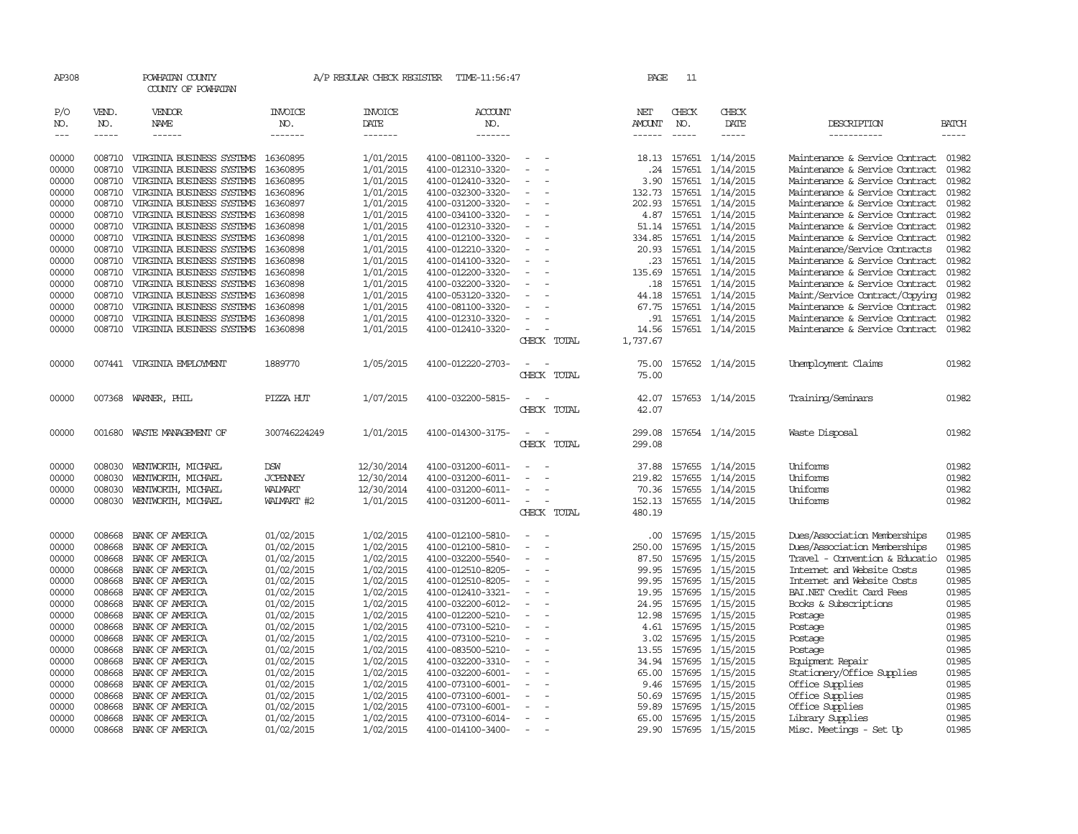| AP308                                                                                                                                        |                                                                                                                                                              | POWHATAN COUNTY<br>COUNTY OF POWHATAN                                                                                                                                                                                                                                                                                                                                                                                                                                        |                                                                                                                                                                                                                              | A/P REGULAR CHECK REGISTER                                                                                                                                                                                   | TIME-11:56:47                                                                                                                                                                                                                                                                                                                                |                            | PAGE                                                                                                                                      | 11                                                                                                                                                           |                                                                                                                                                                                                                                                        |                                                                                                                                                                                                                                                                                                                                                                                                                                                                                                                                                             |                                                                                                                                              |
|----------------------------------------------------------------------------------------------------------------------------------------------|--------------------------------------------------------------------------------------------------------------------------------------------------------------|------------------------------------------------------------------------------------------------------------------------------------------------------------------------------------------------------------------------------------------------------------------------------------------------------------------------------------------------------------------------------------------------------------------------------------------------------------------------------|------------------------------------------------------------------------------------------------------------------------------------------------------------------------------------------------------------------------------|--------------------------------------------------------------------------------------------------------------------------------------------------------------------------------------------------------------|----------------------------------------------------------------------------------------------------------------------------------------------------------------------------------------------------------------------------------------------------------------------------------------------------------------------------------------------|----------------------------|-------------------------------------------------------------------------------------------------------------------------------------------|--------------------------------------------------------------------------------------------------------------------------------------------------------------|--------------------------------------------------------------------------------------------------------------------------------------------------------------------------------------------------------------------------------------------------------|-------------------------------------------------------------------------------------------------------------------------------------------------------------------------------------------------------------------------------------------------------------------------------------------------------------------------------------------------------------------------------------------------------------------------------------------------------------------------------------------------------------------------------------------------------------|----------------------------------------------------------------------------------------------------------------------------------------------|
| P/O<br>NO.<br>$---$                                                                                                                          | VEND.<br>NO.<br>$- - - - -$                                                                                                                                  | VENDOR<br>NAME<br>$- - - - - -$                                                                                                                                                                                                                                                                                                                                                                                                                                              | <b>INVOICE</b><br>NO.<br>-------                                                                                                                                                                                             | <b>INVOICE</b><br>DATE<br>--------                                                                                                                                                                           | ACCOUNT<br>NO.<br>-------                                                                                                                                                                                                                                                                                                                    |                            | NET<br>AMOUNT<br>$- - - - - -$                                                                                                            | CHECK<br>NO.<br>$\frac{1}{2}$                                                                                                                                | CHECK<br>DATE<br>$- - - - -$                                                                                                                                                                                                                           | DESCRIPTION<br>-----------                                                                                                                                                                                                                                                                                                                                                                                                                                                                                                                                  | <b>BATCH</b><br>-----                                                                                                                        |
| 00000<br>00000<br>00000<br>00000<br>00000<br>00000<br>00000<br>00000<br>00000<br>00000<br>00000<br>00000<br>00000<br>00000<br>00000<br>00000 | 008710<br>008710<br>008710<br>008710<br>008710<br>008710<br>008710<br>008710<br>008710<br>008710<br>008710<br>008710<br>008710<br>008710<br>008710<br>008710 | VIRGINIA BUSINESS SYSTEMS<br>VIRGINIA BUSINESS SYSTEMS<br>VIRGINIA BUSINESS SYSTEMS<br>VIRGINIA BUSINESS SYSTEMS<br>VIRGINIA BUSINESS SYSTEMS<br>VIRGINIA BUSINESS SYSTEMS<br>VIRGINIA BUSINESS SYSTEMS<br>VIRGINIA BUSINESS SYSTEMS<br>VIRGINIA BUSINESS SYSTEMS<br>VIRGINIA BUSINESS SYSTEMS<br>VIRGINIA BUSINESS SYSTEMS<br>VIRGINIA BUSINESS SYSTEMS<br>VIRGINIA BUSINESS SYSTEMS<br>VIRGINIA BUSINESS SYSTEMS<br>VIRGINIA BUSINESS SYSTEMS<br>VIRGINIA BUSINESS SYSTEMS | 16360895<br>16360895<br>16360895<br>16360896<br>16360897<br>16360898<br>16360898<br>16360898<br>16360898<br>16360898<br>16360898<br>16360898<br>16360898<br>16360898<br>16360898<br>16360898                                 | 1/01/2015<br>1/01/2015<br>1/01/2015<br>1/01/2015<br>1/01/2015<br>1/01/2015<br>1/01/2015<br>1/01/2015<br>1/01/2015<br>1/01/2015<br>1/01/2015<br>1/01/2015<br>1/01/2015<br>1/01/2015<br>1/01/2015<br>1/01/2015 | 4100-081100-3320-<br>4100-012310-3320-<br>4100-012410-3320-<br>4100-032300-3320-<br>4100-031200-3320-<br>4100-034100-3320-<br>4100-012310-3320-<br>4100-012100-3320-<br>4100-012210-3320-<br>4100-014100-3320-<br>4100-012200-3320-<br>4100-032200-3320-<br>4100-053120-3320-<br>4100-081100-3320-<br>4100-012310-3320-<br>4100-012410-3320- |                            | 18.13<br>.24<br>3.90<br>132.73<br>202.93<br>4.87<br>51.14<br>334.85<br>20.93<br>.23<br>135.69<br>.18<br>44.18<br>67.75<br>.91<br>14.56    | 157651<br>157651<br>157651<br>157651<br>157651<br>157651<br>157651<br>157651<br>157651<br>157651                                                             | 157651 1/14/2015<br>1/14/2015<br>1/14/2015<br>1/14/2015<br>1/14/2015<br>1/14/2015<br>1/14/2015<br>157651 1/14/2015<br>1/14/2015<br>157651 1/14/2015<br>157651 1/14/2015<br>157651 1/14/2015<br>1/14/2015<br>1/14/2015<br>1/14/2015<br>157651 1/14/2015 | Maintenance & Service Contract<br>Maintenance & Service Contract<br>Maintenance & Service Contract<br>Maintenance & Service Contract<br>Maintenance & Service Contract<br>Maintenance & Service Contract<br>Maintenance & Service Contract<br>Maintenance & Service Contract<br>Maintenance/Service Contracts<br>Maintenance & Service Contract<br>Maintenance & Service Contract<br>Maintenance & Service Contract<br>Maint/Service Contract/Copying<br>Maintenance & Service Contract<br>Maintenance & Service Contract<br>Maintenance & Service Contract | 01982<br>01982<br>01982<br>01982<br>01982<br>01982<br>01982<br>01982<br>01982<br>01982<br>01982<br>01982<br>01982<br>01982<br>01982<br>01982 |
| 00000                                                                                                                                        |                                                                                                                                                              | 007441 VIRGINIA EMPLOYMENT                                                                                                                                                                                                                                                                                                                                                                                                                                                   | 1889770                                                                                                                                                                                                                      | 1/05/2015                                                                                                                                                                                                    | 4100-012220-2703-                                                                                                                                                                                                                                                                                                                            | CHECK TOTAL<br>CHECK TOTAL | 1,737.67<br>75.00<br>75.00                                                                                                                |                                                                                                                                                              | 157652 1/14/2015                                                                                                                                                                                                                                       | Unemployment Claims                                                                                                                                                                                                                                                                                                                                                                                                                                                                                                                                         | 01982                                                                                                                                        |
| 00000                                                                                                                                        |                                                                                                                                                              | 007368 WARNER, PHIL                                                                                                                                                                                                                                                                                                                                                                                                                                                          | PIZZA HUT                                                                                                                                                                                                                    | 1/07/2015                                                                                                                                                                                                    | 4100-032200-5815-                                                                                                                                                                                                                                                                                                                            | CHECK TOTAL                | 42.07<br>42.07                                                                                                                            |                                                                                                                                                              | 157653 1/14/2015                                                                                                                                                                                                                                       | Training/Seminars                                                                                                                                                                                                                                                                                                                                                                                                                                                                                                                                           | 01982                                                                                                                                        |
| 00000                                                                                                                                        | 001680                                                                                                                                                       | WASTE MANAGEMENT OF                                                                                                                                                                                                                                                                                                                                                                                                                                                          | 300746224249                                                                                                                                                                                                                 | 1/01/2015                                                                                                                                                                                                    | 4100-014300-3175-                                                                                                                                                                                                                                                                                                                            | CHECK TOTAL                | 299.08<br>299.08                                                                                                                          |                                                                                                                                                              | 157654 1/14/2015                                                                                                                                                                                                                                       | Waste Disposal                                                                                                                                                                                                                                                                                                                                                                                                                                                                                                                                              | 01982                                                                                                                                        |
| 00000<br>00000<br>00000<br>00000                                                                                                             | 008030<br>008030<br>008030<br>008030                                                                                                                         | WENTWORTH, MICHAEL<br>WENIWORTH, MICHAEL<br>WENIWORTH, MICHAEL<br>WENIWORTH, MICHAEL                                                                                                                                                                                                                                                                                                                                                                                         | <b>DSW</b><br><b>JCPENNEY</b><br><b>WALMART</b><br>WALMART #2                                                                                                                                                                | 12/30/2014<br>12/30/2014<br>12/30/2014<br>1/01/2015                                                                                                                                                          | 4100-031200-6011-<br>4100-031200-6011-<br>4100-031200-6011-<br>4100-031200-6011-                                                                                                                                                                                                                                                             | CHECK TOTAL                | 37.88<br>219.82<br>70.36<br>152.13<br>480.19                                                                                              | 157655                                                                                                                                                       | 157655 1/14/2015<br>1/14/2015<br>157655 1/14/2015<br>157655 1/14/2015                                                                                                                                                                                  | Uniforms<br>Uniforms<br>Uniforms<br>Uniforms                                                                                                                                                                                                                                                                                                                                                                                                                                                                                                                | 01982<br>01982<br>01982<br>01982                                                                                                             |
| 00000<br>00000<br>00000<br>00000<br>00000<br>00000<br>00000<br>00000<br>00000<br>00000<br>00000<br>00000<br>00000<br>00000<br>00000<br>00000 | 008668<br>008668<br>008668<br>008668<br>008668<br>008668<br>008668<br>008668<br>008668<br>008668<br>008668<br>008668<br>008668<br>008668<br>008668<br>008668 | BANK OF AMERICA<br>BANK OF AMERICA<br>BANK OF AMERICA<br>BANK OF AMERICA<br>BANK OF AMERICA<br>BANK OF AMERICA<br>BANK OF AMERICA<br>BANK OF AMERICA<br>BANK OF AMERICA<br>BANK OF AMERICA<br>BANK OF AMERICA<br>BANK OF AMERICA<br>BANK OF AMERICA<br>BANK OF AMERICA<br>BANK OF AMERICA<br>BANK OF AMERICA                                                                                                                                                                 | 01/02/2015<br>01/02/2015<br>01/02/2015<br>01/02/2015<br>01/02/2015<br>01/02/2015<br>01/02/2015<br>01/02/2015<br>01/02/2015<br>01/02/2015<br>01/02/2015<br>01/02/2015<br>01/02/2015<br>01/02/2015<br>01/02/2015<br>01/02/2015 | 1/02/2015<br>1/02/2015<br>1/02/2015<br>1/02/2015<br>1/02/2015<br>1/02/2015<br>1/02/2015<br>1/02/2015<br>1/02/2015<br>1/02/2015<br>1/02/2015<br>1/02/2015<br>1/02/2015<br>1/02/2015<br>1/02/2015<br>1/02/2015 | 4100-012100-5810-<br>4100-012100-5810-<br>4100-032200-5540-<br>4100-012510-8205-<br>4100-012510-8205-<br>4100-012410-3321-<br>4100-032200-6012-<br>4100-012200-5210-<br>4100-073100-5210-<br>4100-073100-5210-<br>4100-083500-5210-<br>4100-032200-3310-<br>4100-032200-6001-<br>4100-073100-6001-<br>4100-073100-6001-<br>4100-073100-6001- |                            | .00.<br>250.00<br>87.50<br>99.95<br>99.95<br>19.95<br>24.95<br>12.98<br>4.61<br>3.02<br>13.55<br>34.94<br>65.00<br>9.46<br>50.69<br>59.89 | 157695<br>157695<br>157695<br>157695<br>157695<br>157695<br>157695<br>157695<br>157695<br>157695<br>157695<br>157695<br>157695<br>157695<br>157695<br>157695 | 1/15/2015<br>1/15/2015<br>1/15/2015<br>1/15/2015<br>1/15/2015<br>1/15/2015<br>1/15/2015<br>1/15/2015<br>1/15/2015<br>1/15/2015<br>1/15/2015<br>1/15/2015<br>1/15/2015<br>1/15/2015<br>1/15/2015<br>1/15/2015                                           | Dues/Association Memberships<br>Dues/Association Memberships<br>Travel - Convention & Educatio<br>Internet and Website Costs<br>Internet and Website Costs<br>BAI.NET Credit Card Fees<br>Books & Subscriptions<br>Postage<br>Postage<br>Postage<br>Postage<br>Equipment Repair<br>Stationery/Office Supplies<br>Office Supplies<br>Office Supplies<br>Office Supplies                                                                                                                                                                                      | 01985<br>01985<br>01985<br>01985<br>01985<br>01985<br>01985<br>01985<br>01985<br>01985<br>01985<br>01985<br>01985<br>01985<br>01985<br>01985 |
| 00000<br>00000                                                                                                                               | 008668<br>008668                                                                                                                                             | BANK OF AMERICA<br>BANK OF AMERICA                                                                                                                                                                                                                                                                                                                                                                                                                                           | 01/02/2015<br>01/02/2015                                                                                                                                                                                                     | 1/02/2015<br>1/02/2015                                                                                                                                                                                       | 4100-073100-6014-<br>4100-014100-3400-                                                                                                                                                                                                                                                                                                       |                            | 65.00<br>29.90                                                                                                                            | 157695                                                                                                                                                       | 1/15/2015<br>157695 1/15/2015                                                                                                                                                                                                                          | Library Supplies<br>Misc. Meetings - Set Up                                                                                                                                                                                                                                                                                                                                                                                                                                                                                                                 | 01985<br>01985                                                                                                                               |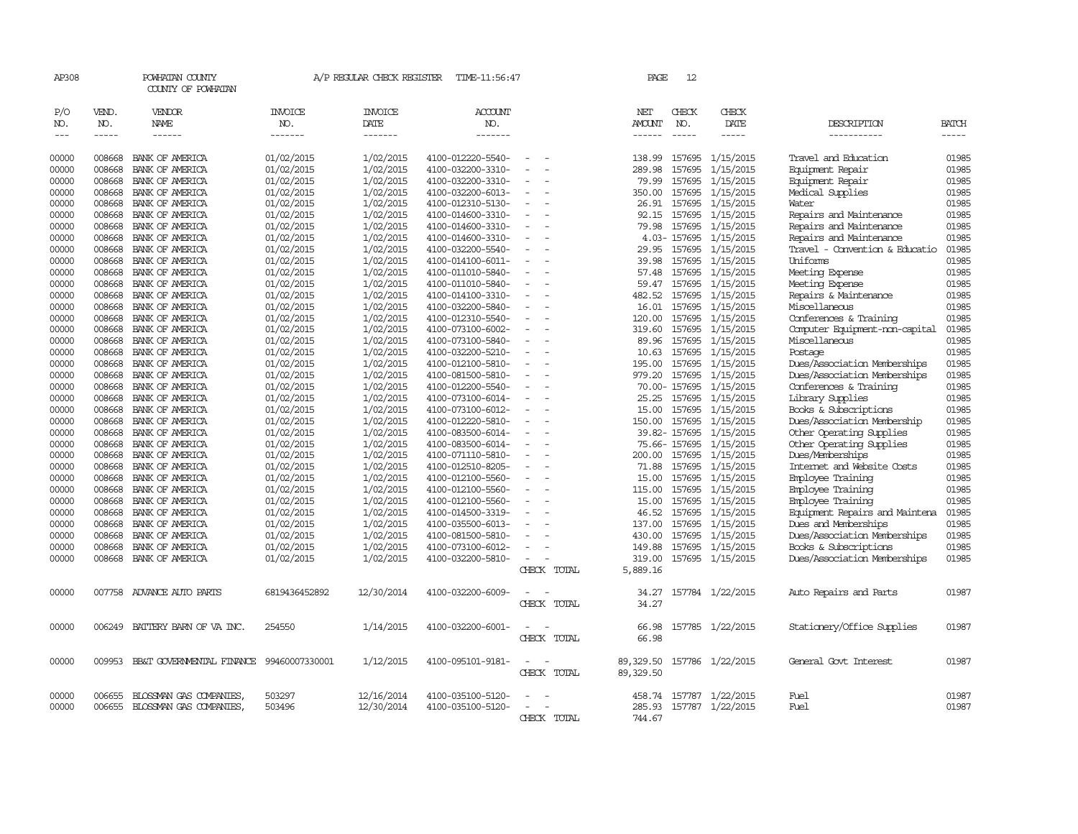| AP308                             |                             | POWHATAN COUNTY<br>COUNTY OF POWHATAN  |                                  | A/P REGULAR CHECK REGISTER        | TIME-11:56:47                    |                          | PAGE                           | 12                          |                           |                                |                       |
|-----------------------------------|-----------------------------|----------------------------------------|----------------------------------|-----------------------------------|----------------------------------|--------------------------|--------------------------------|-----------------------------|---------------------------|--------------------------------|-----------------------|
| P/O<br>NO.<br>$\qquad \qquad - -$ | VEND.<br>NO.<br>$- - - - -$ | VENDOR<br><b>NAME</b><br>$- - - - - -$ | <b>INVOICE</b><br>NO.<br>------- | <b>INVOICE</b><br>DATE<br>------- | <b>ACCOUNT</b><br>NO.<br>------- |                          | NET<br>AMOUNT<br>$- - - - - -$ | CHECK<br>NO.<br>$- - - - -$ | CHECK<br>DATE<br>$\cdots$ | DESCRIPTION<br>-----------     | <b>BATCH</b><br>----- |
| 00000                             | 008668                      | BANK OF AMERICA                        | 01/02/2015                       | 1/02/2015                         | 4100-012220-5540-                | $\sim$                   | 138.99                         |                             | 157695 1/15/2015          | Travel and Education           | 01985                 |
| 00000                             | 008668                      | BANK OF AMERICA                        | 01/02/2015                       | 1/02/2015                         | 4100-032200-3310-                | $\overline{\phantom{a}}$ | 289.98                         | 157695                      | 1/15/2015                 | Equipment Repair               | 01985                 |
| 00000                             | 008668                      | BANK OF AMERICA                        | 01/02/2015                       | 1/02/2015                         | 4100-032200-3310-                | $\sim$                   | 79.99                          | 157695                      | 1/15/2015                 | Equipment Repair               | 01985                 |
| 00000                             | 008668                      | BANK OF AMERICA                        | 01/02/2015                       | 1/02/2015                         | 4100-032200-6013-                | $\equiv$                 | 350.00                         | 157695                      | 1/15/2015                 | Medical Supplies               | 01985                 |
| 00000                             | 008668                      | BANK OF AMERICA                        | 01/02/2015                       | 1/02/2015                         | 4100-012310-5130-                | $\overline{\phantom{a}}$ | 26.91                          |                             | 157695 1/15/2015          | Water                          | 01985                 |
| 00000                             | 008668                      | BANK OF AMERICA                        | 01/02/2015                       | 1/02/2015                         | 4100-014600-3310-                | $\sim$                   | 92.15                          |                             | 157695 1/15/2015          | Repairs and Maintenance        | 01985                 |
| 00000                             | 008668                      | BANK OF AMERICA                        | 01/02/2015                       | 1/02/2015                         | 4100-014600-3310-                | $\overline{\phantom{a}}$ | 79.98                          | 157695                      | 1/15/2015                 | Repairs and Maintenance        | 01985                 |
| 00000                             | 008668                      | BANK OF AMERICA                        | 01/02/2015                       | 1/02/2015                         | 4100-014600-3310-                |                          |                                | 4.03-157695                 | 1/15/2015                 | Repairs and Maintenance        | 01985                 |
| 00000                             | 008668                      | BANK OF AMERICA                        | 01/02/2015                       | 1/02/2015                         | 4100-032200-5540-                | $\overline{\phantom{a}}$ | 29.95                          |                             | 157695 1/15/2015          | Travel - Convention & Educatio | 01985                 |
| 00000                             | 008668                      | BANK OF AMERICA                        | 01/02/2015                       | 1/02/2015                         | 4100-014100-6011-                | $\sim$                   | 39.98                          | 157695                      | 1/15/2015                 | Uniforms                       | 01985                 |
| 00000                             | 008668                      | BANK OF AMERICA                        | 01/02/2015                       | 1/02/2015                         | 4100-011010-5840-                |                          | 57.48                          |                             | 157695 1/15/2015          | Meeting Expense                | 01985                 |
| 00000                             | 008668                      | BANK OF AMERICA                        | 01/02/2015                       | 1/02/2015                         | 4100-011010-5840-                | $\sim$                   | 59.47                          |                             | 157695 1/15/2015          | Meeting Expense                | 01985                 |
| 00000                             | 008668                      | BANK OF AMERICA                        | 01/02/2015                       | 1/02/2015                         | 4100-014100-3310-                | $\sim$                   | 482.52                         |                             | 157695 1/15/2015          | Repairs & Maintenance          | 01985                 |
| 00000                             | 008668                      | BANK OF AMERICA                        | 01/02/2015                       | 1/02/2015                         | 4100-032200-5840-                |                          | 16.01                          | 157695                      | 1/15/2015                 | Miscellaneous                  | 01985                 |
| 00000                             | 008668                      | BANK OF AMERICA                        | 01/02/2015                       | 1/02/2015                         | 4100-012310-5540-                | $\equiv$                 | 120.00                         |                             | 157695 1/15/2015          | Conferences & Training         | 01985                 |
| 00000                             | 008668                      | BANK OF AMERICA                        | 01/02/2015                       | 1/02/2015                         | 4100-073100-6002-                | $\equiv$                 | 319.60                         | 157695                      | 1/15/2015                 | Computer Equipment-non-capital | 01985                 |
| 00000                             | 008668                      | BANK OF AMERICA                        | 01/02/2015                       | 1/02/2015                         | 4100-073100-5840-                | $\equiv$                 | 89.96                          |                             | 157695 1/15/2015          | Miscellaneous                  | 01985                 |
| 00000                             | 008668                      | BANK OF AMERICA                        | 01/02/2015                       | 1/02/2015                         | 4100-032200-5210-                | $\overline{\phantom{a}}$ | 10.63                          |                             | 157695 1/15/2015          | Postage                        | 01985                 |
| 00000                             | 008668                      | BANK OF AMERICA                        | 01/02/2015                       | 1/02/2015                         | 4100-012100-5810-                | $\overline{\phantom{a}}$ | 195.00                         | 157695                      | 1/15/2015                 | Dues/Association Memberships   | 01985                 |
| 00000                             | 008668                      | BANK OF AMERICA                        | 01/02/2015                       | 1/02/2015                         | 4100-081500-5810-                | $\equiv$                 | 979.20                         |                             | 157695 1/15/2015          | Dues/Association Memberships   | 01985                 |
| 00000                             | 008668                      | BANK OF AMERICA                        | 01/02/2015                       | 1/02/2015                         | 4100-012200-5540-                | $\overline{\phantom{a}}$ |                                |                             | 70.00-157695 1/15/2015    | Conferences & Training         | 01985                 |
| 00000                             | 008668                      | BANK OF AMERICA                        | 01/02/2015                       | 1/02/2015                         | 4100-073100-6014-                | $\overline{\phantom{a}}$ | 25.25                          | 157695                      | 1/15/2015                 | Library Supplies               | 01985                 |
| 00000                             | 008668                      | BANK OF AMERICA                        | 01/02/2015                       | 1/02/2015                         | 4100-073100-6012-                | $\overline{\phantom{a}}$ | 15.00                          |                             | 157695 1/15/2015          | Books & Subscriptions          | 01985                 |
| 00000                             | 008668                      | BANK OF AMERICA                        | 01/02/2015                       | 1/02/2015                         | 4100-012220-5810-                | $\equiv$                 | 150.00                         | 157695                      | 1/15/2015                 | Dues/Association Membership    | 01985                 |
| 00000                             | 008668                      | BANK OF AMERICA                        | 01/02/2015                       | 1/02/2015                         | 4100-083500-6014-                | $\equiv$                 |                                |                             | 39.82-157695 1/15/2015    | Other Operating Supplies       | 01985                 |
| 00000                             | 008668                      | BANK OF AMERICA                        | 01/02/2015                       | 1/02/2015                         | 4100-083500-6014-                | $\equiv$                 |                                | 75.66-157695                | 1/15/2015                 | Other Operating Supplies       | 01985                 |
| 00000                             | 008668                      | BANK OF AMERICA                        | 01/02/2015                       | 1/02/2015                         | 4100-071110-5810-                |                          | 200.00                         |                             | 157695 1/15/2015          | Dues/Memberships               | 01985                 |
| 00000                             | 008668                      | BANK OF AMERICA                        | 01/02/2015                       | 1/02/2015                         | 4100-012510-8205-                | $\equiv$                 | 71.88                          |                             | 157695 1/15/2015          | Internet and Website Costs     | 01985                 |
| 00000                             | 008668                      | BANK OF AMERICA                        | 01/02/2015                       | 1/02/2015                         | 4100-012100-5560-                | $\overline{\phantom{a}}$ | 15.00                          | 157695                      | 1/15/2015                 | Employee Training              | 01985                 |
| 00000                             | 008668                      | BANK OF AMERICA                        | 01/02/2015                       | 1/02/2015                         | 4100-012100-5560-                | $\equiv$                 | 115.00                         |                             | 157695 1/15/2015          | Employee Training              | 01985                 |
| 00000                             | 008668                      | BANK OF AMERICA                        | 01/02/2015                       | 1/02/2015                         | 4100-012100-5560-                | $\overline{\phantom{a}}$ | 15.00                          |                             | 157695 1/15/2015          | Employee Training              | 01985                 |
| 00000                             | 008668                      | BANK OF AMERICA                        | 01/02/2015                       | 1/02/2015                         | 4100-014500-3319-                |                          | 46.52                          |                             | 157695 1/15/2015          | Equipment Repairs and Maintena | 01985                 |
| 00000                             | 008668                      | BANK OF AMERICA                        | 01/02/2015                       | 1/02/2015                         | 4100-035500-6013-                |                          | 137.00                         |                             | 157695 1/15/2015          | Dues and Memberships           | 01985                 |
| 00000                             | 008668                      | BANK OF AMERICA                        | 01/02/2015                       | 1/02/2015                         | 4100-081500-5810-                | $\overline{\phantom{a}}$ | 430.00                         |                             | 157695 1/15/2015          | Dues/Association Memberships   | 01985                 |
| 00000                             | 008668                      | BANK OF AMERICA                        | 01/02/2015                       | 1/02/2015                         | 4100-073100-6012-                |                          | 149.88                         |                             | 157695 1/15/2015          | Books & Subscriptions          | 01985                 |
| 00000                             | 008668                      | BANK OF AMERICA                        | 01/02/2015                       | 1/02/2015                         | 4100-032200-5810-                | $\sim$                   | 319.00                         |                             | 157695 1/15/2015          | Dues/Association Memberships   | 01985                 |
|                                   |                             |                                        |                                  |                                   |                                  | CHECK TOTAL              | 5,889.16                       |                             |                           |                                |                       |
| 00000                             | 007758                      | ADVANCE AUTO PARTS                     | 6819436452892                    | 12/30/2014                        | 4100-032200-6009-                | CHECK TOTAL              | 34.27<br>34.27                 |                             | 157784 1/22/2015          | Auto Repairs and Parts         | 01987                 |
| 00000                             | 006249                      | BATTERY BARN OF VA INC.                | 254550                           | 1/14/2015                         | 4100-032200-6001-                |                          | 66.98                          |                             | 157785 1/22/2015          | Stationery/Office Supplies     | 01987                 |
|                                   |                             |                                        |                                  |                                   |                                  | CHECK TOTAL              | 66.98                          |                             |                           |                                |                       |
| 00000                             | 009953                      | BB&T GOVERNMENTAL FINANCE              | 99460007330001                   | 1/12/2015                         | 4100-095101-9181-                |                          | 89,329.50                      |                             | 157786 1/22/2015          | General Govt Interest          | 01987                 |
|                                   |                             |                                        |                                  |                                   |                                  | CHECK TOTAL              | 89,329.50                      |                             |                           |                                |                       |
| 00000                             | 006655                      | BLOSSMAN GAS COMPANIES,                | 503297                           | 12/16/2014                        | 4100-035100-5120-                |                          | 458.74                         |                             | 157787 1/22/2015          | Fuel                           | 01987                 |
| 00000                             |                             | 006655 BLOSSMAN GAS COMPANIES,         | 503496                           | 12/30/2014                        | 4100-035100-5120-                | CHECK TOTAL              | 744.67                         |                             | 285.93 157787 1/22/2015   | Fuel                           | 01987                 |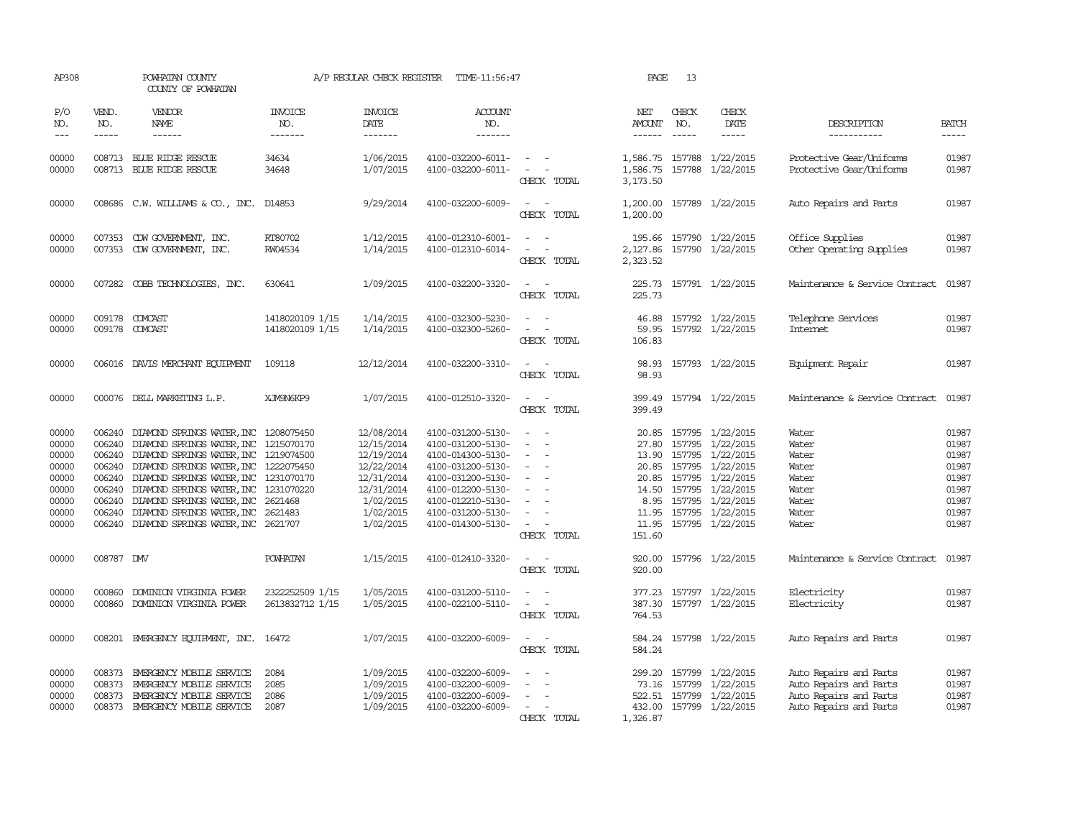| AP308                                                                         |                                      | POWHATAN COUNTY<br>COUNTY OF POWHATAN                                                                                                                                                                                                                                                                                                                                                                         |                                    | A/P REGULAR CHECK REGISTER                                                                                              | TIME-11:56:47                                                                                                                                                                             |                                                                               | PAGE                                  | 13                          |                                                                                                                                                                                                                     |                                                                                                      |                                                                               |
|-------------------------------------------------------------------------------|--------------------------------------|---------------------------------------------------------------------------------------------------------------------------------------------------------------------------------------------------------------------------------------------------------------------------------------------------------------------------------------------------------------------------------------------------------------|------------------------------------|-------------------------------------------------------------------------------------------------------------------------|-------------------------------------------------------------------------------------------------------------------------------------------------------------------------------------------|-------------------------------------------------------------------------------|---------------------------------------|-----------------------------|---------------------------------------------------------------------------------------------------------------------------------------------------------------------------------------------------------------------|------------------------------------------------------------------------------------------------------|-------------------------------------------------------------------------------|
| P/O<br>NO.<br>$---$                                                           | VEND.<br>NO.<br>$- - - - -$          | VENDOR<br><b>NAME</b><br>------                                                                                                                                                                                                                                                                                                                                                                               | <b>INVOICE</b><br>NO.<br>-------   | <b>INVOICE</b><br><b>DATE</b><br>-------                                                                                | <b>ACCOUNT</b><br>NO.<br>-------                                                                                                                                                          |                                                                               | NET<br><b>AMOUNT</b><br>$- - - - - -$ | CHECK<br>NO.<br>$- - - - -$ | CHECK<br>DATE<br>-----                                                                                                                                                                                              | DESCRIPTION<br>-----------                                                                           | <b>BATCH</b><br>-----                                                         |
| 00000<br>00000                                                                |                                      | 008713 BLUE RIDGE RESCUE<br>008713 BLUE RIDGE RESCUE                                                                                                                                                                                                                                                                                                                                                          | 34634<br>34648                     | 1/06/2015<br>1/07/2015                                                                                                  | 4100-032200-6011-<br>4100-032200-6011-                                                                                                                                                    | $\sim$<br>$\overline{\phantom{a}}$<br>CHECK TOTAL                             | 1,586.75<br>1,586.75<br>3,173.50      |                             | 157788 1/22/2015<br>157788 1/22/2015                                                                                                                                                                                | Protective Gear/Uniforms<br>Protective Gear/Uniforms                                                 | 01987<br>01987                                                                |
| 00000                                                                         |                                      | 008686 C.W. WILLIAMS & CO., INC. D14853                                                                                                                                                                                                                                                                                                                                                                       |                                    | 9/29/2014                                                                                                               | 4100-032200-6009-                                                                                                                                                                         | $\overline{\phantom{a}}$<br>CHECK TOTAL                                       | 1,200.00                              |                             | 1,200.00 157789 1/22/2015                                                                                                                                                                                           | Auto Repairs and Parts                                                                               | 01987                                                                         |
| 00000<br>00000                                                                | 007353<br>007353                     | CDW GOVERNMENT, INC.<br>CDW GOVERNMENT, INC.                                                                                                                                                                                                                                                                                                                                                                  | RT80702<br>RW04534                 | 1/12/2015<br>1/14/2015                                                                                                  | 4100-012310-6001-<br>4100-012310-6014-                                                                                                                                                    | CHECK TOTAL                                                                   | 195.66<br>2,127.86<br>2,323.52        |                             | 157790 1/22/2015<br>157790 1/22/2015                                                                                                                                                                                | Office Supplies<br>Other Operating Supplies                                                          | 01987<br>01987                                                                |
| 00000                                                                         |                                      | 007282 COBB TECHNOLOGIES, INC.                                                                                                                                                                                                                                                                                                                                                                                | 630641                             | 1/09/2015                                                                                                               | 4100-032200-3320-                                                                                                                                                                         | $\overline{\phantom{a}}$<br>CHECK TOTAL                                       | 225.73                                |                             | 225.73 157791 1/22/2015                                                                                                                                                                                             | Maintenance & Service Contract                                                                       | 01987                                                                         |
| 00000<br>00000                                                                | 009178                               | 009178 COMCAST<br>COMCAST                                                                                                                                                                                                                                                                                                                                                                                     | 1418020109 1/15<br>1418020109 1/15 | 1/14/2015<br>1/14/2015                                                                                                  | 4100-032300-5230-<br>4100-032300-5260-                                                                                                                                                    | $\overline{a}$<br>$\overline{\phantom{a}}$<br>CHECK TOTAL                     | 46.88<br>59.95<br>106.83              |                             | 157792 1/22/2015<br>157792 1/22/2015                                                                                                                                                                                | Telephone Services<br><b>Internet</b>                                                                | 01987<br>01987                                                                |
| 00000                                                                         |                                      | 006016 DAVIS MERCHANT EQUIPMENT                                                                                                                                                                                                                                                                                                                                                                               | 109118                             | 12/12/2014                                                                                                              | 4100-032200-3310-                                                                                                                                                                         | CHECK TOTAL                                                                   | 98.93<br>98.93                        |                             | 157793 1/22/2015                                                                                                                                                                                                    | Equipment Repair                                                                                     | 01987                                                                         |
| 00000                                                                         |                                      | 000076 DELL MARKETING L.P.                                                                                                                                                                                                                                                                                                                                                                                    | XJM9N6KP9                          | 1/07/2015                                                                                                               | 4100-012510-3320-                                                                                                                                                                         | $\sim$<br>$\sim$<br>CHECK TOTAL                                               | 399.49                                |                             | 399.49 157794 1/22/2015                                                                                                                                                                                             | Maintenance & Service Contract                                                                       | 01987                                                                         |
| 00000<br>00000<br>00000<br>00000<br>00000<br>00000<br>00000<br>00000<br>00000 | 006240<br>006240                     | 006240 DIAMOND SPRINGS WATER, INC 1208075450<br>DIAMOND SPRINGS WATER, INC 1215070170<br>006240 DIAMOND SPRINGS WATER, INC 1219074500<br>006240 DIAMOND SPRINGS WATER, INC 1222075450<br>006240 DIAMOND SPRINGS WATER, INC 1231070170<br>006240 DIAMOND SPRINGS WATER, INC 1231070220<br>DIAMOND SPRINGS WATER, INC<br>006240 DIAMOND SPRINGS WATER, INC 2621483<br>006240 DIAMOND SPRINGS WATER, INC 2621707 | 2621468                            | 12/08/2014<br>12/15/2014<br>12/19/2014<br>12/22/2014<br>12/31/2014<br>12/31/2014<br>1/02/2015<br>1/02/2015<br>1/02/2015 | 4100-031200-5130-<br>4100-031200-5130-<br>4100-014300-5130-<br>4100-031200-5130-<br>4100-031200-5130-<br>4100-012200-5130-<br>4100-012210-5130-<br>4100-031200-5130-<br>4100-014300-5130- | $\overline{\phantom{a}}$<br>$\sim$<br>$\overline{\phantom{a}}$<br>CHECK TOTAL | 27.80<br>151.60                       | 8.95 157795                 | 20.85 157795 1/22/2015<br>157795 1/22/2015<br>13.90 157795 1/22/2015<br>20.85 157795 1/22/2015<br>20.85 157795 1/22/2015<br>14.50 157795 1/22/2015<br>1/22/2015<br>11.95 157795 1/22/2015<br>11.95 157795 1/22/2015 | Water<br>Water<br>Water<br>Water<br>Water<br>Water<br>Water<br>Water<br>Water                        | 01987<br>01987<br>01987<br>01987<br>01987<br>01987<br>01987<br>01987<br>01987 |
| 00000                                                                         | 008787 DMV                           |                                                                                                                                                                                                                                                                                                                                                                                                               | <b>POWHATAN</b>                    | 1/15/2015                                                                                                               | 4100-012410-3320-                                                                                                                                                                         | $\sim$ $\sim$<br>CHECK TOTAL                                                  | 920.00<br>920.00                      |                             | 157796 1/22/2015                                                                                                                                                                                                    | Maintenance & Service Contract                                                                       | 01987                                                                         |
| 00000<br>00000                                                                | 000860                               | DOMINION VIRGINIA POWER<br>000860 DOMINION VIRGINIA POWER                                                                                                                                                                                                                                                                                                                                                     | 2322252509 1/15<br>2613832712 1/15 | 1/05/2015<br>1/05/2015                                                                                                  | 4100-031200-5110-<br>4100-022100-5110-                                                                                                                                                    | $\equiv$<br>$\sim$<br>CHECK TOTAL                                             | 377.23<br>764.53                      |                             | 157797 1/22/2015<br>387.30 157797 1/22/2015                                                                                                                                                                         | Electricity<br>Electricity                                                                           | 01987<br>01987                                                                |
| 00000                                                                         |                                      | 008201 EMERGENCY EQUIPMENT, INC. 16472                                                                                                                                                                                                                                                                                                                                                                        |                                    | 1/07/2015                                                                                                               | 4100-032200-6009-                                                                                                                                                                         | CHECK TOTAL                                                                   | 584.24<br>584.24                      |                             | 157798 1/22/2015                                                                                                                                                                                                    | Auto Repairs and Parts                                                                               | 01987                                                                         |
| 00000<br>00000<br>00000<br>00000                                              | 008373<br>008373<br>008373<br>008373 | EMERGENCY MOBILE SERVICE<br>EMERGENCY MOBILE SERVICE<br>EMERGENCY MOBILE SERVICE<br>EMERGENCY MOBILE SERVICE                                                                                                                                                                                                                                                                                                  | 2084<br>2085<br>2086<br>2087       | 1/09/2015<br>1/09/2015<br>1/09/2015<br>1/09/2015                                                                        | 4100-032200-6009-<br>4100-032200-6009-<br>4100-032200-6009-<br>4100-032200-6009-                                                                                                          | CHECK TOTAL                                                                   | 299.20<br>522.51<br>1,326.87          |                             | 157799 1/22/2015<br>73.16 157799 1/22/2015<br>157799 1/22/2015<br>432.00 157799 1/22/2015                                                                                                                           | Auto Repairs and Parts<br>Auto Repairs and Parts<br>Auto Repairs and Parts<br>Auto Repairs and Parts | 01987<br>01987<br>01987<br>01987                                              |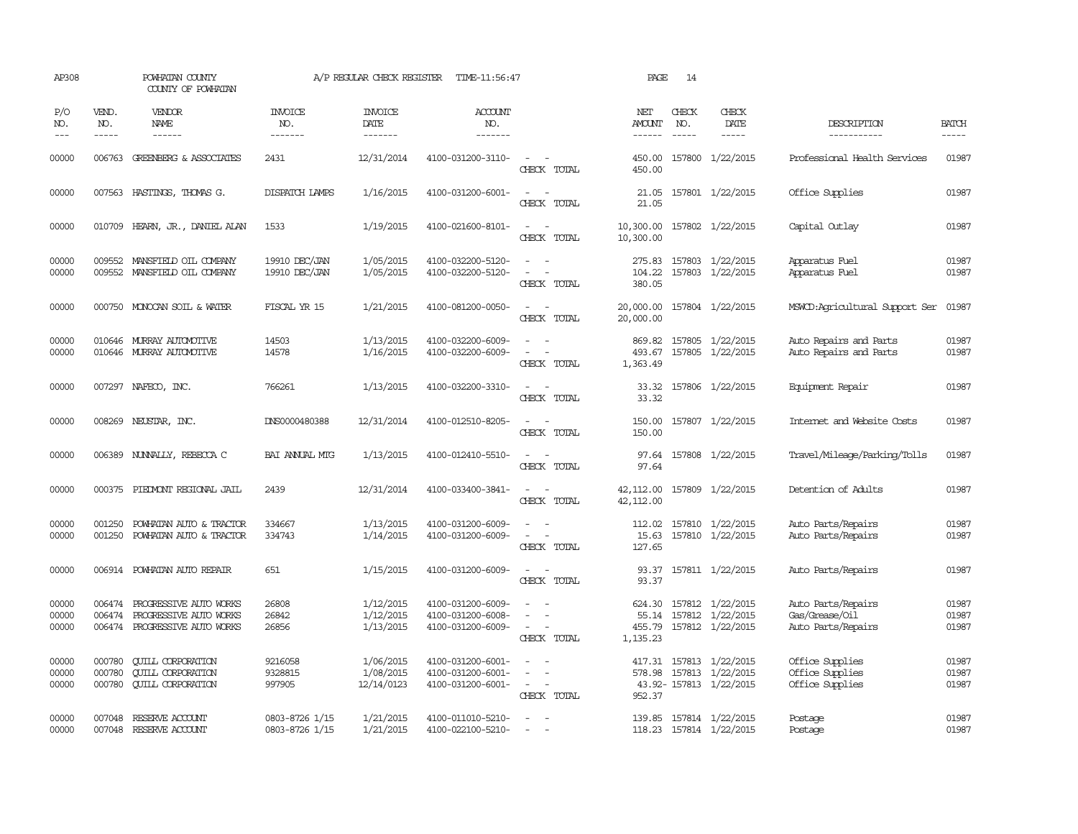| AP308                   |                             | POWHATAN COUNTY<br>COUNTY OF POWHATAN                                             |                                  | A/P REGULAR CHECK REGISTER           | TIME-11:56:47                                               |                                                                                                                             | PAGE                           | 14                            |                                                                       |                                                            |                         |
|-------------------------|-----------------------------|-----------------------------------------------------------------------------------|----------------------------------|--------------------------------------|-------------------------------------------------------------|-----------------------------------------------------------------------------------------------------------------------------|--------------------------------|-------------------------------|-----------------------------------------------------------------------|------------------------------------------------------------|-------------------------|
| P/O<br>NO.<br>$---$     | VEND.<br>NO.<br>$- - - - -$ | VENDOR<br>NAME                                                                    | <b>INVOICE</b><br>NO.<br>------- | <b>INVOICE</b><br>DATE<br>-------    | <b>ACCOUNT</b><br>NO.<br>-------                            |                                                                                                                             | NET<br><b>AMOUNT</b><br>------ | CHECK<br>NO.<br>$\frac{1}{2}$ | CHECK<br>DATE<br>$- - - - -$                                          | DESCRIPTION<br>-----------                                 | <b>BATCH</b><br>-----   |
| 00000                   |                             | 006763 GREENBERG & ASSOCIATES                                                     | 2431                             | 12/31/2014                           | 4100-031200-3110-                                           | $\sim$<br>$\sim$<br>CHECK TOTAL                                                                                             | 450.00<br>450.00               |                               | 157800 1/22/2015                                                      | Professional Health Services                               | 01987                   |
| 00000                   |                             | 007563 HASTINGS, THOMAS G.                                                        | DISPATCH LAMPS                   | 1/16/2015                            | 4100-031200-6001-                                           | $\frac{1}{2} \left( \frac{1}{2} \right) \left( \frac{1}{2} \right) = \frac{1}{2} \left( \frac{1}{2} \right)$<br>CHECK TOTAL | 21.05<br>21.05                 |                               | 157801 1/22/2015                                                      | Office Supplies                                            | 01987                   |
| 00000                   |                             | 010709 HEARN, JR., DANIEL ALAN                                                    | 1533                             | 1/19/2015                            | 4100-021600-8101-                                           | $\sim$<br>CHECK TOTAL                                                                                                       | 10,300.00                      |                               | 10,300.00 157802 1/22/2015                                            | Capital Outlay                                             | 01987                   |
| 00000<br>00000          | 009552<br>009552            | MANSFIELD OIL COMPANY<br>MANSFIELD OIL COMPANY                                    | 19910 DEC/JAN<br>19910 DEC/JAN   | 1/05/2015<br>1/05/2015               | 4100-032200-5120-<br>4100-032200-5120-                      | $\overline{a}$<br>$\overline{\phantom{a}}$<br>CHECK TOTAL                                                                   | 275.83<br>104.22<br>380.05     |                               | 157803 1/22/2015<br>157803 1/22/2015                                  | Apparatus Fuel<br>Apparatus Fuel                           | 01987<br>01987          |
| 00000                   |                             | 000750 MONOCAN SOIL & WATER                                                       | FISCAL YR 15                     | 1/21/2015                            | 4100-081200-0050-                                           | $\frac{1}{2} \left( \frac{1}{2} \right) \left( \frac{1}{2} \right) = \frac{1}{2} \left( \frac{1}{2} \right)$<br>CHECK TOTAL | 20,000.00                      |                               | 20,000.00 157804 1/22/2015                                            | MSWCD: Agricultural Support Ser                            | 01987                   |
| 00000<br>00000          | 010646                      | MURRAY AUTOMOTTVE<br>010646 MURRAY AUTOMOTTVE                                     | 14503<br>14578                   | 1/13/2015<br>1/16/2015               | 4100-032200-6009-<br>4100-032200-6009-                      | $\sim$<br>$\overline{\phantom{a}}$<br>CHECK TOTAL                                                                           | 869.82<br>493.67<br>1,363.49   |                               | 157805 1/22/2015<br>157805 1/22/2015                                  | Auto Repairs and Parts<br>Auto Repairs and Parts           | 01987<br>01987          |
| 00000                   |                             | 007297 NAFECO, INC.                                                               | 766261                           | 1/13/2015                            | 4100-032200-3310-                                           | $\frac{1}{2} \left( \frac{1}{2} \right) \left( \frac{1}{2} \right) = \frac{1}{2} \left( \frac{1}{2} \right)$<br>CHECK TOTAL | 33.32                          |                               | 33.32 157806 1/22/2015                                                | Equipment Repair                                           | 01987                   |
| 00000                   |                             | 008269 NEUSTAR, INC.                                                              | DNS0000480388                    | 12/31/2014                           | 4100-012510-8205-                                           | $\equiv$<br>$\sim$<br>CHECK TOTAL                                                                                           | 150.00<br>150.00               |                               | 157807 1/22/2015                                                      | Internet and Website Costs                                 | 01987                   |
| 00000                   |                             | 006389 NUNNALLY, REBECCA C                                                        | BAI ANNUAL MIG                   | 1/13/2015                            | 4100-012410-5510-                                           | $\sim$ $\sim$<br>CHECK TOTAL                                                                                                | 97.64<br>97.64                 |                               | 157808 1/22/2015                                                      | Travel/Mileage/Parking/Tolls                               | 01987                   |
| 00000                   |                             | 000375 PIEDMONT REGIONAL JAIL                                                     | 2439                             | 12/31/2014                           | 4100-033400-3841-                                           | $\sim$ $ \sim$<br>CHECK TOTAL                                                                                               | 42,112.00<br>42,112.00         |                               | 157809 1/22/2015                                                      | Detention of Adults                                        | 01987                   |
| 00000<br>00000          | 001250<br>001250            | POWHATAN AUTO & TRACTOR<br>POWHATAN AUTO & TRACTOR                                | 334667<br>334743                 | 1/13/2015<br>1/14/2015               | 4100-031200-6009-<br>4100-031200-6009-                      | CHECK TOTAL                                                                                                                 | 15.63<br>127.65                |                               | 112.02 157810 1/22/2015<br>157810 1/22/2015                           | Auto Parts/Repairs<br>Auto Parts/Repairs                   | 01987<br>01987          |
| 00000                   |                             | 006914 POWHATAN AUTO REPAIR                                                       | 651                              | 1/15/2015                            | 4100-031200-6009-                                           | CHECK TOTAL                                                                                                                 | 93.37                          |                               | 93.37 157811 1/22/2015                                                | Auto Parts/Repairs                                         | 01987                   |
| 00000<br>00000<br>00000 | 006474<br>006474            | PROGRESSIVE AUTO WORKS<br>PROGRESSIVE AUTO WORKS<br>006474 PROGRESSIVE AUTO WORKS | 26808<br>26842<br>26856          | 1/12/2015<br>1/12/2015<br>1/13/2015  | 4100-031200-6009-<br>4100-031200-6008-<br>4100-031200-6009- | $\sim$<br>CHECK TOTAL                                                                                                       | 55.14<br>455.79<br>1,135.23    |                               | 624.30 157812 1/22/2015<br>157812 1/22/2015<br>157812 1/22/2015       | Auto Parts/Repairs<br>Gas/Grease/Oil<br>Auto Parts/Repairs | 01987<br>01987<br>01987 |
| 00000<br>00000<br>00000 | 000780<br>000780<br>000780  | <b>QUILL CORPORATION</b><br><b>CUILL CORPORATION</b><br><b>QUILL CORPORATION</b>  | 9216058<br>9328815<br>997905     | 1/06/2015<br>1/08/2015<br>12/14/0123 | 4100-031200-6001-<br>4100-031200-6001-<br>4100-031200-6001- | $\sim$<br>$\sim$<br>$\sim$ $ \sim$<br>CHECK TOTAL                                                                           | 578.98<br>952.37               |                               | 417.31 157813 1/22/2015<br>157813 1/22/2015<br>43.92-157813 1/22/2015 | Office Supplies<br>Office Supplies<br>Office Supplies      | 01987<br>01987<br>01987 |
| 00000<br>00000          | 007048                      | RESERVE ACCOUNT<br>007048 RESERVE ACCOUNT                                         | 0803-8726 1/15<br>0803-8726 1/15 | 1/21/2015<br>1/21/2015               | 4100-011010-5210-<br>4100-022100-5210-                      | $\overline{\phantom{a}}$<br>$\sim$                                                                                          |                                |                               | 139.85 157814 1/22/2015<br>118.23 157814 1/22/2015                    | Postage<br>Postage                                         | 01987<br>01987          |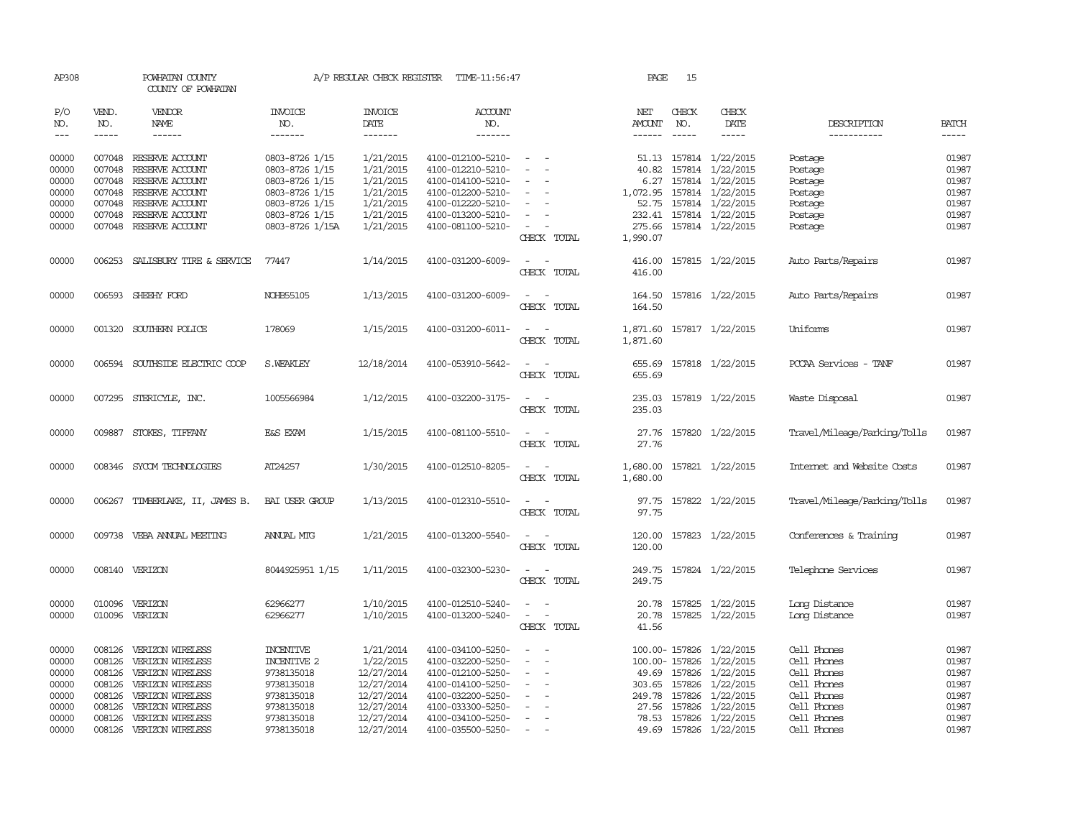| AP308      |              | POWHATAN COUNTY<br>COUNTY OF POWHATAN |                       | A/P REGULAR CHECK REGISTER | TIME-11:56:47         |                                                                                                              | PAGE               | 15            |                           |                              |              |
|------------|--------------|---------------------------------------|-----------------------|----------------------------|-----------------------|--------------------------------------------------------------------------------------------------------------|--------------------|---------------|---------------------------|------------------------------|--------------|
| P/O<br>NO. | VEND.<br>NO. | <b>VENDOR</b><br>NAME                 | <b>INVOICE</b><br>NO. | <b>INVOICE</b><br>DATE     | <b>ACCOUNT</b><br>NO. |                                                                                                              | NET<br>AMOUNT      | CHECK<br>NO.  | CHECK<br>DATE             | DESCRIPTION                  | <b>BATCH</b> |
| $---$      | $- - - - -$  | $- - - - - -$                         | -------               | -------                    | -------               |                                                                                                              | $- - - - - -$      | $\frac{1}{2}$ | $- - - - -$               | -----------                  | $- - - - -$  |
| 00000      |              | 007048 RESERVE ACCOUNT                | 0803-8726 1/15        | 1/21/2015                  | 4100-012100-5210-     | $\overline{\phantom{a}}$                                                                                     |                    |               | 51.13 157814 1/22/2015    | Postage                      | 01987        |
| 00000      | 007048       | RESERVE ACCOUNT                       | 0803-8726 1/15        | 1/21/2015                  | 4100-012210-5210-     |                                                                                                              | 40.82              | 157814        | 1/22/2015                 | Postage                      | 01987        |
| 00000      | 007048       | RESERVE ACCOUNT                       | 0803-8726 1/15        | 1/21/2015                  | 4100-014100-5210-     |                                                                                                              |                    |               | 6.27 157814 1/22/2015     | Postage                      | 01987        |
| 00000      |              | 007048 RESERVE ACCOUNT                | 0803-8726 1/15        | 1/21/2015                  | 4100-012200-5210-     | $\equiv$                                                                                                     | 1,072.95           |               | 157814 1/22/2015          | Postage                      | 01987        |
| 00000      |              | 007048 RESERVE ACCOUNT                | 0803-8726 1/15        | 1/21/2015                  | 4100-012220-5210-     |                                                                                                              | 52.75              |               | 157814 1/22/2015          | Postage                      | 01987        |
| 00000      | 007048       | RESERVE ACCOUNT                       | 0803-8726 1/15        | 1/21/2015                  | 4100-013200-5210-     |                                                                                                              | 232.41             |               | 157814 1/22/2015          | Postage                      | 01987        |
| 00000      |              | 007048 RESERVE ACCOUNT                | 0803-8726 1/15A       | 1/21/2015                  | 4100-081100-5210-     | $\sim$<br>$\equiv$<br>CHECK TOTAL                                                                            | 275.66<br>1,990.07 |               | 157814 1/22/2015          | Postage                      | 01987        |
| 00000      |              | 006253 SALISBURY TIRE & SERVICE       | 77447                 | 1/14/2015                  | 4100-031200-6009-     | $\sim$                                                                                                       | 416.00             |               | 157815 1/22/2015          | Auto Parts/Repairs           | 01987        |
|            |              |                                       |                       |                            |                       | CHECK TOTAL                                                                                                  | 416.00             |               |                           |                              |              |
| 00000      |              | 006593 SHEEHY FORD                    | NOHB55105             | 1/13/2015                  | 4100-031200-6009-     | $\sim$<br>$\sim$                                                                                             | 164.50             |               | 157816 1/22/2015          | Auto Parts/Repairs           | 01987        |
|            |              |                                       |                       |                            |                       | CHECK TOTAL                                                                                                  | 164.50             |               |                           |                              |              |
| 00000      |              | 001320 SOUTHERN POLICE                | 178069                | 1/15/2015                  | 4100-031200-6011-     | $\sim$ $\sim$                                                                                                |                    |               | 1,871.60 157817 1/22/2015 | Uniforms                     | 01987        |
|            |              |                                       |                       |                            |                       | CHECK TOTAL                                                                                                  | 1,871.60           |               |                           |                              |              |
| 00000      |              | 006594 SOUTHSIDE ELECTRIC COOP        | S. WEAKLEY            | 12/18/2014                 | 4100-053910-5642-     |                                                                                                              | 655.69             |               | 157818 1/22/2015          | PCCAA Services - TANF        | 01987        |
|            |              |                                       |                       |                            |                       | CHECK TOTAL                                                                                                  | 655.69             |               |                           |                              |              |
| 00000      |              | 007295 STERICYLE, INC.                | 1005566984            | 1/12/2015                  | 4100-032200-3175-     | $\sim$<br>$\sim$                                                                                             | 235.03             |               | 157819 1/22/2015          | Waste Disposal               | 01987        |
|            |              |                                       |                       |                            |                       | CHECK TOTAL                                                                                                  | 235.03             |               |                           |                              |              |
| 00000      | 009887       | STOKES, TIFFANY                       | E&S EXAM              | 1/15/2015                  | 4100-081100-5510-     | $\overline{\phantom{a}}$<br>$\sim$                                                                           | 27.76              |               | 157820 1/22/2015          | Travel/Mileage/Parking/Tolls | 01987        |
|            |              |                                       |                       |                            |                       | CHECK TOTAL                                                                                                  | 27.76              |               |                           |                              |              |
|            |              |                                       |                       |                            |                       |                                                                                                              |                    |               |                           |                              |              |
| 00000      |              | 008346 SYCOM TECHNOLOGIES             | AT24257               | 1/30/2015                  | 4100-012510-8205-     | $\frac{1}{2} \left( \frac{1}{2} \right) \left( \frac{1}{2} \right) = \frac{1}{2} \left( \frac{1}{2} \right)$ |                    |               | 1,680.00 157821 1/22/2015 | Internet and Website Costs   | 01987        |
|            |              |                                       |                       |                            |                       | CHECK TOTAL                                                                                                  | 1,680.00           |               |                           |                              |              |
| 00000      |              | 006267 TIMBERLAKE, II, JAMES B.       | BAI USER GROUP        | 1/13/2015                  | 4100-012310-5510-     |                                                                                                              |                    |               | 97.75 157822 1/22/2015    | Travel/Mileage/Parking/Tolls | 01987        |
|            |              |                                       |                       |                            |                       | CHECK TOTAL                                                                                                  | 97.75              |               |                           |                              |              |
|            |              |                                       |                       |                            |                       |                                                                                                              |                    |               |                           |                              |              |
| 00000      |              | 009738 VEBA ANNUAL MEETING            | ANNUAL MTG            | 1/21/2015                  | 4100-013200-5540-     | $\sim$ $\sim$                                                                                                | 120.00             |               | 157823 1/22/2015          | Conferences & Training       | 01987        |
|            |              |                                       |                       |                            |                       | CHECK TOTAL                                                                                                  | 120.00             |               |                           |                              |              |
| 00000      |              | 008140 VERIZON                        | 8044925951 1/15       | 1/11/2015                  | 4100-032300-5230-     | $\sim$                                                                                                       |                    |               | 249.75 157824 1/22/2015   | Telephone Services           | 01987        |
|            |              |                                       |                       |                            |                       | CHECK TOTAL                                                                                                  | 249.75             |               |                           |                              |              |
|            |              |                                       |                       |                            |                       |                                                                                                              |                    |               |                           |                              |              |
| 00000      |              | 010096 VERIZON                        | 62966277              | 1/10/2015                  | 4100-012510-5240-     |                                                                                                              |                    |               | 20.78 157825 1/22/2015    | Long Distance                | 01987        |
| 00000      |              | 010096 VERIZON                        | 62966277              | 1/10/2015                  | 4100-013200-5240-     | $\sim$<br>$\sim$                                                                                             |                    |               | 20.78 157825 1/22/2015    | Long Distance                | 01987        |
|            |              |                                       |                       |                            |                       | CHECK TOTAL                                                                                                  | 41.56              |               |                           |                              |              |
| 00000      | 008126       | VERIZON WIRELESS                      | <b>INCENTIVE</b>      | 1/21/2014                  | 4100-034100-5250-     |                                                                                                              |                    | 100.00-157826 | 1/22/2015                 | Cell Phones                  | 01987        |
| 00000      | 008126       | VERIZON WIRELESS                      | <b>INCENTIVE 2</b>    | 1/22/2015                  | 4100-032200-5250-     | $\overline{\phantom{a}}$<br>$\overline{\phantom{a}}$                                                         |                    | 100.00-157826 | 1/22/2015                 | Cell Phones                  | 01987        |
| 00000      | 008126       | VERIZON WIRELESS                      | 9738135018            | 12/27/2014                 | 4100-012100-5250-     |                                                                                                              | 49.69              | 157826        | 1/22/2015                 | Cell Phones                  | 01987        |
| 00000      | 008126       | VERIZON WIRELESS                      | 9738135018            | 12/27/2014                 | 4100-014100-5250-     |                                                                                                              |                    | 303.65 157826 | 1/22/2015                 | Cell Phones                  | 01987        |
| 00000      | 008126       | VERIZON WIRELESS                      | 9738135018            | 12/27/2014                 | 4100-032200-5250-     |                                                                                                              | 249.78             | 157826        | 1/22/2015                 | Cell Phones                  | 01987        |
| 00000      | 008126       | VERIZON WIRELESS                      | 9738135018            | 12/27/2014                 | 4100-033300-5250-     |                                                                                                              |                    | 27.56 157826  | 1/22/2015                 | Cell Phones                  | 01987        |
| 00000      |              | 008126 VERIZON WIRELESS               | 9738135018            | 12/27/2014                 | 4100-034100-5250-     |                                                                                                              |                    | 78.53 157826  | 1/22/2015                 | Cell Phones                  | 01987        |
| 00000      |              | 008126 VERIZON WIRELESS               | 9738135018            | 12/27/2014                 | 4100-035500-5250-     |                                                                                                              |                    |               | 49.69 157826 1/22/2015    | Cell Phones                  | 01987        |
|            |              |                                       |                       |                            |                       |                                                                                                              |                    |               |                           |                              |              |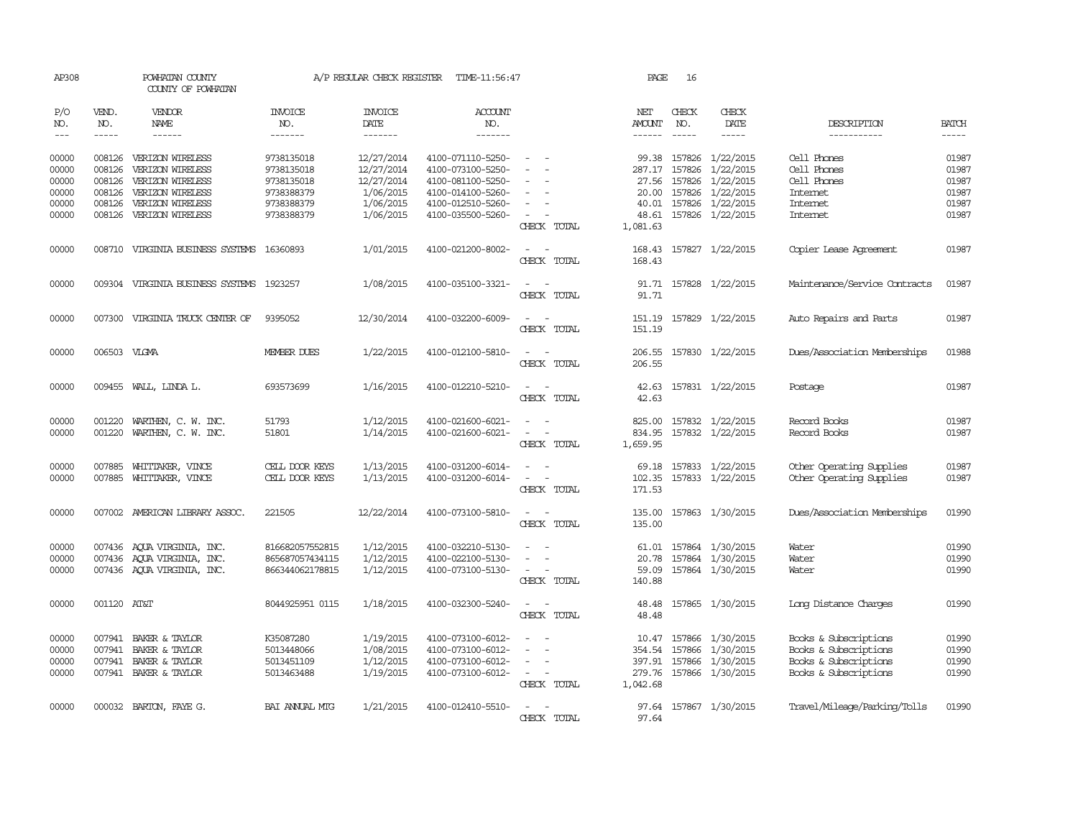| AP308               |                             | POWHATAN COUNTY<br>COUNTY OF POWHATAN             |                           | A/P REGULAR CHECK REGISTER                | TIME-11:56:47                          |                                                                                                                             | PAGE                                  | 16            |                                      |                               |                             |
|---------------------|-----------------------------|---------------------------------------------------|---------------------------|-------------------------------------------|----------------------------------------|-----------------------------------------------------------------------------------------------------------------------------|---------------------------------------|---------------|--------------------------------------|-------------------------------|-----------------------------|
| P/O<br>NO.<br>$---$ | VEND.<br>NO.<br>$- - - - -$ | VENDOR<br>NAME<br>$- - - - - -$                   | INVOICE<br>NO.<br>------- | <b>INVOICE</b><br>DATE<br>$- - - - - - -$ | ACCOUNT<br>NO.<br>$- - - - - - -$      |                                                                                                                             | NET<br><b>AMOUNT</b><br>$- - - - - -$ | CHECK<br>NO.  | CHECK<br>DATE                        | DESCRIPTION<br>-----------    | <b>BATCH</b><br>$- - - - -$ |
| 00000               | 008126                      | VERIZON WIRELESS                                  | 9738135018                | 12/27/2014                                | 4100-071110-5250-                      |                                                                                                                             | 99.38                                 | 157826        | 1/22/2015                            | Cell Phones                   | 01987                       |
| 00000               | 008126                      | VERIZON WIRELESS                                  | 9738135018                | 12/27/2014                                | 4100-073100-5250-                      |                                                                                                                             |                                       | 287.17 157826 | 1/22/2015                            | Cell Phones                   | 01987                       |
| 00000               | 008126                      | VERIZON WIRELESS                                  | 9738135018                | 12/27/2014                                | 4100-081100-5250-                      | $\sim$                                                                                                                      |                                       | 27.56 157826  | 1/22/2015                            | Cell Phones                   | 01987                       |
| 00000               | 008126                      | VERIZON WIRELESS                                  | 9738388379                | 1/06/2015                                 | 4100-014100-5260-                      |                                                                                                                             | 20.00                                 | 157826        | 1/22/2015                            | Internet                      | 01987                       |
| 00000               | 008126                      | VERIZON WIRELESS                                  | 9738388379                | 1/06/2015                                 | 4100-012510-5260-                      |                                                                                                                             |                                       |               | 40.01 157826 1/22/2015               | <b>Internet</b>               | 01987                       |
| 00000               |                             | 008126 VERIZON WIRELESS                           | 9738388379                | 1/06/2015                                 | 4100-035500-5260-                      | $\sim$<br>CHECK TOTAL                                                                                                       | 48.61<br>1,081.63                     |               | 157826 1/22/2015                     | Internet                      | 01987                       |
| 00000               |                             | 008710 VIRGINIA BUSINESS SYSTEMS 16360893         |                           | 1/01/2015                                 | 4100-021200-8002-                      | $\sim$<br>CHECK TOTAL                                                                                                       | 168.43                                |               | 168.43 157827 1/22/2015              | Copier Lease Agreement        | 01987                       |
| 00000               | 009304                      | VIRGINIA BUSINESS SYSTEMS 1923257                 |                           | 1/08/2015                                 | 4100-035100-3321-                      | $\sim$<br>$\sim$<br>CHECK TOTAL                                                                                             | 91.71                                 |               | 91.71 157828 1/22/2015               | Maintenance/Service Contracts | 01987                       |
| 00000               |                             | 007300 VIRGINIA TRUCK CENTER OF                   | 9395052                   | 12/30/2014                                | 4100-032200-6009-                      | $\sim$<br>$\sim$<br>CHECK TOTAL                                                                                             | 151.19                                |               | 151.19 157829 1/22/2015              | Auto Repairs and Parts        | 01987                       |
| 00000               | 006503 VLGMA                |                                                   | MEMBER DUES               | 1/22/2015                                 | 4100-012100-5810-                      | $\sim$ $ -$<br>CHECK TOTAL                                                                                                  | 206.55                                |               | 206.55 157830 1/22/2015              | Dues/Association Memberships  | 01988                       |
| 00000               |                             | 009455 WALL, LINDA L.                             | 693573699                 | 1/16/2015                                 | 4100-012210-5210-                      | $\frac{1}{2} \left( \frac{1}{2} \right) \left( \frac{1}{2} \right) = \frac{1}{2} \left( \frac{1}{2} \right)$<br>CHECK TOTAL | 42.63<br>42.63                        |               | 157831 1/22/2015                     | Postage                       | 01987                       |
| 00000<br>00000      | 001220                      | WARTHEN, C. W. INC.<br>001220 WARTHEN, C. W. INC. | 51793<br>51801            | 1/12/2015<br>1/14/2015                    | 4100-021600-6021-<br>4100-021600-6021- | $\sim$<br>$\sim$<br>$\sim$                                                                                                  | 825.00<br>834.95                      |               | 157832 1/22/2015<br>157832 1/22/2015 | Record Books<br>Record Books  | 01987<br>01987              |
|                     |                             |                                                   |                           |                                           |                                        | CHECK TOTAL                                                                                                                 | 1,659.95                              |               |                                      |                               |                             |
| 00000               |                             | 007885 WHITTAKER, VINCE                           | CELL DOOR KEYS            | 1/13/2015                                 | 4100-031200-6014-                      | $\sim$<br>$\sim$                                                                                                            |                                       |               | 69.18 157833 1/22/2015               | Other Operating Supplies      | 01987                       |
| 00000               |                             | 007885 WHITTAKER, VINCE                           | CELL DOOR KEYS            | 1/13/2015                                 | 4100-031200-6014-                      | $\sim$<br>$\sim$                                                                                                            | 102.35                                |               | 157833 1/22/2015                     | Other Operating Supplies      | 01987                       |
|                     |                             |                                                   |                           |                                           |                                        | CHECK TOTAL                                                                                                                 | 171.53                                |               |                                      |                               |                             |
| 00000               |                             | 007002 AMERICAN LIBRARY ASSOC.                    | 221505                    | 12/22/2014                                | 4100-073100-5810-                      | $\sim$ 100 $\sim$                                                                                                           | 135.00                                |               | 157863 1/30/2015                     | Dues/Association Memberships  | 01990                       |
|                     |                             |                                                   |                           |                                           |                                        | CHECK TOTAL                                                                                                                 | 135.00                                |               |                                      |                               |                             |
| 00000               |                             | 007436 AQUA VIRGINIA, INC.                        | 816682057552815           | 1/12/2015                                 | 4100-032210-5130-                      | $\overline{\phantom{a}}$<br>$\sim$                                                                                          | 61.01                                 |               | 157864 1/30/2015                     | Water                         | 01990                       |
| 00000               |                             | 007436 AQUA VIRGINIA, INC.                        | 865687057434115           | 1/12/2015                                 | 4100-022100-5130-                      | $\sim$                                                                                                                      |                                       |               | 20.78 157864 1/30/2015               | Water                         | 01990                       |
| 00000               |                             | 007436 AQUA VIRGINIA, INC.                        | 866344062178815           | 1/12/2015                                 | 4100-073100-5130-                      | $\sim$ $ -$                                                                                                                 | 59.09                                 |               | 157864 1/30/2015                     | Water                         | 01990                       |
|                     |                             |                                                   |                           |                                           |                                        | CHECK TOTAL                                                                                                                 | 140.88                                |               |                                      |                               |                             |
| 00000               | 001120 AT&T                 |                                                   | 8044925951 0115           | 1/18/2015                                 | 4100-032300-5240-                      | $\sim$ $ -$                                                                                                                 | 48.48                                 |               | 157865 1/30/2015                     | Long Distance Charges         | 01990                       |
|                     |                             |                                                   |                           |                                           |                                        | CHECK TOTAL                                                                                                                 | 48.48                                 |               |                                      |                               |                             |
| 00000               |                             | 007941 BAKER & TAYLOR                             | K35087280                 | 1/19/2015                                 | 4100-073100-6012-                      |                                                                                                                             |                                       |               | 10.47 157866 1/30/2015               | Books & Subscriptions         | 01990                       |
| 00000               |                             | 007941 BAKER & TAYLOR                             | 5013448066                | 1/08/2015                                 | 4100-073100-6012-                      | $\sim$<br>$\overline{\phantom{a}}$                                                                                          |                                       | 354.54 157866 | 1/30/2015                            | Books & Subscriptions         | 01990                       |
| 00000               |                             | 007941 BAKER & TAYLOR                             | 5013451109                | 1/12/2015                                 | 4100-073100-6012-                      | $\overline{\phantom{a}}$                                                                                                    |                                       | 397.91 157866 | 1/30/2015                            | Books & Subscriptions         | 01990                       |
| 00000               |                             | 007941 BAKER & TAYLOR                             | 5013463488                | 1/19/2015                                 | 4100-073100-6012-                      | $\sim$<br>$\sim$                                                                                                            |                                       |               | 279.76 157866 1/30/2015              | Books & Subscriptions         | 01990                       |
|                     |                             |                                                   |                           |                                           |                                        | CHECK TOTAL                                                                                                                 | 1,042.68                              |               |                                      |                               |                             |
| 00000               |                             | 000032 BARTON, FAYE G.                            | BAI ANNUAL MIG            | 1/21/2015                                 | 4100-012410-5510-                      | $\overline{a}$<br>CHECK TOTAL                                                                                               | 97.64                                 |               | 97.64 157867 1/30/2015               | Travel/Mileage/Parking/Tolls  | 01990                       |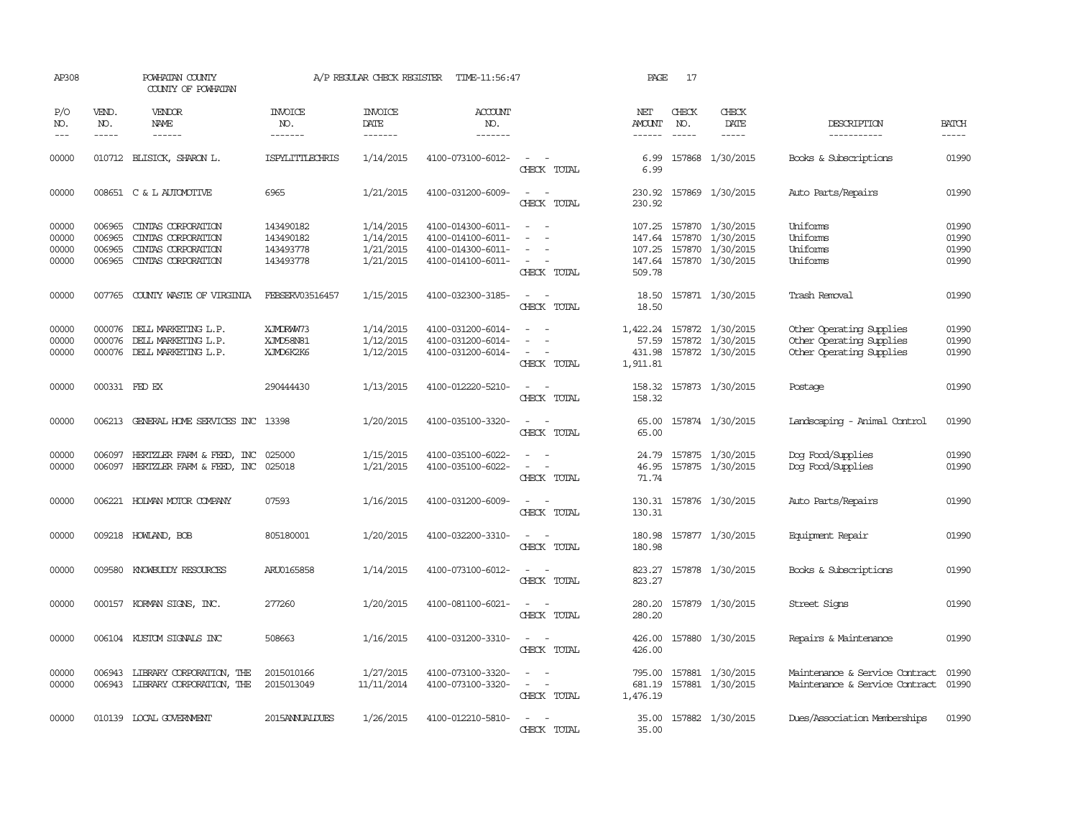| AP308                            |                                      | POWHATAN COUNTY<br>COUNTY OF POWHATAN                                                  |                                                  | A/P REGULAR CHECK REGISTER                       | TIME-11:56:47                                                                    |                                                                               | PAGE                                 | 17                            |                                                                                     |                                                                                  |                                  |
|----------------------------------|--------------------------------------|----------------------------------------------------------------------------------------|--------------------------------------------------|--------------------------------------------------|----------------------------------------------------------------------------------|-------------------------------------------------------------------------------|--------------------------------------|-------------------------------|-------------------------------------------------------------------------------------|----------------------------------------------------------------------------------|----------------------------------|
| P/O<br>NO.<br>$---$              | VEND.<br>NO.<br>$- - - - -$          | VENDOR<br><b>NAME</b><br>$- - - - - -$                                                 | <b>INVOICE</b><br>NO.<br>-------                 | <b>INVOICE</b><br>DATE<br>-------                | <b>ACCOUNT</b><br>NO.<br>-------                                                 |                                                                               | NET<br>AMOUNT<br>$- - - - - -$       | CHECK<br>NO.<br>$\frac{1}{2}$ | CHECK<br>DATE<br>$- - - - -$                                                        | DESCRIPTION<br>-----------                                                       | <b>BATCH</b><br>-----            |
| 00000                            |                                      | 010712 BLISICK, SHARON L.                                                              | ISPYLITTLECHRIS                                  | 1/14/2015                                        | 4100-073100-6012-                                                                | $\sim$<br>CHECK TOTAL                                                         | 6.99<br>6.99                         |                               | 157868 1/30/2015                                                                    | Books & Subscriptions                                                            | 01990                            |
| 00000                            |                                      | 008651 C & L AUTOMOTIVE                                                                | 6965                                             | 1/21/2015                                        | 4100-031200-6009-                                                                | $\equiv$<br>$\overline{\phantom{a}}$<br>CHECK TOTAL                           | 230.92<br>230.92                     |                               | 157869 1/30/2015                                                                    | Auto Parts/Repairs                                                               | 01990                            |
| 00000<br>00000<br>00000<br>00000 | 006965<br>006965<br>006965<br>006965 | CINIAS CORPORATION<br>CINIAS CORPORATION<br>CINTAS CORPORATION<br>CINIAS CORPORATION   | 143490182<br>143490182<br>143493778<br>143493778 | 1/14/2015<br>1/14/2015<br>1/21/2015<br>1/21/2015 | 4100-014300-6011-<br>4100-014100-6011-<br>4100-014300-6011-<br>4100-014100-6011- | $\equiv$<br>$\overline{\phantom{a}}$<br>$\equiv$<br>$\sim$ $-$<br>CHECK TOTAL | 107.25<br>147.64<br>107.25<br>509.78 |                               | 157870 1/30/2015<br>157870 1/30/2015<br>157870 1/30/2015<br>147.64 157870 1/30/2015 | Uniforms<br>Uniforms<br>Uniforms<br>Uniforms                                     | 01990<br>01990<br>01990<br>01990 |
| 00000                            |                                      | 007765 COUNTY WASTE OF VIRGINIA                                                        | FEBSERV03516457                                  | 1/15/2015                                        | 4100-032300-3185-                                                                | $\sim$<br>$\overline{\phantom{a}}$<br>CHECK TOTAL                             | 18.50<br>18.50                       |                               | 157871 1/30/2015                                                                    | Trash Removal                                                                    | 01990                            |
| 00000<br>00000<br>00000          |                                      | 000076 DELL MARKETING L.P.<br>000076 DELL MARKETING L.P.<br>000076 DELL MARKETING L.P. | XJMDRWW73<br>XJMD58N81<br>XJMD6K2K6              | 1/14/2015<br>1/12/2015<br>1/12/2015              | 4100-031200-6014-<br>4100-031200-6014-<br>4100-031200-6014-                      | $\sim$<br>CHECK TOTAL                                                         | 57.59<br>431.98<br>1,911.81          |                               | 1,422.24 157872 1/30/2015<br>157872 1/30/2015<br>157872 1/30/2015                   | Other Operating Supplies<br>Other Operating Supplies<br>Other Operating Supplies | 01990<br>01990<br>01990          |
| 00000                            | 000331 FED EX                        |                                                                                        | 290444430                                        | 1/13/2015                                        | 4100-012220-5210-                                                                | $\sim$<br>$\sim$<br>CHECK TOTAL                                               | 158.32<br>158.32                     |                               | 157873 1/30/2015                                                                    | Postage                                                                          | 01990                            |
| 00000                            |                                      | 006213 GENERAL HOME SERVICES INC 13398                                                 |                                                  | 1/20/2015                                        | 4100-035100-3320-                                                                | $\equiv$<br>$\sim$<br>CHECK TOTAL                                             | 65.00<br>65.00                       |                               | 157874 1/30/2015                                                                    | Landscaping - Animal Control                                                     | 01990                            |
| 00000<br>00000                   | 006097                               | HERIZLER FARM & FEED, INC<br>006097 HERTZLER FARM & FEED, INC                          | 025000<br>025018                                 | 1/15/2015<br>1/21/2015                           | 4100-035100-6022-<br>4100-035100-6022-                                           | CHECK TOTAL                                                                   | 24.79<br>46.95<br>71.74              |                               | 157875 1/30/2015<br>157875 1/30/2015                                                | Dog Food/Supplies<br>Dog Food/Supplies                                           | 01990<br>01990                   |
| 00000                            | 006221                               | HOLMAN MOTOR COMPANY                                                                   | 07593                                            | 1/16/2015                                        | 4100-031200-6009-                                                                | CHECK TOTAL                                                                   | 130.31<br>130.31                     |                               | 157876 1/30/2015                                                                    | Auto Parts/Repairs                                                               | 01990                            |
| 00000                            |                                      | 009218 HOWLAND, BOB                                                                    | 805180001                                        | 1/20/2015                                        | 4100-032200-3310-                                                                | CHECK TOTAL                                                                   | 180.98<br>180.98                     |                               | 157877 1/30/2015                                                                    | Equipment Repair                                                                 | 01990                            |
| 00000                            | 009580                               | KNOWBUDDY RESOURCES                                                                    | ARU0165858                                       | 1/14/2015                                        | 4100-073100-6012-                                                                | CHECK TOTAL                                                                   | 823.27<br>823.27                     |                               | 157878 1/30/2015                                                                    | Books & Subscriptions                                                            | 01990                            |
| 00000                            |                                      | 000157 KORMAN SIGNS, INC.                                                              | 277260                                           | 1/20/2015                                        | 4100-081100-6021-                                                                | $\sim$<br>CHECK TOTAL                                                         | 280.20<br>280.20                     |                               | 157879 1/30/2015                                                                    | Street Signs                                                                     | 01990                            |
| 00000                            |                                      | 006104 KUSTOM SIGNALS INC                                                              | 508663                                           | 1/16/2015                                        | 4100-031200-3310-                                                                | $\sim$<br>CHECK TOTAL                                                         | 426.00<br>426.00                     |                               | 157880 1/30/2015                                                                    | Repairs & Maintenance                                                            | 01990                            |
| 00000<br>00000                   |                                      | 006943 LIBRARY CORPORATION, THE<br>006943 LIBRARY CORPORATION, THE                     | 2015010166<br>2015013049                         | 1/27/2015<br>11/11/2014                          | 4100-073100-3320-<br>4100-073100-3320-                                           | $\equiv$<br>$\overline{\phantom{a}}$<br>CHECK TOTAL                           | 795.00<br>681.19<br>1,476.19         |                               | 157881 1/30/2015<br>157881 1/30/2015                                                | Maintenance & Service Contract<br>Maintenance & Service Contract                 | 01990<br>01990                   |
| 00000                            |                                      | 010139 LOCAL GOVERNMENT                                                                | 2015ANNUALDUES                                   | 1/26/2015                                        | 4100-012210-5810-                                                                | $\overline{\phantom{a}}$<br>CHECK TOTAL                                       | 35.00<br>35.00                       |                               | 157882 1/30/2015                                                                    | Dues/Association Memberships                                                     | 01990                            |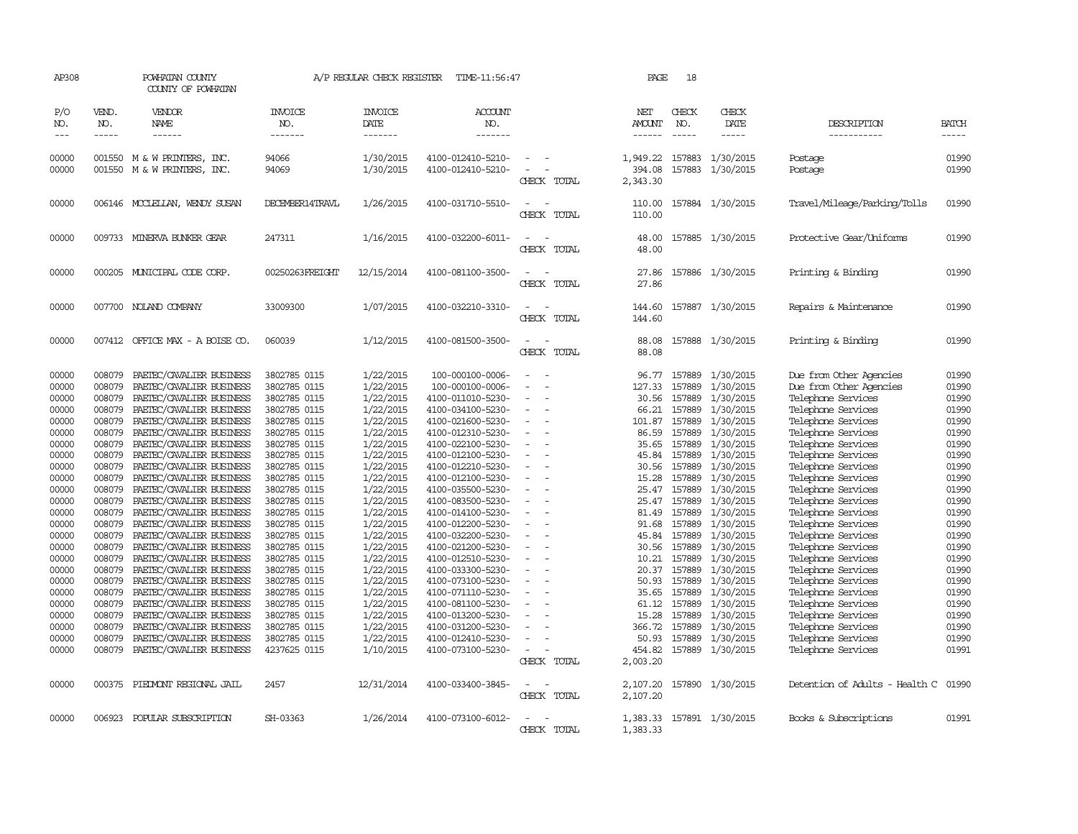| AP308                       |                             | POWHATAN COUNTY<br>COUNTY OF POWHATAN                         |                              | A/P REGULAR CHECK REGISTER        | TIME-11:56:47                          |                                         | PAGE                           | 18                          |                               |                                          |                             |
|-----------------------------|-----------------------------|---------------------------------------------------------------|------------------------------|-----------------------------------|----------------------------------------|-----------------------------------------|--------------------------------|-----------------------------|-------------------------------|------------------------------------------|-----------------------------|
| P/O<br>NO.<br>$\frac{1}{2}$ | VEND.<br>NO.<br>$- - - - -$ | VENDOR<br>NAME<br>------                                      | INVOICE<br>NO.<br>-------    | <b>INVOICE</b><br>DATE<br>------- | ACCOUNT<br>NO.<br>-------              |                                         | NET<br>AMOUNT<br>$- - - - - -$ | CHECK<br>NO.<br>$- - - - -$ | CHECK<br>DATE<br>$- - - - -$  | DESCRIPTION<br>-----------               | <b>BATCH</b><br>$- - - - -$ |
| 00000<br>00000              |                             | 001550 M & W PRINTERS, INC.<br>001550 M & W PRINTERS,<br>INC. | 94066<br>94069               | 1/30/2015<br>1/30/2015            | 4100-012410-5210-<br>4100-012410-5210- | $\overline{\phantom{a}}$                | 1,949.22<br>394.08             | 157883<br>157883            | 1/30/2015<br>1/30/2015        | Postage<br>Postage                       | 01990<br>01990              |
|                             |                             |                                                               |                              |                                   |                                        | CHECK TOTAL                             | 2,343.30                       |                             |                               |                                          |                             |
| 00000                       |                             | 006146 MCCLELLAN, WENDY SUSAN                                 | DECEMBER14TRAVL              | 1/26/2015                         | 4100-031710-5510-                      | CHECK TOTAL                             | 110.00<br>110.00               |                             | 157884 1/30/2015              | Travel/Mileage/Parking/Tolls             | 01990                       |
| 00000                       |                             | 009733 MINERVA BUNKER GEAR                                    | 247311                       | 1/16/2015                         | 4100-032200-6011-                      | CHECK TOTAL                             | 48.00<br>48.00                 |                             | 157885 1/30/2015              | Protective Gear/Uniforms                 | 01990                       |
| 00000                       |                             | 000205 MUNICIPAL CODE CORP.                                   | 00250263FREIGHT              | 12/15/2014                        | 4100-081100-3500-                      | CHECK TOTAL                             | 27.86<br>27.86                 |                             | 157886 1/30/2015              | Printing & Binding                       | 01990                       |
| 00000                       |                             | 007700 NOLAND COMPANY                                         | 33009300                     | 1/07/2015                         | 4100-032210-3310-                      | CHECK TOTAL                             | 144.60<br>144.60               |                             | 157887 1/30/2015              | Repairs & Maintenance                    | 01990                       |
| 00000                       |                             | 007412 OFFICE MAX - A BOISE CO.                               | 060039                       | 1/12/2015                         | 4100-081500-3500-                      | $\sim$<br>CHECK TOTAL                   | 88.08<br>88.08                 |                             | 157888 1/30/2015              | Printing & Binding                       | 01990                       |
| 00000                       | 008079                      | PAETEC/CAVALIER BUSINESS                                      | 3802785 0115                 | 1/22/2015                         | 100-000100-0006-                       |                                         | 96.77                          | 157889                      | 1/30/2015                     | Due from Other Agencies                  | 01990                       |
| 00000                       | 008079                      | PAETEC/CAVALIER BUSINESS                                      | 3802785 0115                 | 1/22/2015                         | 100-000100-0006-                       | $\equiv$                                | 127.33                         | 157889                      | 1/30/2015                     | Due from Other Agencies                  | 01990                       |
| 00000                       | 008079                      | PAETEC/CAVALIER BUSINESS                                      | 3802785 0115                 | 1/22/2015                         | 4100-011010-5230-                      |                                         | 30.56                          | 157889                      | 1/30/2015                     | Telephone Services                       | 01990                       |
| 00000                       | 008079                      | PAETEC/CAVALIER BUSINESS                                      | 3802785 0115                 | 1/22/2015                         | 4100-034100-5230-                      |                                         | 66.21                          | 157889                      | 1/30/2015                     | Telephone Services                       | 01990                       |
| 00000                       | 008079                      | PAETEC/CAVALIER BUSINESS                                      | 3802785 0115                 | 1/22/2015                         | 4100-021600-5230-                      |                                         | 101.87                         | 157889                      | 1/30/2015                     | Telephone Services                       | 01990                       |
| 00000                       | 008079                      | PAETEC/CAVALIER BUSINESS                                      | 3802785 0115                 | 1/22/2015                         | 4100-012310-5230-                      |                                         | 86.59                          | 157889                      | 1/30/2015                     | Telephone Services                       | 01990                       |
| 00000                       | 008079                      | PAETEC/CAVALIER BUSINESS                                      | 3802785 0115                 | 1/22/2015                         | 4100-022100-5230-                      |                                         | 35.65                          | 157889                      | 1/30/2015                     | Telephone Services                       | 01990                       |
| 00000                       | 008079                      | PAETEC/CAVALIER BUSINESS                                      | 3802785 0115                 | 1/22/2015                         | 4100-012100-5230-                      |                                         | 45.84                          | 157889                      | 1/30/2015                     | Telephone Services                       | 01990                       |
| 00000                       | 008079                      | PAETEC/CAVALIER BUSINESS                                      | 3802785 0115                 | 1/22/2015                         | 4100-012210-5230-                      | $\overline{a}$                          | 30.56                          | 157889                      | 1/30/2015                     | Telephone Services                       | 01990                       |
| 00000                       | 008079                      | PAETEC/CAVALIER BUSINESS                                      | 3802785 0115                 | 1/22/2015                         | 4100-012100-5230-                      |                                         | 15.28                          | 157889                      | 1/30/2015                     | Telephone Services                       | 01990                       |
| 00000                       | 008079                      | PAETEC/CAVALIER BUSINESS                                      | 3802785 0115                 | 1/22/2015                         | 4100-035500-5230-                      |                                         | 25.47                          | 157889                      | 1/30/2015                     | Telephone Services                       | 01990                       |
| 00000                       | 008079                      | PAETEC/CAVALIER BUSINESS                                      | 3802785 0115                 | 1/22/2015                         | 4100-083500-5230-                      | $\equiv$                                | 25.47                          | 157889                      | 1/30/2015                     | Telephone Services                       | 01990                       |
| 00000                       | 008079                      | PAETEC/CAVALIER BUSINESS                                      | 3802785 0115                 | 1/22/2015                         | 4100-014100-5230-                      |                                         | 81.49                          | 157889                      | 1/30/2015                     | Telephone Services                       | 01990                       |
| 00000                       | 008079                      | PAETEC/CAVALIER BUSINESS                                      | 3802785 0115                 | 1/22/2015                         | 4100-012200-5230-                      |                                         | 91.68                          |                             | 157889 1/30/2015              | Telephone Services                       | 01990                       |
| 00000                       | 008079                      | PAETEC/CAVALIER BUSINESS                                      | 3802785 0115                 | 1/22/2015                         | 4100-032200-5230-                      |                                         | 45.84                          | 157889                      | 1/30/2015                     | Telephone Services                       | 01990                       |
| 00000                       | 008079                      | PAETEC/CAVALIER BUSINESS                                      | 3802785 0115                 | 1/22/2015                         | 4100-021200-5230-                      | $\sim$                                  | 30.56                          | 157889                      | 1/30/2015                     | Telephone Services                       | 01990                       |
| 00000                       | 008079                      | PAETEC/CAVALIER BUSINESS                                      | 3802785 0115                 | 1/22/2015                         | 4100-012510-5230-                      |                                         | 10.21                          | 157889                      | 1/30/2015                     | Telephone Services                       | 01990<br>01990              |
| 00000                       | 008079                      | PAETEC/CAVALIER BUSINESS                                      | 3802785 0115                 | 1/22/2015<br>1/22/2015            | 4100-033300-5230-                      | $\overline{\phantom{a}}$                | 20.37                          | 157889                      | 1/30/2015<br>157889 1/30/2015 | Telephone Services                       |                             |
| 00000<br>00000              | 008079<br>008079            | PAETEC/CAVALIER BUSINESS<br>PAETEC/CAVALIER BUSINESS          | 3802785 0115<br>3802785 0115 |                                   | 4100-073100-5230-<br>4100-071110-5230- |                                         | 50.93                          | 157889                      |                               | Telephone Services                       | 01990<br>01990              |
| 00000                       | 008079                      | PAETEC/CAVALIER BUSINESS                                      | 3802785 0115                 | 1/22/2015<br>1/22/2015            | 4100-081100-5230-                      |                                         | 35.65<br>61.12                 |                             | 1/30/2015<br>157889 1/30/2015 | Telephone Services<br>Telephone Services | 01990                       |
| 00000                       | 008079                      | PAETEC/CAVALIER BUSINESS                                      | 3802785 0115                 | 1/22/2015                         | 4100-013200-5230-                      |                                         | 15.28                          | 157889                      | 1/30/2015                     | Telephone Services                       | 01990                       |
| 00000                       | 008079                      | PAETEC/CAVALIER BUSINESS                                      | 3802785 0115                 | 1/22/2015                         | 4100-031200-5230-                      |                                         | 366.72                         | 157889                      | 1/30/2015                     | Telephone Services                       | 01990                       |
| 00000                       | 008079                      | PAETEC/CAVALIER BUSINESS                                      | 3802785 0115                 | 1/22/2015                         | 4100-012410-5230-                      |                                         | 50.93                          | 157889                      | 1/30/2015                     | Telephone Services                       | 01990                       |
| 00000                       | 008079                      | PAETEC/CAVALIER BUSINESS                                      | 4237625 0115                 | 1/10/2015                         | 4100-073100-5230-                      |                                         | 454.82                         |                             | 157889 1/30/2015              | Telephone Services                       | 01991                       |
|                             |                             |                                                               |                              |                                   |                                        | CHECK TOTAL                             | 2,003.20                       |                             |                               |                                          |                             |
| 00000                       |                             | 000375 PIEDMONT REGIONAL JAIL                                 | 2457                         | 12/31/2014                        | 4100-033400-3845-                      | $\overline{\phantom{a}}$<br>CHECK TOTAL | 2,107.20<br>2,107.20           |                             | 157890 1/30/2015              | Detention of Adults - Health C           | 01990                       |
| 00000                       |                             | 006923 POPULAR SUBSCRIPTION                                   | SH-03363                     | 1/26/2014                         | 4100-073100-6012-                      | $\overline{\phantom{m}}$<br>CHECK TOTAL | 1,383.33                       |                             | 1,383.33 157891 1/30/2015     | Books & Subscriptions                    | 01991                       |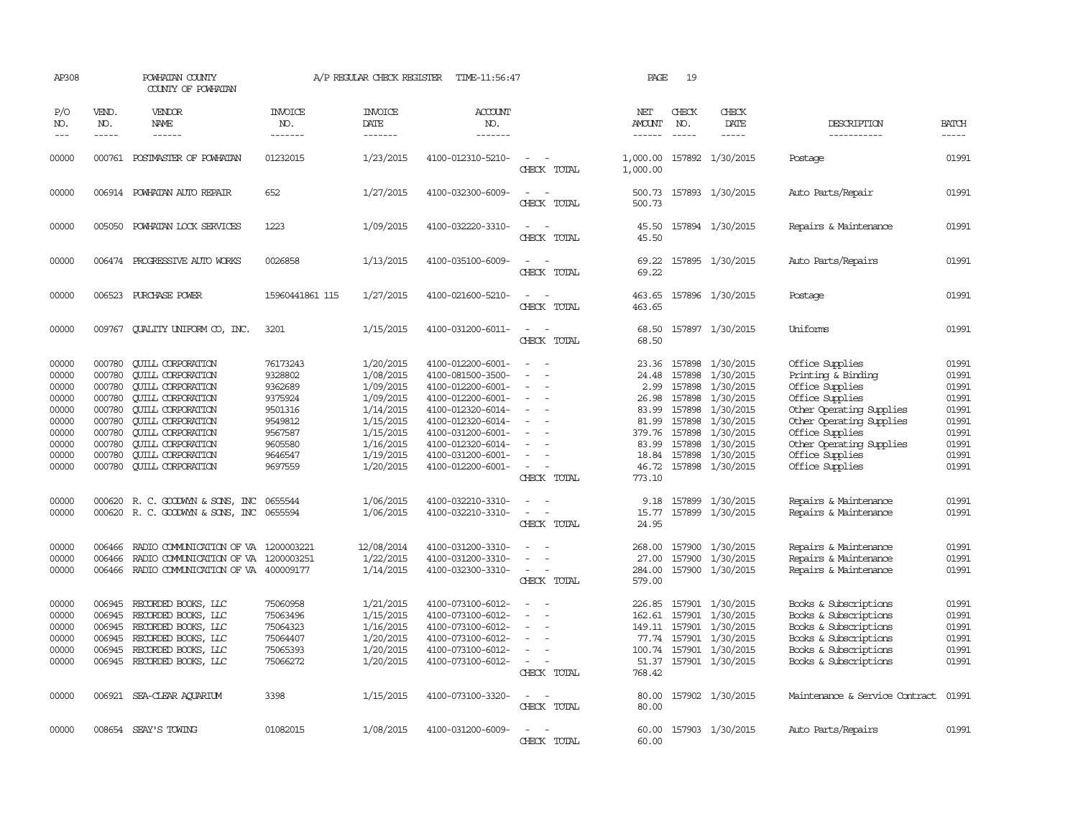| AP308                                                                                                                      |                                                                                                                                | POWHATAN COUNTY<br>COUNTY OF POWHATAN                                                                                                                                                                                                                                                                                                                                                                                                         |                                                                                                                        | A/P REGULAR CHECK REGISTER                                                                                                                                                          | TIME-11:56:47                                                                                                                                                                                                                                                                                      |                                                                                              | PAGE                                                                                                                                          | 19                                             |                                                                                                                                                                                                                                                   |                                                                                                                                                                                                                                                                                                                              |                                                                                                                            |
|----------------------------------------------------------------------------------------------------------------------------|--------------------------------------------------------------------------------------------------------------------------------|-----------------------------------------------------------------------------------------------------------------------------------------------------------------------------------------------------------------------------------------------------------------------------------------------------------------------------------------------------------------------------------------------------------------------------------------------|------------------------------------------------------------------------------------------------------------------------|-------------------------------------------------------------------------------------------------------------------------------------------------------------------------------------|----------------------------------------------------------------------------------------------------------------------------------------------------------------------------------------------------------------------------------------------------------------------------------------------------|----------------------------------------------------------------------------------------------|-----------------------------------------------------------------------------------------------------------------------------------------------|------------------------------------------------|---------------------------------------------------------------------------------------------------------------------------------------------------------------------------------------------------------------------------------------------------|------------------------------------------------------------------------------------------------------------------------------------------------------------------------------------------------------------------------------------------------------------------------------------------------------------------------------|----------------------------------------------------------------------------------------------------------------------------|
| P/O<br>NO.<br>$\frac{1}{2}$                                                                                                | VEND.<br>NO.<br>$- - - - -$                                                                                                    | <b>VENDOR</b><br>NAME<br>$- - - - - -$                                                                                                                                                                                                                                                                                                                                                                                                        | <b>INVOICE</b><br>NO.<br>-------                                                                                       | <b>INVOICE</b><br>DATE<br>-------                                                                                                                                                   | ACCOUNT<br>NO.<br>-------                                                                                                                                                                                                                                                                          |                                                                                              | NET<br>AMOUNT<br>$- - - - - -$                                                                                                                | CHECK<br>NO.<br>$\frac{1}{2}$                  | CHECK<br>DATE<br>$- - - - -$                                                                                                                                                                                                                      | DESCRIPTION<br>-----------                                                                                                                                                                                                                                                                                                   | <b>BATCH</b><br>$- - - - -$                                                                                                |
| 00000                                                                                                                      |                                                                                                                                | 000761 POSTMASTER OF POWHATAN                                                                                                                                                                                                                                                                                                                                                                                                                 | 01232015                                                                                                               | 1/23/2015                                                                                                                                                                           | 4100-012310-5210-                                                                                                                                                                                                                                                                                  | $\sim$<br>CHECK TOTAL                                                                        | 1,000.00                                                                                                                                      |                                                | 1,000.00 157892 1/30/2015                                                                                                                                                                                                                         | Postage                                                                                                                                                                                                                                                                                                                      | 01991                                                                                                                      |
| 00000                                                                                                                      |                                                                                                                                | 006914 POWHATAN AUTO REPAIR                                                                                                                                                                                                                                                                                                                                                                                                                   | 652                                                                                                                    | 1/27/2015                                                                                                                                                                           | 4100-032300-6009-                                                                                                                                                                                                                                                                                  | $\equiv$<br>CHECK TOTAL                                                                      | 500.73<br>500.73                                                                                                                              |                                                | 157893 1/30/2015                                                                                                                                                                                                                                  | Auto Parts/Repair                                                                                                                                                                                                                                                                                                            | 01991                                                                                                                      |
| 00000                                                                                                                      |                                                                                                                                | 005050 POWHATAN LOCK SERVICES                                                                                                                                                                                                                                                                                                                                                                                                                 | 1223                                                                                                                   | 1/09/2015                                                                                                                                                                           | 4100-032220-3310-                                                                                                                                                                                                                                                                                  | $\omega_{\rm{max}}$ , $\omega_{\rm{max}}$<br>CHECK TOTAL                                     | 45.50<br>45.50                                                                                                                                |                                                | 157894 1/30/2015                                                                                                                                                                                                                                  | Repairs & Maintenance                                                                                                                                                                                                                                                                                                        | 01991                                                                                                                      |
| 00000                                                                                                                      |                                                                                                                                | 006474 PROGRESSIVE AUTO WORKS                                                                                                                                                                                                                                                                                                                                                                                                                 | 0026858                                                                                                                | 1/13/2015                                                                                                                                                                           | 4100-035100-6009-                                                                                                                                                                                                                                                                                  | $\sim$<br>$\sim$<br>CHECK TOTAL                                                              | 69.22                                                                                                                                         |                                                | 69.22 157895 1/30/2015                                                                                                                                                                                                                            | Auto Parts/Repairs                                                                                                                                                                                                                                                                                                           | 01991                                                                                                                      |
| 00000                                                                                                                      | 006523                                                                                                                         | PURCHASE POWER                                                                                                                                                                                                                                                                                                                                                                                                                                | 15960441861 115                                                                                                        | 1/27/2015                                                                                                                                                                           | 4100-021600-5210-                                                                                                                                                                                                                                                                                  | $\sim$<br>CHECK TOTAL                                                                        | 463.65<br>463.65                                                                                                                              |                                                | 157896 1/30/2015                                                                                                                                                                                                                                  | Postage                                                                                                                                                                                                                                                                                                                      | 01991                                                                                                                      |
| 00000                                                                                                                      | 009767                                                                                                                         | QUALITY UNIFORM CO, INC.                                                                                                                                                                                                                                                                                                                                                                                                                      | 3201                                                                                                                   | 1/15/2015                                                                                                                                                                           | 4100-031200-6011-                                                                                                                                                                                                                                                                                  | $\equiv$<br>CHECK TOTAL                                                                      | 68.50<br>68.50                                                                                                                                |                                                | 157897 1/30/2015                                                                                                                                                                                                                                  | Uniforms                                                                                                                                                                                                                                                                                                                     | 01991                                                                                                                      |
| 00000<br>00000<br>00000<br>00000<br>00000<br>00000<br>00000<br>00000<br>00000<br>00000<br>00000<br>00000<br>00000<br>00000 | 000780<br>000780<br>000780<br>000780<br>000780<br>000780<br>000780<br>000780<br>000780<br>000780<br>000620<br>006466<br>006466 | <b>QUILL CORPORATION</b><br><b>CUILL CORPORATION</b><br><b>QUILL CORPORATION</b><br><b>QUILL CORPORATION</b><br><b>QUILL CORPORATION</b><br><b>QUILL CORPORATION</b><br><b>QUILL CORPORATION</b><br><b>QUILL CORPORATION</b><br><b>QUILL CORPORATION</b><br><b>QUILL CORPORATION</b><br>R. C. GOODWYN & SONS, INC<br>000620 R. C. GOODWYN & SONS, INC 0655594<br>RADIO COMMUNICATION OF VA 1200003221<br>RADIO COMMUNICATION OF VA 1200003251 | 76173243<br>9328802<br>9362689<br>9375924<br>9501316<br>9549812<br>9567587<br>9605580<br>9646547<br>9697559<br>0655544 | 1/20/2015<br>1/08/2015<br>1/09/2015<br>1/09/2015<br>1/14/2015<br>1/15/2015<br>1/15/2015<br>1/16/2015<br>1/19/2015<br>1/20/2015<br>1/06/2015<br>1/06/2015<br>12/08/2014<br>1/22/2015 | 4100-012200-6001-<br>4100-081500-3500-<br>4100-012200-6001-<br>4100-012200-6001-<br>4100-012320-6014-<br>4100-012320-6014-<br>4100-031200-6001-<br>4100-012320-6014-<br>4100-031200-6001-<br>4100-012200-6001-<br>4100-032210-3310-<br>4100-032210-3310-<br>4100-031200-3310-<br>4100-031200-3310- | $\sim$<br>$\equiv$<br>$\equiv$<br>$\sim$<br>CHECK TOTAL<br>$\equiv$<br>$\sim$<br>CHECK TOTAL | 23.36<br>24.48<br>2.99<br>26.98<br>83.99<br>81.99<br>379.76<br>83.99<br>18.84<br>46.72<br>773.10<br>9.18<br>15.77<br>24.95<br>268,00<br>27.00 | 157898<br>157898<br>157898<br>157898<br>157898 | 157898 1/30/2015<br>1/30/2015<br>157898 1/30/2015<br>1/30/2015<br>1/30/2015<br>1/30/2015<br>157898 1/30/2015<br>1/30/2015<br>157898 1/30/2015<br>157898 1/30/2015<br>157899 1/30/2015<br>157899 1/30/2015<br>157900 1/30/2015<br>157900 1/30/2015 | Office Supplies<br>Printing & Binding<br>Office Supplies<br>Office Supplies<br>Other Operating Supplies<br>Other Operating Supplies<br>Office Supplies<br>Other Operating Supplies<br>Office Supplies<br>Office Supplies<br>Repairs & Maintenance<br>Repairs & Maintenance<br>Repairs & Maintenance<br>Repairs & Maintenance | 01991<br>01991<br>01991<br>01991<br>01991<br>01991<br>01991<br>01991<br>01991<br>01991<br>01991<br>01991<br>01991<br>01991 |
| 00000                                                                                                                      |                                                                                                                                | 006466 RADIO COMMUNICATION OF VA 400009177                                                                                                                                                                                                                                                                                                                                                                                                    |                                                                                                                        | 1/14/2015                                                                                                                                                                           | 4100-032300-3310-                                                                                                                                                                                                                                                                                  | $\sim$<br>CHECK TOTAL                                                                        | 284.00<br>579.00                                                                                                                              |                                                | 157900 1/30/2015                                                                                                                                                                                                                                  | Repairs & Maintenance                                                                                                                                                                                                                                                                                                        | 01991                                                                                                                      |
| 00000<br>00000<br>00000<br>00000<br>00000<br>00000                                                                         | 006945<br>006945<br>006945<br>006945<br>006945<br>006945                                                                       | RECORDED BOOKS, LLC<br>RECORDED BOOKS, LLC<br>RECORDED BOOKS, LLC<br>RECORDED BOOKS, LLC<br>RECORDED BOOKS, LLC<br>RECORDED BOOKS, LLC                                                                                                                                                                                                                                                                                                        | 75060958<br>75063496<br>75064323<br>75064407<br>75065393<br>75066272                                                   | 1/21/2015<br>1/15/2015<br>1/16/2015<br>1/20/2015<br>1/20/2015<br>1/20/2015                                                                                                          | 4100-073100-6012-<br>4100-073100-6012-<br>4100-073100-6012-<br>4100-073100-6012-<br>4100-073100-6012-<br>4100-073100-6012-                                                                                                                                                                         | $\equiv$<br>$\sim$<br>$\equiv$<br>$\sim$<br>CHECK TOTAL                                      | 226.85<br>162.61<br>100.74<br>51.37<br>768.42                                                                                                 |                                                | 157901 1/30/2015<br>157901 1/30/2015<br>149.11 157901 1/30/2015<br>77.74 157901 1/30/2015<br>157901 1/30/2015<br>157901 1/30/2015                                                                                                                 | Books & Subscriptions<br>Books & Subscriptions<br>Books & Subscriptions<br>Books & Subscriptions<br>Books & Subscriptions<br>Books & Subscriptions                                                                                                                                                                           | 01991<br>01991<br>01991<br>01991<br>01991<br>01991                                                                         |
| 00000                                                                                                                      |                                                                                                                                | 006921 SEA-CLEAR AQUARIUM                                                                                                                                                                                                                                                                                                                                                                                                                     | 3398                                                                                                                   | 1/15/2015                                                                                                                                                                           | 4100-073100-3320-                                                                                                                                                                                                                                                                                  | $\sim$<br>CHECK TOTAL                                                                        | 80.00<br>80.00                                                                                                                                |                                                | 157902 1/30/2015                                                                                                                                                                                                                                  | Maintenance & Service Contract                                                                                                                                                                                                                                                                                               | 01991                                                                                                                      |
| 00000                                                                                                                      |                                                                                                                                | 008654 SEAY'S TOWING                                                                                                                                                                                                                                                                                                                                                                                                                          | 01082015                                                                                                               | 1/08/2015                                                                                                                                                                           | 4100-031200-6009-                                                                                                                                                                                                                                                                                  | $\overline{a}$<br>CHRCK TOTAL                                                                | 60.00<br>60.00                                                                                                                                |                                                | 157903 1/30/2015                                                                                                                                                                                                                                  | Auto Parts/Repairs                                                                                                                                                                                                                                                                                                           | 01991                                                                                                                      |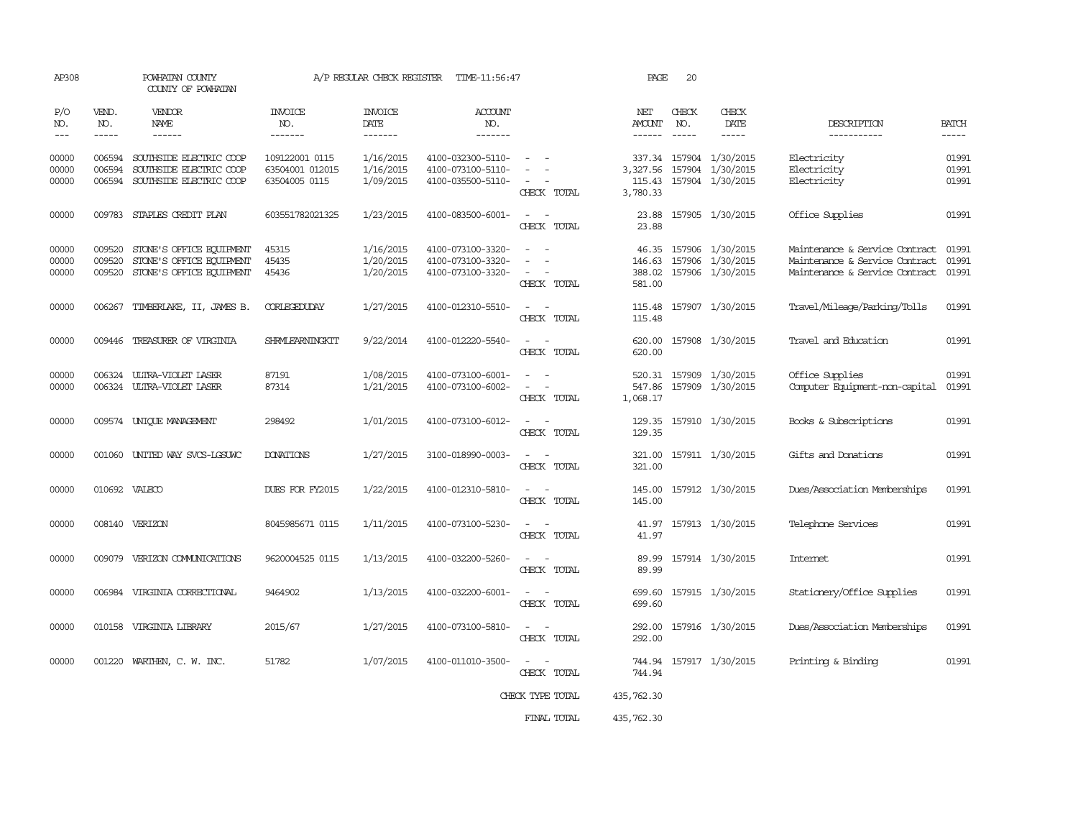| AP308                                                                                                                                                                                                                                                                                                                                                                                                      |                             | POWHATAN COUNTY<br>COUNTY OF POWHATAN                                            |                                                    | A/P REGULAR CHECK REGISTER          | TIME-11:56:47                                               |                                                                                 | PAGE                                     | 20                          |                                                          |                                                                                                    |                         |
|------------------------------------------------------------------------------------------------------------------------------------------------------------------------------------------------------------------------------------------------------------------------------------------------------------------------------------------------------------------------------------------------------------|-----------------------------|----------------------------------------------------------------------------------|----------------------------------------------------|-------------------------------------|-------------------------------------------------------------|---------------------------------------------------------------------------------|------------------------------------------|-----------------------------|----------------------------------------------------------|----------------------------------------------------------------------------------------------------|-------------------------|
| P/O<br>NO.<br>$\frac{1}{2} \frac{1}{2} \frac{1}{2} \frac{1}{2} \frac{1}{2} \frac{1}{2} \frac{1}{2} \frac{1}{2} \frac{1}{2} \frac{1}{2} \frac{1}{2} \frac{1}{2} \frac{1}{2} \frac{1}{2} \frac{1}{2} \frac{1}{2} \frac{1}{2} \frac{1}{2} \frac{1}{2} \frac{1}{2} \frac{1}{2} \frac{1}{2} \frac{1}{2} \frac{1}{2} \frac{1}{2} \frac{1}{2} \frac{1}{2} \frac{1}{2} \frac{1}{2} \frac{1}{2} \frac{1}{2} \frac{$ | VEND.<br>NO.<br>$- - - - -$ | VENDOR<br>NAME<br>------                                                         | <b>INVOICE</b><br>NO.<br>-------                   | <b>INVOICE</b><br>DATE<br>-------   | <b>ACCOUNT</b><br>NO.<br>-------                            |                                                                                 | NET<br>AMOUNT<br>$- - - - - -$           | CHECK<br>NO.<br>$- - - - -$ | CHECK<br>DATE<br>-----                                   | DESCRIPTION<br>-----------                                                                         | <b>BATCH</b><br>-----   |
| 00000<br>00000<br>00000                                                                                                                                                                                                                                                                                                                                                                                    | 006594<br>006594<br>006594  | SOUTHSIDE ELECTRIC COOP<br>SOUTHSIDE ELECTRIC COOP<br>SOUTHSIDE ELECTRIC COOP    | 109122001 0115<br>63504001 012015<br>63504005 0115 | 1/16/2015<br>1/16/2015<br>1/09/2015 | 4100-032300-5110-<br>4100-073100-5110-<br>4100-035500-5110- | $\sim$<br>CHECK TOTAL                                                           | 337.34<br>3,327.56<br>115.43<br>3,780.33 |                             | 157904 1/30/2015<br>157904 1/30/2015<br>157904 1/30/2015 | Electricity<br>Electricity<br>Electricity                                                          | 01991<br>01991<br>01991 |
| 00000                                                                                                                                                                                                                                                                                                                                                                                                      | 009783                      | STAPLES CREDIT PLAN                                                              | 603551782021325                                    | 1/23/2015                           | 4100-083500-6001-                                           | $\overline{\phantom{a}}$<br>$\overline{\phantom{a}}$<br>CHECK TOTAL             | 23.88<br>23.88                           |                             | 157905 1/30/2015                                         | Office Supplies                                                                                    | 01991                   |
| 00000<br>00000<br>00000                                                                                                                                                                                                                                                                                                                                                                                    | 009520<br>009520<br>009520  | STONE'S OFFICE EQUIPMENT<br>STONE'S OFFICE EQUIPMENT<br>STONE'S OFFICE EQUIPMENT | 45315<br>45435<br>45436                            | 1/16/2015<br>1/20/2015<br>1/20/2015 | 4100-073100-3320-<br>4100-073100-3320-<br>4100-073100-3320- | $\equiv$<br>$\overline{\phantom{a}}$<br>$\overline{\phantom{a}}$<br>CHECK TOTAL | 46.35<br>146.63<br>388.02<br>581.00      |                             | 157906 1/30/2015<br>157906 1/30/2015<br>157906 1/30/2015 | Maintenance & Service Contract<br>Maintenance & Service Contract<br>Maintenance & Service Contract | 01991<br>01991<br>01991 |
| 00000                                                                                                                                                                                                                                                                                                                                                                                                      | 006267                      | TIMBERLAKE, II, JAMES B.                                                         | CORLEGEDUDAY                                       | 1/27/2015                           | 4100-012310-5510-                                           | $\overline{\phantom{a}}$<br>$\sim$<br>CHECK TOTAL                               | 115.48<br>115.48                         |                             | 157907 1/30/2015                                         | Travel/Mileage/Parking/Tolls                                                                       | 01991                   |
| 00000                                                                                                                                                                                                                                                                                                                                                                                                      | 009446                      | TREASURER OF VIRGINIA                                                            | <b>SHRMLEARNINGKIT</b>                             | 9/22/2014                           | 4100-012220-5540-                                           | $\equiv$<br>CHECK TOTAL                                                         | 620.00<br>620.00                         |                             | 157908 1/30/2015                                         | Travel and Education                                                                               | 01991                   |
| 00000<br>00000                                                                                                                                                                                                                                                                                                                                                                                             | 006324<br>006324            | ULTRA-VIOLET LASER<br>ULIRA-VIOLET LASER                                         | 87191<br>87314                                     | 1/08/2015<br>1/21/2015              | 4100-073100-6001-<br>4100-073100-6002-                      | CHECK TOTAL                                                                     | 520.31<br>547.86<br>1,068.17             |                             | 157909 1/30/2015<br>157909 1/30/2015                     | Office Supplies<br>Computer Equipment-non-capital                                                  | 01991<br>01991          |
| 00000                                                                                                                                                                                                                                                                                                                                                                                                      | 009574                      | UNIQUE MANAGEMENT                                                                | 298492                                             | 1/01/2015                           | 4100-073100-6012-                                           | CHECK TOTAL                                                                     | 129.35<br>129.35                         |                             | 157910 1/30/2015                                         | Books & Subscriptions                                                                              | 01991                   |
| 00000                                                                                                                                                                                                                                                                                                                                                                                                      | 001060                      | UNITED WAY SVCS-LGSUNC                                                           | <b>DONATIONS</b>                                   | 1/27/2015                           | 3100-018990-0003-                                           | $\equiv$<br>$\sim$<br>CHECK TOTAL                                               | 321.00<br>321.00                         |                             | 157911 1/30/2015                                         | Gifts and Donations                                                                                | 01991                   |
| 00000                                                                                                                                                                                                                                                                                                                                                                                                      |                             | 010692 VALECO                                                                    | DUES FOR FY2015                                    | 1/22/2015                           | 4100-012310-5810-                                           | CHECK TOTAL                                                                     | 145.00<br>145.00                         |                             | 157912 1/30/2015                                         | Dues/Association Memberships                                                                       | 01991                   |
| 00000                                                                                                                                                                                                                                                                                                                                                                                                      |                             | 008140 VERIZON                                                                   | 8045985671 0115                                    | 1/11/2015                           | 4100-073100-5230-                                           | $\equiv$<br>CHECK TOTAL                                                         | 41.97<br>41.97                           |                             | 157913 1/30/2015                                         | Telephone Services                                                                                 | 01991                   |
| 00000                                                                                                                                                                                                                                                                                                                                                                                                      |                             | 009079 VERIZON COMUNICATIONS                                                     | 9620004525 0115                                    | 1/13/2015                           | 4100-032200-5260-                                           | CHECK TOTAL                                                                     | 89.99<br>89.99                           |                             | 157914 1/30/2015                                         | Internet                                                                                           | 01991                   |
| 00000                                                                                                                                                                                                                                                                                                                                                                                                      |                             | 006984 VIRGINIA CORRECTIONAL                                                     | 9464902                                            | 1/13/2015                           | 4100-032200-6001-                                           | CHECK TOTAL                                                                     | 699.60<br>699.60                         |                             | 157915 1/30/2015                                         | Stationery/Office Supplies                                                                         | 01991                   |
| 00000                                                                                                                                                                                                                                                                                                                                                                                                      |                             | 010158 VIRGINIA LIBRARY                                                          | 2015/67                                            | 1/27/2015                           | 4100-073100-5810-                                           | $\overline{\phantom{a}}$<br>CHECK TOTAL                                         | 292.00<br>292.00                         |                             | 157916 1/30/2015                                         | Dues/Association Memberships                                                                       | 01991                   |
| 00000                                                                                                                                                                                                                                                                                                                                                                                                      |                             | 001220 WARTHEN, C. W. INC.                                                       | 51782                                              | 1/07/2015                           | 4100-011010-3500-                                           | $\sim$ $ \sim$<br>CHECK TOTAL                                                   | 744.94<br>744.94                         |                             | 157917 1/30/2015                                         | Printing & Binding                                                                                 | 01991                   |
|                                                                                                                                                                                                                                                                                                                                                                                                            |                             |                                                                                  |                                                    |                                     |                                                             | CHECK TYPE TOTAL                                                                | 435,762.30                               |                             |                                                          |                                                                                                    |                         |
|                                                                                                                                                                                                                                                                                                                                                                                                            |                             |                                                                                  |                                                    |                                     |                                                             | FINAL TOTAL                                                                     | 435,762.30                               |                             |                                                          |                                                                                                    |                         |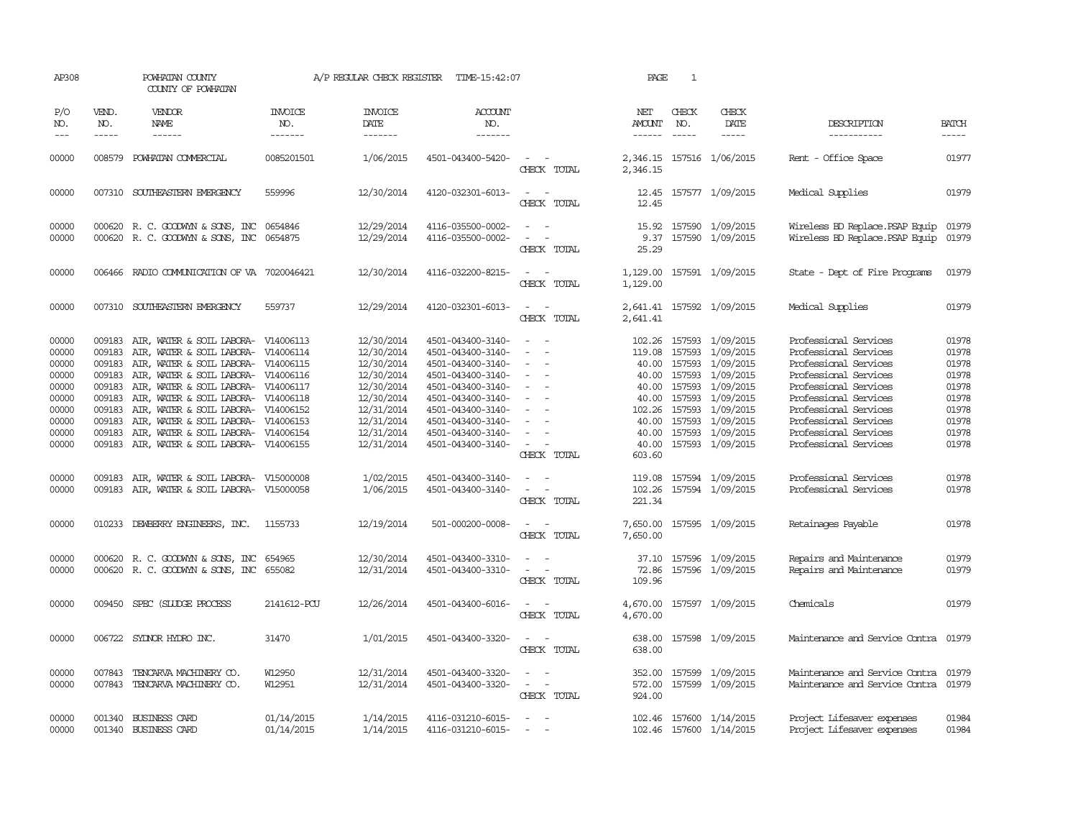| AP308                                                                                                             |                                                                                                  | POWHATAN COUNTY<br>COUNTY OF POWHATAN                                                                                                                                                                                                                                                                                                                                                                                                                                                               |                                                | A/P REGULAR CHECK REGISTER                                                                                                                                                       | TIME-15:42:07                                                                                                                                                                                                                                                                |                                                                                                                                                   | PAGE                                                                                                                                            | $\mathbf{1}$                                                       |                                                                                                                                                                                                                        |                                                                                                                                                                                                                                                                                                                                |                                                                                                                   |
|-------------------------------------------------------------------------------------------------------------------|--------------------------------------------------------------------------------------------------|-----------------------------------------------------------------------------------------------------------------------------------------------------------------------------------------------------------------------------------------------------------------------------------------------------------------------------------------------------------------------------------------------------------------------------------------------------------------------------------------------------|------------------------------------------------|----------------------------------------------------------------------------------------------------------------------------------------------------------------------------------|------------------------------------------------------------------------------------------------------------------------------------------------------------------------------------------------------------------------------------------------------------------------------|---------------------------------------------------------------------------------------------------------------------------------------------------|-------------------------------------------------------------------------------------------------------------------------------------------------|--------------------------------------------------------------------|------------------------------------------------------------------------------------------------------------------------------------------------------------------------------------------------------------------------|--------------------------------------------------------------------------------------------------------------------------------------------------------------------------------------------------------------------------------------------------------------------------------------------------------------------------------|-------------------------------------------------------------------------------------------------------------------|
| P/O<br>NO.<br>$---$                                                                                               | VEND.<br>NO.<br>$- - - - -$                                                                      | <b>VENDOR</b><br><b>NAME</b><br>------                                                                                                                                                                                                                                                                                                                                                                                                                                                              | <b>INVOICE</b><br>NO.<br>-------               | <b>INVOICE</b><br>DATE<br>-------                                                                                                                                                | <b>ACCOUNT</b><br>NO.<br>-------                                                                                                                                                                                                                                             |                                                                                                                                                   | NET<br>AMOUNT<br>------                                                                                                                         | CHECK<br>NO.<br>$\frac{1}{2}$                                      | CHECK<br>DATE<br>$- - - - -$                                                                                                                                                                                           | DESCRIPTION<br>-----------                                                                                                                                                                                                                                                                                                     | <b>BATCH</b><br>-----                                                                                             |
| 00000                                                                                                             |                                                                                                  | 008579 POWHATAN COMMERCIAL                                                                                                                                                                                                                                                                                                                                                                                                                                                                          | 0085201501                                     | 1/06/2015                                                                                                                                                                        | 4501-043400-5420-                                                                                                                                                                                                                                                            | $\overline{\phantom{a}}$<br>CHECK TOTAL                                                                                                           | 2,346.15                                                                                                                                        |                                                                    | 2,346.15 157516 1/06/2015                                                                                                                                                                                              | Rent - Office Space                                                                                                                                                                                                                                                                                                            | 01977                                                                                                             |
| 00000                                                                                                             |                                                                                                  | 007310 SOUTHEASTERN EMERGENCY                                                                                                                                                                                                                                                                                                                                                                                                                                                                       | 559996                                         | 12/30/2014                                                                                                                                                                       | 4120-032301-6013-                                                                                                                                                                                                                                                            | CHECK TOTAL                                                                                                                                       | 12.45<br>12.45                                                                                                                                  |                                                                    | 157577 1/09/2015                                                                                                                                                                                                       | Medical Supplies                                                                                                                                                                                                                                                                                                               | 01979                                                                                                             |
| 00000<br>00000                                                                                                    |                                                                                                  | 000620 R. C. GOODWYN & SONS, INC<br>000620 R. C. GOODWYN & SONS, INC 0654875                                                                                                                                                                                                                                                                                                                                                                                                                        | 0654846                                        | 12/29/2014<br>12/29/2014                                                                                                                                                         | 4116-035500-0002-<br>4116-035500-0002-                                                                                                                                                                                                                                       | CHECK TOTAL                                                                                                                                       | 15.92<br>9.37<br>25.29                                                                                                                          |                                                                    | 157590 1/09/2015<br>157590 1/09/2015                                                                                                                                                                                   | Wireless BD Replace. PSAP Equip<br>Wireless BD Replace. PSAP Equip                                                                                                                                                                                                                                                             | 01979<br>01979                                                                                                    |
| 00000                                                                                                             | 006466                                                                                           | RADIO COMMUNICATION OF VA 7020046421                                                                                                                                                                                                                                                                                                                                                                                                                                                                |                                                | 12/30/2014                                                                                                                                                                       | 4116-032200-8215-                                                                                                                                                                                                                                                            | CHECK TOTAL                                                                                                                                       | 1,129.00<br>1,129.00                                                                                                                            |                                                                    | 157591 1/09/2015                                                                                                                                                                                                       | State - Dept of Fire Programs                                                                                                                                                                                                                                                                                                  | 01979                                                                                                             |
| 00000                                                                                                             | 007310                                                                                           | SOUTHEASTERN EMERGENCY                                                                                                                                                                                                                                                                                                                                                                                                                                                                              | 559737                                         | 12/29/2014                                                                                                                                                                       | 4120-032301-6013-                                                                                                                                                                                                                                                            | CHECK TOTAL                                                                                                                                       | 2,641.41                                                                                                                                        |                                                                    | 2,641.41 157592 1/09/2015                                                                                                                                                                                              | Medical Supplies                                                                                                                                                                                                                                                                                                               | 01979                                                                                                             |
| 00000<br>00000<br>00000<br>00000<br>00000<br>00000<br>00000<br>00000<br>00000<br>00000<br>00000<br>00000<br>00000 | 009183<br>009183<br>009183<br>009183<br>009183<br>009183<br>009183<br>009183<br>009183<br>009183 | AIR, WATER & SOIL LABORA- V14006113<br>AIR, WATER & SOIL LABORA-<br>AIR, WATER & SOIL LABORA- V14006115<br>AIR, WATER & SOIL LABORA- V14006116<br>AIR, WATER & SOIL LABORA-<br>AIR, WATER & SOIL LABORA- V14006118<br>AIR, WATER & SOIL LABORA- V14006152<br>AIR, WATER & SOIL LABORA- V14006153<br>AIR, WATER & SOIL LABORA- V14006154<br>009183 AIR, WATER & SOIL LABORA- V14006155<br>AIR, WATER & SOIL LABORA- V15000008<br>009183 AIR, WATER & SOIL LABORA-<br>010233 DEWBERRY ENGINEERS, INC. | V14006114<br>V14006117<br>V15000058<br>1155733 | 12/30/2014<br>12/30/2014<br>12/30/2014<br>12/30/2014<br>12/30/2014<br>12/30/2014<br>12/31/2014<br>12/31/2014<br>12/31/2014<br>12/31/2014<br>1/02/2015<br>1/06/2015<br>12/19/2014 | 4501-043400-3140-<br>4501-043400-3140-<br>4501-043400-3140-<br>4501-043400-3140-<br>4501-043400-3140-<br>4501-043400-3140-<br>4501-043400-3140-<br>4501-043400-3140-<br>4501-043400-3140-<br>4501-043400-3140-<br>4501-043400-3140-<br>4501-043400-3140-<br>501-000200-0008- | $\sim$<br>$\overline{\phantom{a}}$<br>$\sim$<br>CHECK TOTAL<br>$\overline{\phantom{a}}$<br>CHECK TOTAL<br>$\overline{\phantom{a}}$<br>CHECK TOTAL | 119.08<br>40.00<br>40.00<br>40.00<br>40.00<br>102.26<br>40.00<br>40.00<br>40.00<br>603.60<br>119.08<br>102.26<br>221.34<br>7,650.00<br>7,650.00 | 157593<br>157593<br>157593<br>157593<br>157593<br>157593<br>157593 | 102.26 157593 1/09/2015<br>1/09/2015<br>1/09/2015<br>1/09/2015<br>1/09/2015<br>1/09/2015<br>1/09/2015<br>1/09/2015<br>157593 1/09/2015<br>157593 1/09/2015<br>157594 1/09/2015<br>157594 1/09/2015<br>157595 1/09/2015 | Professional Services<br>Professional Services<br>Professional Services<br>Professional Services<br>Professional Services<br>Professional Services<br>Professional Services<br>Professional Services<br>Professional Services<br>Professional Services<br>Professional Services<br>Professional Services<br>Retainages Payable | 01978<br>01978<br>01978<br>01978<br>01978<br>01978<br>01978<br>01978<br>01978<br>01978<br>01978<br>01978<br>01978 |
| 00000<br>00000                                                                                                    | 000620                                                                                           | R. C. GOODWYN & SONS, INC<br>000620 R. C. GOODWYN & SONS, INC 655082                                                                                                                                                                                                                                                                                                                                                                                                                                | 654965                                         | 12/30/2014<br>12/31/2014                                                                                                                                                         | 4501-043400-3310-<br>4501-043400-3310-                                                                                                                                                                                                                                       | $\sim$<br>CHECK TOTAL                                                                                                                             | 37.10<br>72.86<br>109.96                                                                                                                        |                                                                    | 157596 1/09/2015<br>157596 1/09/2015                                                                                                                                                                                   | Repairs and Maintenance<br>Repairs and Maintenance                                                                                                                                                                                                                                                                             | 01979<br>01979                                                                                                    |
| 00000                                                                                                             |                                                                                                  | 009450 SPEC (SLUDGE PROCESS                                                                                                                                                                                                                                                                                                                                                                                                                                                                         | 2141612-PCU                                    | 12/26/2014                                                                                                                                                                       | 4501-043400-6016-                                                                                                                                                                                                                                                            | $\sim$<br>$\overline{\phantom{a}}$<br>CHECK TOTAL                                                                                                 | 4,670.00<br>4,670.00                                                                                                                            |                                                                    | 157597 1/09/2015                                                                                                                                                                                                       | Chemicals                                                                                                                                                                                                                                                                                                                      | 01979                                                                                                             |
| 00000                                                                                                             |                                                                                                  | 006722 SYLNOR HYDRO INC.                                                                                                                                                                                                                                                                                                                                                                                                                                                                            | 31470                                          | 1/01/2015                                                                                                                                                                        | 4501-043400-3320-                                                                                                                                                                                                                                                            | CHECK TOTAL                                                                                                                                       | 638.00<br>638.00                                                                                                                                |                                                                    | 157598 1/09/2015                                                                                                                                                                                                       | Maintenance and Service Contra                                                                                                                                                                                                                                                                                                 | 01979                                                                                                             |
| 00000<br>00000                                                                                                    | 007843                                                                                           | 007843 TENCARVA MACHINERY CO.<br>TENCARVA MACHINERY CO.                                                                                                                                                                                                                                                                                                                                                                                                                                             | W12950<br>W12951                               | 12/31/2014<br>12/31/2014                                                                                                                                                         | 4501-043400-3320-<br>4501-043400-3320-                                                                                                                                                                                                                                       | $\sim$<br>CHECK TOTAL                                                                                                                             | 352.00<br>572.00<br>924.00                                                                                                                      |                                                                    | 157599 1/09/2015<br>157599 1/09/2015                                                                                                                                                                                   | Maintenance and Service Contra<br>Maintenance and Service Contra                                                                                                                                                                                                                                                               | 01979<br>01979                                                                                                    |
| 00000<br>00000                                                                                                    | 001340                                                                                           | BUSINESS CARD<br>001340 BUSINESS CARD                                                                                                                                                                                                                                                                                                                                                                                                                                                               | 01/14/2015<br>01/14/2015                       | 1/14/2015<br>1/14/2015                                                                                                                                                           | 4116-031210-6015-<br>4116-031210-6015-                                                                                                                                                                                                                                       | $\sim$                                                                                                                                            | 102.46                                                                                                                                          |                                                                    | 157600 1/14/2015<br>102.46 157600 1/14/2015                                                                                                                                                                            | Project Lifesaver expenses<br>Project Lifesaver expenses                                                                                                                                                                                                                                                                       | 01984<br>01984                                                                                                    |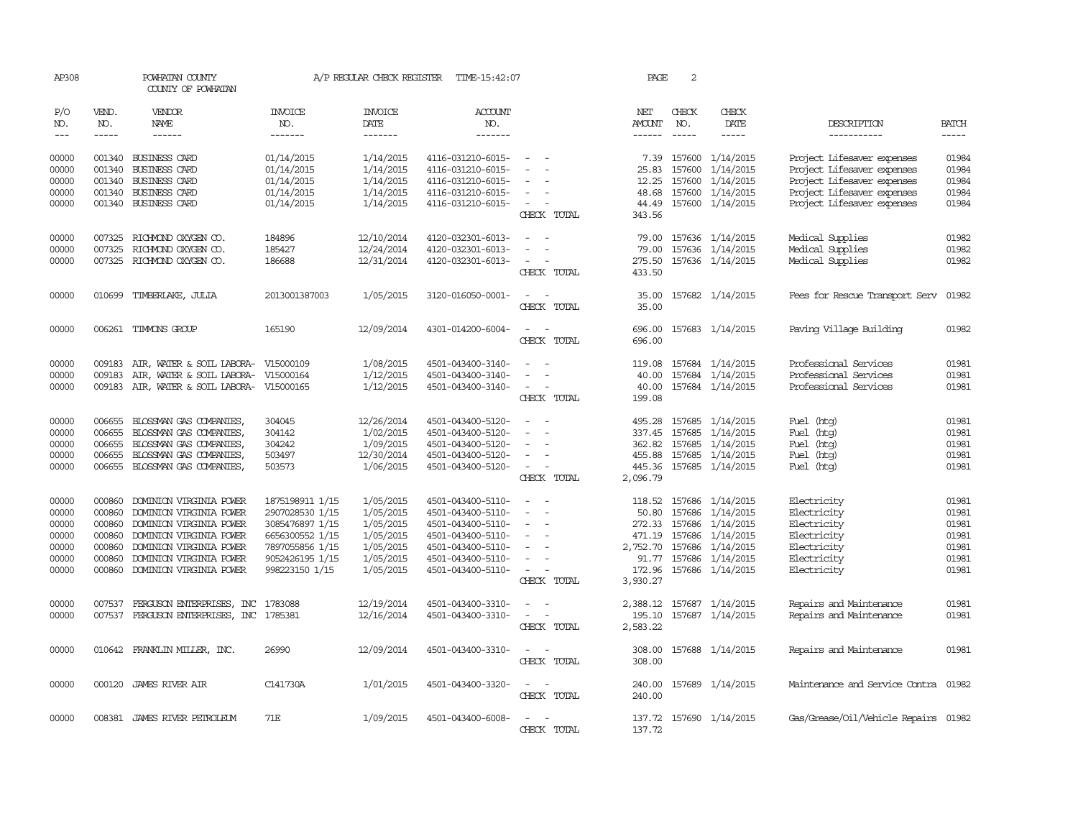| AP308          |                  | POWHATAN COUNTY<br>COUNTY OF POWHATAN                                   |                                    | A/P REGULAR CHECK REGISTER | TIME-15:42:07                          |                                         | PAGE               | 2            |                                      |                                                          |                |
|----------------|------------------|-------------------------------------------------------------------------|------------------------------------|----------------------------|----------------------------------------|-----------------------------------------|--------------------|--------------|--------------------------------------|----------------------------------------------------------|----------------|
| P/O<br>NO.     | VEND.<br>NO.     | VENDOR<br><b>NAME</b>                                                   | INVOICE<br>NO.                     | <b>INVOICE</b><br>DATE     | ACCOUNT<br>NO.                         |                                         | NET<br>AMOUNT      | CHECK<br>NO. | CHECK<br>DATE                        | DESCRIPTION                                              | <b>BATCH</b>   |
| $---$          | $\cdots$         | ------                                                                  | -------                            | -------                    | -------                                |                                         | ------             | $- - - - -$  | -----                                | -----------                                              | $- - - - -$    |
| 00000<br>00000 | 001340           | 001340 BUSINESS CARD<br><b>BUSINESS CARD</b>                            | 01/14/2015<br>01/14/2015           | 1/14/2015<br>1/14/2015     | 4116-031210-6015-<br>4116-031210-6015- | $\sim$                                  |                    | 157600       | 7.39 157600 1/14/2015                | Project Lifesaver expenses                               | 01984<br>01984 |
| 00000          | 001340           | BUSINESS CARD                                                           | 01/14/2015                         | 1/14/2015                  | 4116-031210-6015-                      |                                         | 25.83<br>12.25     |              | 1/14/2015<br>157600 1/14/2015        | Project Lifesaver expenses<br>Project Lifesaver expenses | 01984          |
| 00000          | 001340           | <b>BUSINESS CARD</b>                                                    | 01/14/2015                         | 1/14/2015                  | 4116-031210-6015-                      |                                         | 48.68              |              | 157600 1/14/2015                     | Project Lifesaver expenses                               | 01984          |
| 00000          |                  | 001340 BUSINESS CARD                                                    | 01/14/2015                         | 1/14/2015                  | 4116-031210-6015-                      | $\overline{\phantom{a}}$<br>CHECK TOTAL | 44.49<br>343.56    |              | 157600 1/14/2015                     | Project Lifesaver expenses                               | 01984          |
| 00000          | 007325           | RICHMOND OXYGEN CO.                                                     | 184896                             | 12/10/2014                 | 4120-032301-6013-                      | $\overline{\phantom{a}}$                | 79.00              |              | 157636 1/14/2015                     | Medical Supplies                                         | 01982          |
| 00000<br>00000 | 007325           | RICHMOND OXYGEN CO.<br>007325 RICHMOND OXYGEN CO.                       | 185427<br>186688                   | 12/24/2014<br>12/31/2014   | 4120-032301-6013-                      |                                         | 79.00              |              | 157636 1/14/2015<br>157636 1/14/2015 | Medical Supplies<br>Medical Supplies                     | 01982<br>01982 |
|                |                  |                                                                         |                                    |                            | 4120-032301-6013-                      | CHECK TOTAL                             | 275.50<br>433.50   |              |                                      |                                                          |                |
| 00000          |                  | 010699 TIMBERLAKE, JULIA                                                | 2013001387003                      | 1/05/2015                  | 3120-016050-0001-                      | $\sim$<br>$\sim$                        | 35.00              |              | 157682 1/14/2015                     | Fees for Rescue Transport Serv                           | 01982          |
|                |                  |                                                                         |                                    |                            |                                        | CHECK TOTAL                             | 35.00              |              |                                      |                                                          |                |
| 00000          |                  | 006261 TIMMONS GROUP                                                    | 165190                             | 12/09/2014                 | 4301-014200-6004-                      | CHECK TOTAL                             | 696.00<br>696.00   |              | 157683 1/14/2015                     | Paving Village Building                                  | 01982          |
| 00000          | 009183           | AIR, WATER & SOIL LABORA-                                               | V15000109                          | 1/08/2015                  | 4501-043400-3140-                      |                                         | 119.08             |              | 157684 1/14/2015                     | Professional Services                                    | 01981          |
| 00000<br>00000 | 009183           | AIR, WATER & SOIL LABORA-<br>009183 AIR, WATER & SOIL LABORA- V15000165 | V15000164                          | 1/12/2015<br>1/12/2015     | 4501-043400-3140-<br>4501-043400-3140- | $\sim$                                  | 40.00<br>40.00     |              | 157684 1/14/2015<br>157684 1/14/2015 | Professional Services<br>Professional Services           | 01981<br>01981 |
|                |                  |                                                                         |                                    |                            |                                        | CHECK TOTAL                             | 199.08             |              |                                      |                                                          |                |
| 00000          | 006655           | BLOSSMAN GAS COMPANIES,                                                 | 304045                             | 12/26/2014                 | 4501-043400-5120-                      | $\equiv$<br>$\sim$                      | 495.28             |              | 157685 1/14/2015                     | Fuel (htg)                                               | 01981          |
| 00000<br>00000 | 006655<br>006655 | BLOSSMAN GAS COMPANIES,<br>BLOSSMAN GAS COMPANIES,                      | 304142<br>304242                   | 1/02/2015<br>1/09/2015     | 4501-043400-5120-<br>4501-043400-5120- |                                         | 337.45<br>362.82   |              | 157685 1/14/2015<br>157685 1/14/2015 | Fuel (htg)<br>Fuel (htg)                                 | 01981<br>01981 |
| 00000          | 006655           | BLOSSMAN GAS COMPANIES,                                                 | 503497                             | 12/30/2014                 | 4501-043400-5120-                      |                                         | 455.88             |              | 157685 1/14/2015                     | Fuel (htg)                                               | 01981          |
| 00000          |                  | 006655 BLOSSMAN GAS COMPANIES,                                          | 503573                             | 1/06/2015                  | 4501-043400-5120-                      | $\sim$                                  |                    |              | 445.36 157685 1/14/2015              | Fuel (htg)                                               | 01981          |
|                |                  |                                                                         |                                    |                            |                                        | CHECK TOTAL                             | 2,096.79           |              |                                      |                                                          |                |
| 00000<br>00000 | 000860<br>000860 | DOMINION VIRGINIA POWER<br>DOMINION VIRGINIA POWER                      | 1875198911 1/15<br>2907028530 1/15 | 1/05/2015<br>1/05/2015     | 4501-043400-5110-<br>4501-043400-5110- | $\overline{\phantom{a}}$                | 118.52<br>50.80    |              | 157686 1/14/2015<br>157686 1/14/2015 | Electricity<br>Electricity                               | 01981<br>01981 |
| 00000          | 000860           | DOMINION VIRGINIA POWER                                                 | 3085476897 1/15                    | 1/05/2015                  | 4501-043400-5110-                      | $\overline{\phantom{a}}$                |                    |              | 272.33 157686 1/14/2015              | Electricity                                              | 01981          |
| 00000          | 000860           | DOMINION VIRGINIA POWER                                                 | 6656300552 1/15                    | 1/05/2015                  | 4501-043400-5110-                      |                                         | 471.19             |              | 157686 1/14/2015                     | Electricity                                              | 01981          |
| 00000          | 000860           | DOMINION VIRGINIA POWER                                                 | 7897055856 1/15                    | 1/05/2015                  | 4501-043400-5110-                      | $\overline{\phantom{a}}$                | 2,752.70           |              | 157686 1/14/2015                     | Electricity                                              | 01981          |
| 00000          | 000860           | DOMINION VIRGINIA POWER                                                 | 9052426195 1/15                    | 1/05/2015                  | 4501-043400-5110-                      |                                         | 91.77              |              | 157686 1/14/2015                     | Electricity                                              | 01981          |
| 00000          | 000860           | DOMINION VIRGINIA POWER                                                 | 998223150 1/15                     | 1/05/2015                  | 4501-043400-5110-                      |                                         | 172.96             |              | 157686 1/14/2015                     | Electricity                                              | 01981          |
|                |                  |                                                                         |                                    |                            |                                        | CHECK TOTAL                             | 3,930.27           |              |                                      |                                                          |                |
| 00000          | 007537           | FERGUSON ENTERPRISES, INC                                               | 1783088                            | 12/19/2014                 | 4501-043400-3310-                      |                                         | 2,388.12           |              | 157687 1/14/2015                     | Repairs and Maintenance                                  | 01981          |
| 00000          |                  | 007537 FERGUSON ENTERPRISES, INC 1785381                                |                                    | 12/16/2014                 | 4501-043400-3310-                      | $\overline{\phantom{a}}$<br>CHECK TOTAL | 195.10<br>2,583.22 |              | 157687 1/14/2015                     | Repairs and Maintenance                                  | 01981          |
| 00000          |                  | 010642 FRANKLIN MILLER, INC.                                            | 26990                              | 12/09/2014                 | 4501-043400-3310-                      |                                         | 308.00             |              | 157688 1/14/2015                     | Repairs and Maintenance                                  | 01981          |
|                |                  |                                                                         |                                    |                            |                                        | CHECK TOTAL                             | 308.00             |              |                                      |                                                          |                |
| 00000          |                  | 000120 JAMES RIVER AIR                                                  | C141730A                           | 1/01/2015                  | 4501-043400-3320-                      | $\sim$<br>$\sim$<br>CHECK TOTAL         | 240.00<br>240.00   |              | 157689 1/14/2015                     | Maintenance and Service Contra 01982                     |                |
|                |                  |                                                                         |                                    |                            |                                        |                                         |                    |              |                                      |                                                          |                |
| 00000          |                  | 008381 JAMES RIVER PETROLEUM                                            | 71E                                | 1/09/2015                  | 4501-043400-6008-                      | CHECK TOTAL                             | 137.72             |              | 137.72 157690 1/14/2015              | Gas/Grease/Oil/Vehicle Repairs 01982                     |                |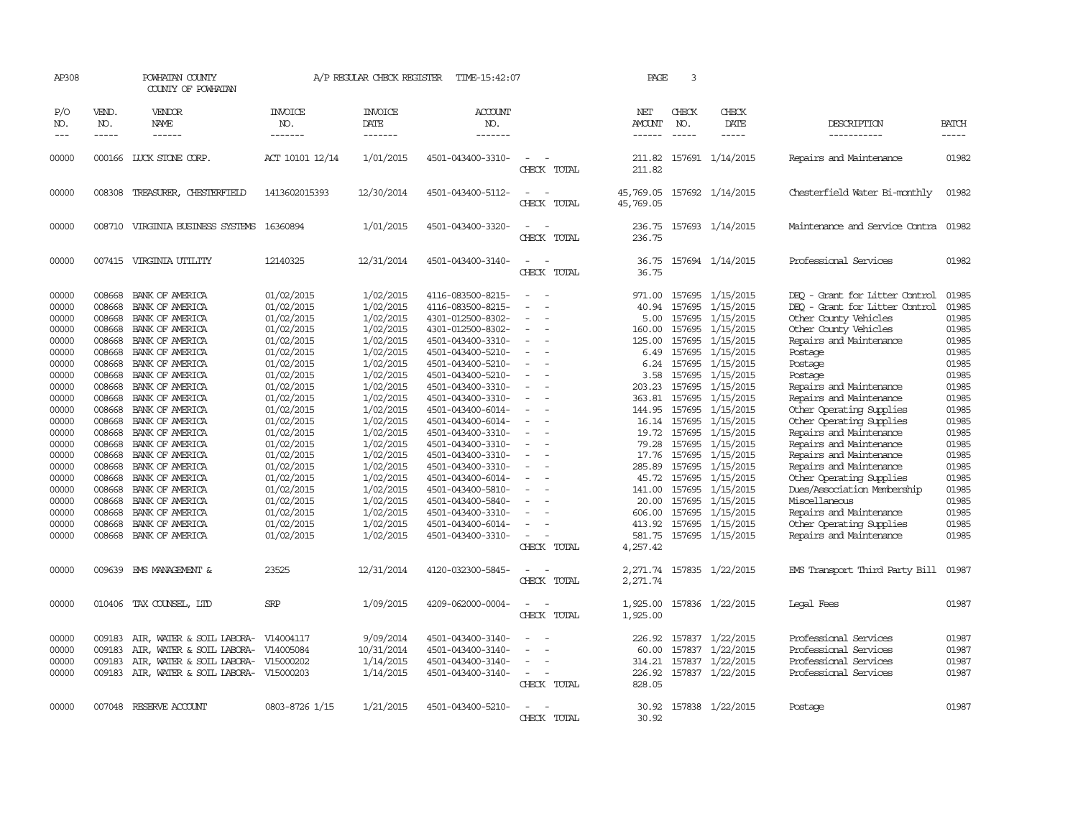| AP308                                                                                                                                                                                              |                                                                                                                                                                                                                          | POWHATAN COUNTY<br>COUNTY OF POWHATAN                                                                                                                                                                                                                                                                                                                                                                                          |                                                                                                                                                                                                                                                                                                                  | A/P REGULAR CHECK REGISTER                                                                                                                                                                                                                                                                 | TIME-15:42:07                                                                                                                                                                                                                                                                                                                                                                                                                                                              |                                                                                                   | PAGE                                                                                                                                                                                                      | 3                                                                                      |                                                                                                                                                                                                                                                                                                                                                                                       |                                                                                                                                                                                                                                                                                                                                                                                                                                                                                                                                                                        |                                                                                                                                                                                                    |
|----------------------------------------------------------------------------------------------------------------------------------------------------------------------------------------------------|--------------------------------------------------------------------------------------------------------------------------------------------------------------------------------------------------------------------------|--------------------------------------------------------------------------------------------------------------------------------------------------------------------------------------------------------------------------------------------------------------------------------------------------------------------------------------------------------------------------------------------------------------------------------|------------------------------------------------------------------------------------------------------------------------------------------------------------------------------------------------------------------------------------------------------------------------------------------------------------------|--------------------------------------------------------------------------------------------------------------------------------------------------------------------------------------------------------------------------------------------------------------------------------------------|----------------------------------------------------------------------------------------------------------------------------------------------------------------------------------------------------------------------------------------------------------------------------------------------------------------------------------------------------------------------------------------------------------------------------------------------------------------------------|---------------------------------------------------------------------------------------------------|-----------------------------------------------------------------------------------------------------------------------------------------------------------------------------------------------------------|----------------------------------------------------------------------------------------|---------------------------------------------------------------------------------------------------------------------------------------------------------------------------------------------------------------------------------------------------------------------------------------------------------------------------------------------------------------------------------------|------------------------------------------------------------------------------------------------------------------------------------------------------------------------------------------------------------------------------------------------------------------------------------------------------------------------------------------------------------------------------------------------------------------------------------------------------------------------------------------------------------------------------------------------------------------------|----------------------------------------------------------------------------------------------------------------------------------------------------------------------------------------------------|
| P/O<br>NO.<br>$---$                                                                                                                                                                                | VEND.<br>NO.<br>-----                                                                                                                                                                                                    | VENDOR<br>NAME<br>------                                                                                                                                                                                                                                                                                                                                                                                                       | <b>INVOICE</b><br>NO.<br>-------                                                                                                                                                                                                                                                                                 | <b>INVOICE</b><br>DATE<br>-------                                                                                                                                                                                                                                                          | <b>ACCOUNT</b><br>NO.<br>-------                                                                                                                                                                                                                                                                                                                                                                                                                                           |                                                                                                   | NET<br>AMOUNT<br>------                                                                                                                                                                                   | CHECK<br>NO.<br>$- - - - -$                                                            | CHECK<br>DATE<br>-----                                                                                                                                                                                                                                                                                                                                                                | DESCRIPTION<br>-----------                                                                                                                                                                                                                                                                                                                                                                                                                                                                                                                                             | <b>BATCH</b><br>-----                                                                                                                                                                              |
| 00000                                                                                                                                                                                              |                                                                                                                                                                                                                          | 000166 LUCK STONE CORP.                                                                                                                                                                                                                                                                                                                                                                                                        | ACT 10101 12/14                                                                                                                                                                                                                                                                                                  | 1/01/2015                                                                                                                                                                                                                                                                                  | 4501-043400-3310-                                                                                                                                                                                                                                                                                                                                                                                                                                                          | $\sim$<br>CHECK TOTAL                                                                             | 211.82<br>211.82                                                                                                                                                                                          |                                                                                        | 157691 1/14/2015                                                                                                                                                                                                                                                                                                                                                                      | Repairs and Maintenance                                                                                                                                                                                                                                                                                                                                                                                                                                                                                                                                                | 01982                                                                                                                                                                                              |
| 00000                                                                                                                                                                                              | 008308                                                                                                                                                                                                                   | TREASURER, CHESTERFIELD                                                                                                                                                                                                                                                                                                                                                                                                        | 1413602015393                                                                                                                                                                                                                                                                                                    | 12/30/2014                                                                                                                                                                                                                                                                                 | 4501-043400-5112-                                                                                                                                                                                                                                                                                                                                                                                                                                                          | $\equiv$<br>CHECK TOTAL                                                                           | 45,769.05<br>45,769.05                                                                                                                                                                                    |                                                                                        | 157692 1/14/2015                                                                                                                                                                                                                                                                                                                                                                      | Chesterfield Water Bi-monthly                                                                                                                                                                                                                                                                                                                                                                                                                                                                                                                                          | 01982                                                                                                                                                                                              |
| 00000                                                                                                                                                                                              |                                                                                                                                                                                                                          | 008710 VIRGINIA BUSINESS SYSTEMS 16360894                                                                                                                                                                                                                                                                                                                                                                                      |                                                                                                                                                                                                                                                                                                                  | 1/01/2015                                                                                                                                                                                                                                                                                  | 4501-043400-3320-                                                                                                                                                                                                                                                                                                                                                                                                                                                          | $\equiv$<br>CHECK TOTAL                                                                           | 236.75<br>236.75                                                                                                                                                                                          |                                                                                        | 157693 1/14/2015                                                                                                                                                                                                                                                                                                                                                                      | Maintenance and Service Contra                                                                                                                                                                                                                                                                                                                                                                                                                                                                                                                                         | 01982                                                                                                                                                                                              |
| 00000                                                                                                                                                                                              |                                                                                                                                                                                                                          | 007415 VIRGINIA UTILITY                                                                                                                                                                                                                                                                                                                                                                                                        | 12140325                                                                                                                                                                                                                                                                                                         | 12/31/2014                                                                                                                                                                                                                                                                                 | 4501-043400-3140-                                                                                                                                                                                                                                                                                                                                                                                                                                                          | $\equiv$<br>CHECK TOTAL                                                                           | 36.75<br>36.75                                                                                                                                                                                            |                                                                                        | 157694 1/14/2015                                                                                                                                                                                                                                                                                                                                                                      | Professional Services                                                                                                                                                                                                                                                                                                                                                                                                                                                                                                                                                  | 01982                                                                                                                                                                                              |
| 00000<br>00000<br>00000<br>00000<br>00000<br>00000<br>00000<br>00000<br>00000<br>00000<br>00000<br>00000<br>00000<br>00000<br>00000<br>00000<br>00000<br>00000<br>00000<br>00000<br>00000<br>00000 | 008668<br>008668<br>008668<br>008668<br>008668<br>008668<br>008668<br>008668<br>008668<br>008668<br>008668<br>008668<br>008668<br>008668<br>008668<br>008668<br>008668<br>008668<br>008668<br>008668<br>008668<br>008668 | BANK OF AMERICA<br>BANK OF AMERICA<br>BANK OF AMERICA<br>BANK OF AMERICA<br>BANK OF AMERICA<br>BANK OF AMERICA<br>BANK OF AMERICA<br>BANK OF AMERICA<br>BANK OF AMERICA<br>BANK OF AMERICA<br>BANK OF AMERICA<br>BANK OF AMERICA<br>BANK OF AMERICA<br>BANK OF AMERICA<br>BANK OF AMERICA<br>BANK OF AMERICA<br>BANK OF AMERICA<br>BANK OF AMERICA<br>BANK OF AMERICA<br>BANK OF AMERICA<br>BANK OF AMERICA<br>BANK OF AMERICA | 01/02/2015<br>01/02/2015<br>01/02/2015<br>01/02/2015<br>01/02/2015<br>01/02/2015<br>01/02/2015<br>01/02/2015<br>01/02/2015<br>01/02/2015<br>01/02/2015<br>01/02/2015<br>01/02/2015<br>01/02/2015<br>01/02/2015<br>01/02/2015<br>01/02/2015<br>01/02/2015<br>01/02/2015<br>01/02/2015<br>01/02/2015<br>01/02/2015 | 1/02/2015<br>1/02/2015<br>1/02/2015<br>1/02/2015<br>1/02/2015<br>1/02/2015<br>1/02/2015<br>1/02/2015<br>1/02/2015<br>1/02/2015<br>1/02/2015<br>1/02/2015<br>1/02/2015<br>1/02/2015<br>1/02/2015<br>1/02/2015<br>1/02/2015<br>1/02/2015<br>1/02/2015<br>1/02/2015<br>1/02/2015<br>1/02/2015 | 4116-083500-8215-<br>4116-083500-8215-<br>4301-012500-8302-<br>4301-012500-8302-<br>4501-043400-3310-<br>4501-043400-5210-<br>4501-043400-5210-<br>4501-043400-5210-<br>4501-043400-3310-<br>4501-043400-3310-<br>4501-043400-6014-<br>4501-043400-6014-<br>4501-043400-3310-<br>4501-043400-3310-<br>4501-043400-3310-<br>4501-043400-3310-<br>4501-043400-6014-<br>4501-043400-5810-<br>4501-043400-5840-<br>4501-043400-3310-<br>4501-043400-6014-<br>4501-043400-3310- | $\equiv$<br>$\equiv$<br>$\equiv$<br>٠<br>$\sim$<br>$\sim$<br>$\overline{\phantom{a}}$<br>$\equiv$ | 971.00<br>40.94<br>5.00<br>160.00<br>125.00<br>6.49<br>6.24<br>3.58<br>203.23<br>363.81<br>144.95<br>16.14<br>19.72<br>79.28<br>17.76<br>285.89<br>45.72<br>141.00<br>20.00<br>606.00<br>413.92<br>581.75 | 157695<br>157695<br>157695<br>157695<br>157695<br>157695<br>157695<br>157695<br>157695 | 157695 1/15/2015<br>1/15/2015<br>157695 1/15/2015<br>1/15/2015<br>1/15/2015<br>1/15/2015<br>1/15/2015<br>157695 1/15/2015<br>1/15/2015<br>157695 1/15/2015<br>157695 1/15/2015<br>1/15/2015<br>157695 1/15/2015<br>157695 1/15/2015<br>1/15/2015<br>157695 1/15/2015<br>157695 1/15/2015<br>157695 1/15/2015<br>1/15/2015<br>157695 1/15/2015<br>157695 1/15/2015<br>157695 1/15/2015 | DEO - Grant for Litter Control<br>DEQ - Grant for Litter Control<br>Other County Vehicles<br>Other County Vehicles<br>Repairs and Maintenance<br>Postage<br>Postage<br>Postage<br>Repairs and Maintenance<br>Repairs and Maintenance<br>Other Operating Supplies<br>Other Operating Supplies<br>Repairs and Maintenance<br>Repairs and Maintenance<br>Repairs and Maintenance<br>Repairs and Maintenance<br>Other Operating Supplies<br>Dues/Association Membership<br>Miscellaneous<br>Repairs and Maintenance<br>Other Operating Supplies<br>Repairs and Maintenance | 01985<br>01985<br>01985<br>01985<br>01985<br>01985<br>01985<br>01985<br>01985<br>01985<br>01985<br>01985<br>01985<br>01985<br>01985<br>01985<br>01985<br>01985<br>01985<br>01985<br>01985<br>01985 |
| 00000                                                                                                                                                                                              |                                                                                                                                                                                                                          | 009639 EMS MANAGEMENT &                                                                                                                                                                                                                                                                                                                                                                                                        | 23525                                                                                                                                                                                                                                                                                                            | 12/31/2014                                                                                                                                                                                                                                                                                 | 4120-032300-5845-                                                                                                                                                                                                                                                                                                                                                                                                                                                          | CHECK TOTAL<br>$\sim$<br>CHECK TOTAL                                                              | 4,257.42<br>2,271.74<br>2,271.74                                                                                                                                                                          |                                                                                        | 157835 1/22/2015                                                                                                                                                                                                                                                                                                                                                                      | EMS Transport Third Party Bill                                                                                                                                                                                                                                                                                                                                                                                                                                                                                                                                         | 01987                                                                                                                                                                                              |
| 00000                                                                                                                                                                                              |                                                                                                                                                                                                                          | 010406 TAX COUNSEL, LTD                                                                                                                                                                                                                                                                                                                                                                                                        | <b>SRP</b>                                                                                                                                                                                                                                                                                                       | 1/09/2015                                                                                                                                                                                                                                                                                  | 4209-062000-0004-                                                                                                                                                                                                                                                                                                                                                                                                                                                          | $\equiv$<br>CHECK TOTAL                                                                           | 1,925.00<br>1,925.00                                                                                                                                                                                      |                                                                                        | 157836 1/22/2015                                                                                                                                                                                                                                                                                                                                                                      | Legal Fees                                                                                                                                                                                                                                                                                                                                                                                                                                                                                                                                                             | 01987                                                                                                                                                                                              |
| 00000<br>00000<br>00000<br>00000                                                                                                                                                                   | 009183<br>009183<br>009183<br>009183                                                                                                                                                                                     | AIR, WATER & SOIL LABORA-<br>AIR, WATER & SOIL LABORA-<br>AIR, WATER & SOIL LABORA-<br>AIR, WATER & SOIL LABORA-                                                                                                                                                                                                                                                                                                               | V14004117<br>V14005084<br>V15000202<br>V15000203                                                                                                                                                                                                                                                                 | 9/09/2014<br>10/31/2014<br>1/14/2015<br>1/14/2015                                                                                                                                                                                                                                          | 4501-043400-3140-<br>4501-043400-3140-<br>4501-043400-3140-<br>4501-043400-3140-                                                                                                                                                                                                                                                                                                                                                                                           | $\equiv$<br>$\equiv$<br>CHECK TOTAL                                                               | 226.92<br>60.00<br>314.21<br>226.92<br>828.05                                                                                                                                                             | 157837                                                                                 | 157837 1/22/2015<br>1/22/2015<br>157837 1/22/2015<br>157837 1/22/2015                                                                                                                                                                                                                                                                                                                 | Professional Services<br>Professional Services<br>Professional Services<br>Professional Services                                                                                                                                                                                                                                                                                                                                                                                                                                                                       | 01987<br>01987<br>01987<br>01987                                                                                                                                                                   |
| 00000                                                                                                                                                                                              |                                                                                                                                                                                                                          | 007048 RESERVE ACCOUNT                                                                                                                                                                                                                                                                                                                                                                                                         | 0803-8726 1/15                                                                                                                                                                                                                                                                                                   | 1/21/2015                                                                                                                                                                                                                                                                                  | 4501-043400-5210-                                                                                                                                                                                                                                                                                                                                                                                                                                                          | $\equiv$<br>CHECK TOTAL                                                                           | 30.92<br>30.92                                                                                                                                                                                            |                                                                                        | 157838 1/22/2015                                                                                                                                                                                                                                                                                                                                                                      | Postage                                                                                                                                                                                                                                                                                                                                                                                                                                                                                                                                                                | 01987                                                                                                                                                                                              |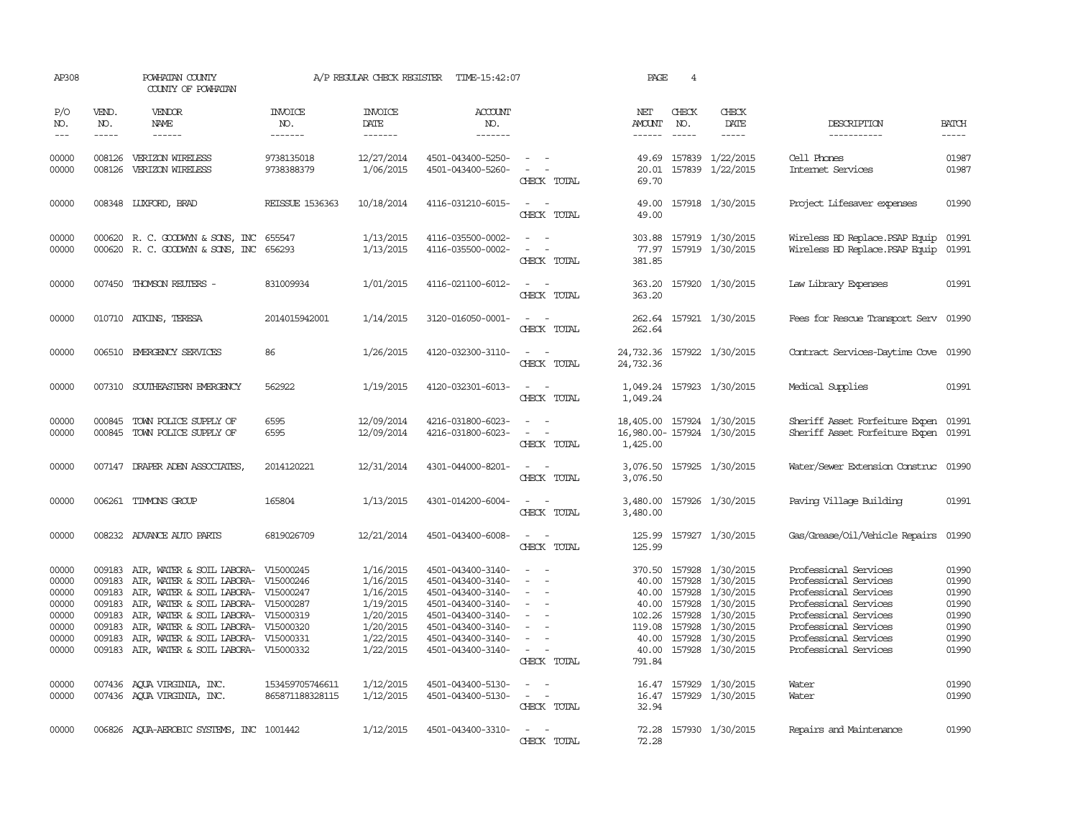| AP308                                                                |                                                | POWHATAN COUNTY<br>COUNTY OF POWHATAN                                                                                                                                                                                                                                                                                           |                                    | A/P REGULAR CHECK REGISTER                                                                           | TIME-15:42:07                                                                                                                                                        |                                                                                                                             | PAGE                               | $\overline{4}$                |                                                                                                                                                                                |                                                                                                                                                                                                      |                                                                      |
|----------------------------------------------------------------------|------------------------------------------------|---------------------------------------------------------------------------------------------------------------------------------------------------------------------------------------------------------------------------------------------------------------------------------------------------------------------------------|------------------------------------|------------------------------------------------------------------------------------------------------|----------------------------------------------------------------------------------------------------------------------------------------------------------------------|-----------------------------------------------------------------------------------------------------------------------------|------------------------------------|-------------------------------|--------------------------------------------------------------------------------------------------------------------------------------------------------------------------------|------------------------------------------------------------------------------------------------------------------------------------------------------------------------------------------------------|----------------------------------------------------------------------|
| P/O<br>NO.<br>$---$                                                  | VEND.<br>NO.<br>$\frac{1}{2}$                  | <b>VENDOR</b><br>NAME                                                                                                                                                                                                                                                                                                           | <b>INVOICE</b><br>NO.<br>-------   | <b>INVOICE</b><br>DATE<br>-------                                                                    | <b>ACCOUNT</b><br>NO.<br>-------                                                                                                                                     |                                                                                                                             | NET<br>AMOUNT<br>------            | CHECK<br>NO.<br>$\frac{1}{2}$ | CHECK<br>DATE<br>$- - - - -$                                                                                                                                                   | DESCRIPTION<br>-----------                                                                                                                                                                           | <b>BATCH</b><br>-----                                                |
| 00000<br>00000                                                       | 008126<br>008126                               | VERIZON WIRELESS<br>VERIZON WIRELESS                                                                                                                                                                                                                                                                                            | 9738135018<br>9738388379           | 12/27/2014<br>1/06/2015                                                                              | 4501-043400-5250-<br>4501-043400-5260-                                                                                                                               | $\sim$ 100 $\sim$<br>$\sim$<br>CHECK TOTAL                                                                                  | 49.69<br>20.01<br>69.70            |                               | 157839 1/22/2015<br>157839 1/22/2015                                                                                                                                           | Cell Phones<br>Internet Services                                                                                                                                                                     | 01987<br>01987                                                       |
| 00000                                                                |                                                | 008348 LUXFORD, BRAD                                                                                                                                                                                                                                                                                                            | <b>REISSUE 1536363</b>             | 10/18/2014                                                                                           | 4116-031210-6015-                                                                                                                                                    | $\sim$<br>CHECK TOTAL                                                                                                       | 49.00<br>49.00                     |                               | 157918 1/30/2015                                                                                                                                                               | Project Lifesaver expenses                                                                                                                                                                           | 01990                                                                |
| 00000<br>00000                                                       |                                                | 000620 R. C. GOODWYN & SONS, INC<br>000620 R. C. GOODWYN & SONS, INC                                                                                                                                                                                                                                                            | 655547<br>656293                   | 1/13/2015<br>1/13/2015                                                                               | 4116-035500-0002-<br>4116-035500-0002-                                                                                                                               | $ -$<br>$\overline{\phantom{a}}$<br>CHECK TOTAL                                                                             | 303.88<br>77.97<br>381.85          |                               | 157919 1/30/2015<br>157919 1/30/2015                                                                                                                                           | Wireless BD Replace. PSAP Equip<br>Wireless BD Replace. PSAP Equip                                                                                                                                   | 01991<br>01991                                                       |
| 00000                                                                |                                                | 007450 THOMSON REUTERS -                                                                                                                                                                                                                                                                                                        | 831009934                          | 1/01/2015                                                                                            | 4116-021100-6012-                                                                                                                                                    | $\frac{1}{2} \left( \frac{1}{2} \right) \left( \frac{1}{2} \right) = \frac{1}{2} \left( \frac{1}{2} \right)$<br>CHECK TOTAL | 363.20<br>363.20                   |                               | 157920 1/30/2015                                                                                                                                                               | Law Library Expenses                                                                                                                                                                                 | 01991                                                                |
| 00000                                                                |                                                | 010710 ATKINS, TERESA                                                                                                                                                                                                                                                                                                           | 2014015942001                      | 1/14/2015                                                                                            | 3120-016050-0001-                                                                                                                                                    | $\frac{1}{2} \left( \frac{1}{2} \right) \left( \frac{1}{2} \right) = \frac{1}{2} \left( \frac{1}{2} \right)$<br>CHECK TOTAL | 262.64                             |                               | 262.64 157921 1/30/2015                                                                                                                                                        | Fees for Rescue Transport Serv 01990                                                                                                                                                                 |                                                                      |
| 00000                                                                |                                                | 006510 EMERGENCY SERVICES                                                                                                                                                                                                                                                                                                       | 86                                 | 1/26/2015                                                                                            | 4120-032300-3110-                                                                                                                                                    | $\sim$ $ \sim$<br>CHECK TOTAL                                                                                               | 24,732.36                          |                               | 24,732.36 157922 1/30/2015                                                                                                                                                     | Contract Services-Daytime Cove 01990                                                                                                                                                                 |                                                                      |
| 00000                                                                |                                                | 007310 SOUTHEASTERN EMERGENCY                                                                                                                                                                                                                                                                                                   | 562922                             | 1/19/2015                                                                                            | 4120-032301-6013-                                                                                                                                                    | $\sim$ $ \sim$<br>CHECK TOTAL                                                                                               | 1,049.24                           |                               | 1,049.24 157923 1/30/2015                                                                                                                                                      | Medical Supplies                                                                                                                                                                                     | 01991                                                                |
| 00000<br>00000                                                       | 000845                                         | TOWN POLICE SUPPLY OF<br>000845 TOWN POLICE SUPPLY OF                                                                                                                                                                                                                                                                           | 6595<br>6595                       | 12/09/2014<br>12/09/2014                                                                             | 4216-031800-6023-<br>4216-031800-6023-                                                                                                                               | CHECK TOTAL                                                                                                                 | 1,425.00                           |                               | 18,405.00 157924 1/30/2015<br>16,980.00-157924 1/30/2015                                                                                                                       | Sheriff Asset Forfeiture Expen 01991<br>Sheriff Asset Forfeiture Expen 01991                                                                                                                         |                                                                      |
| 00000                                                                |                                                | 007147 DRAPER ADEN ASSOCIATES,                                                                                                                                                                                                                                                                                                  | 2014120221                         | 12/31/2014                                                                                           | 4301-044000-8201-                                                                                                                                                    | CHECK TOTAL                                                                                                                 | 3,076.50                           |                               | 3,076.50 157925 1/30/2015                                                                                                                                                      | Water/Sewer Extension Construc 01990                                                                                                                                                                 |                                                                      |
| 00000                                                                |                                                | 006261 TIMMONS GROUP                                                                                                                                                                                                                                                                                                            | 165804                             | 1/13/2015                                                                                            | 4301-014200-6004-                                                                                                                                                    | CHECK TOTAL                                                                                                                 | 3,480.00<br>3,480.00               |                               | 157926 1/30/2015                                                                                                                                                               | Paving Village Building                                                                                                                                                                              | 01991                                                                |
| 00000                                                                |                                                | 008232 ADVANCE AUTO PARTS                                                                                                                                                                                                                                                                                                       | 6819026709                         | 12/21/2014                                                                                           | 4501-043400-6008-                                                                                                                                                    | $\sim$<br>CHECK TOTAL                                                                                                       | 125.99<br>125.99                   |                               | 157927 1/30/2015                                                                                                                                                               | Gas/Grease/Oil/Vehicle Repairs                                                                                                                                                                       | 01990                                                                |
| 00000<br>00000<br>00000<br>00000<br>00000<br>00000<br>00000<br>00000 | 009183<br>009183<br>009183<br>009183<br>009183 | 009183 AIR, WATER & SOIL LABORA- V15000245<br>AIR, WATER & SOIL LABORA- V15000246<br>009183 AIR, WATER & SOIL LABORA- V15000247<br>AIR, WATER & SOIL LABORA- V15000287<br>AIR, WATER & SOIL LABORA- V15000319<br>AIR, WATER & SOIL LABORA- V15000320<br>AIR, WATER & SOIL LABORA-<br>009183 AIR, WATER & SOIL LABORA- V15000332 | V15000331                          | 1/16/2015<br>1/16/2015<br>1/16/2015<br>1/19/2015<br>1/20/2015<br>1/20/2015<br>1/22/2015<br>1/22/2015 | 4501-043400-3140-<br>4501-043400-3140-<br>4501-043400-3140-<br>4501-043400-3140-<br>4501-043400-3140-<br>4501-043400-3140-<br>4501-043400-3140-<br>4501-043400-3140- | $\sim$<br>$\equiv$<br>$\sim$<br>$\equiv$<br>$\overline{\phantom{a}}$<br>$\equiv$<br>$\sim$<br>CHECK TOTAL                   | 40.00<br>40.00<br>119.08<br>791.84 | 157928<br>157928              | 370.50 157928 1/30/2015<br>1/30/2015<br>40.00 157928 1/30/2015<br>157928 1/30/2015<br>102.26 157928 1/30/2015<br>1/30/2015<br>40.00 157928 1/30/2015<br>40.00 157928 1/30/2015 | Professional Services<br>Professional Services<br>Professional Services<br>Professional Services<br>Professional Services<br>Professional Services<br>Professional Services<br>Professional Services | 01990<br>01990<br>01990<br>01990<br>01990<br>01990<br>01990<br>01990 |
| 00000<br>00000                                                       |                                                | 007436 AQUA VIRGINIA, INC.<br>007436 AQUA VIRGINIA, INC.                                                                                                                                                                                                                                                                        | 153459705746611<br>865871188328115 | 1/12/2015<br>1/12/2015                                                                               | 4501-043400-5130-<br>4501-043400-5130-                                                                                                                               | $\sim$ $-$<br>$\omega_{\rm{max}}$ and $\omega_{\rm{max}}$<br>CHECK TOTAL                                                    | 32.94                              |                               | 16.47 157929 1/30/2015<br>16.47 157929 1/30/2015                                                                                                                               | Water<br>Water                                                                                                                                                                                       | 01990<br>01990                                                       |
| 00000                                                                |                                                | 006826 AQUA-AEROBIC SYSTEMS, INC 1001442                                                                                                                                                                                                                                                                                        |                                    | 1/12/2015                                                                                            | 4501-043400-3310-                                                                                                                                                    | $\sim$ $\sim$<br>CHRCK TOTAL                                                                                                | 72.28                              |                               | 72.28 157930 1/30/2015                                                                                                                                                         | Repairs and Maintenance                                                                                                                                                                              | 01990                                                                |